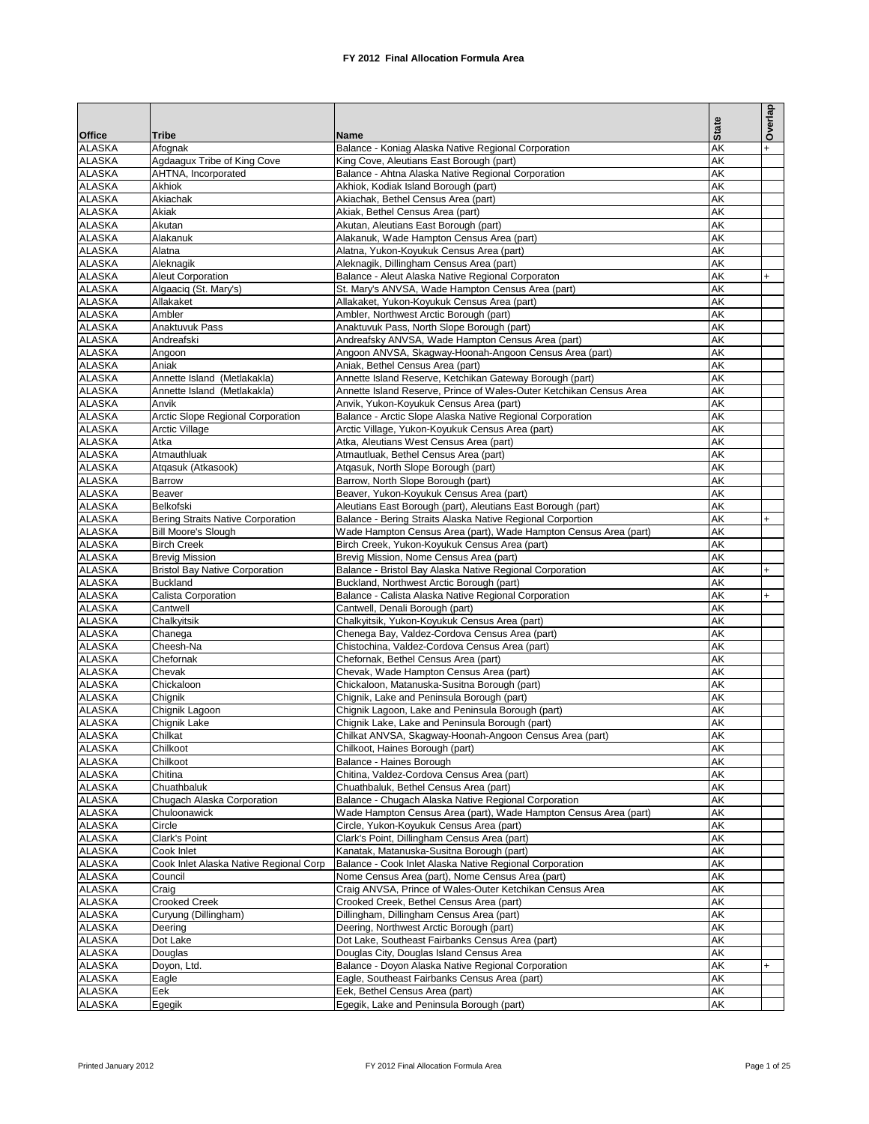|                                |                                                                |                                                                                                                                 |              | Overlap |
|--------------------------------|----------------------------------------------------------------|---------------------------------------------------------------------------------------------------------------------------------|--------------|---------|
|                                | <b>Tribe</b>                                                   |                                                                                                                                 | <b>State</b> |         |
| <b>Office</b><br><b>ALASKA</b> | Afognak                                                        | Name<br>Balance - Koniag Alaska Native Regional Corporation                                                                     | AK           |         |
| <b>ALASKA</b>                  | Agdaagux Tribe of King Cove                                    | King Cove, Aleutians East Borough (part)                                                                                        | AK           |         |
| <b>ALASKA</b>                  | AHTNA, Incorporated                                            | Balance - Ahtna Alaska Native Regional Corporation                                                                              | AK           |         |
| <b>ALASKA</b>                  | Akhiok                                                         | Akhiok, Kodiak Island Borough (part)                                                                                            | AK           |         |
| <b>ALASKA</b>                  | Akiachak                                                       | Akiachak, Bethel Census Area (part)                                                                                             | AK           |         |
| <b>ALASKA</b>                  | Akiak                                                          | Akiak, Bethel Census Area (part)                                                                                                | AK           |         |
| <b>ALASKA</b>                  | Akutan                                                         | Akutan, Aleutians East Borough (part)                                                                                           | AK           |         |
| <b>ALASKA</b><br><b>ALASKA</b> | Alakanuk<br>Alatna                                             | Alakanuk, Wade Hampton Census Area (part)<br>Alatna, Yukon-Koyukuk Census Area (part)                                           | AK<br>AK     |         |
| <b>ALASKA</b>                  | Aleknagik                                                      | Aleknagik, Dillingham Census Area (part)                                                                                        | AK           |         |
| <b>ALASKA</b>                  | <b>Aleut Corporation</b>                                       | Balance - Aleut Alaska Native Regional Corporaton                                                                               | AK           | $+$     |
| <b>ALASKA</b>                  | Algaaciq (St. Mary's)                                          | St. Mary's ANVSA, Wade Hampton Census Area (part)                                                                               | AK           |         |
| <b>ALASKA</b>                  | Allakaket                                                      | Allakaket, Yukon-Koyukuk Census Area (part)                                                                                     | AK           |         |
| <b>ALASKA</b>                  | Ambler                                                         | Ambler, Northwest Arctic Borough (part)                                                                                         | AK           |         |
| <b>ALASKA</b>                  | Anaktuvuk Pass                                                 | Anaktuvuk Pass, North Slope Borough (part)                                                                                      | AK           |         |
| <b>ALASKA</b>                  | Andreafski                                                     | Andreafsky ANVSA, Wade Hampton Census Area (part)                                                                               | AK           |         |
| <b>ALASKA</b>                  | Angoon                                                         | Angoon ANVSA, Skagway-Hoonah-Angoon Census Area (part)                                                                          | AK           |         |
| <b>ALASKA</b>                  | Aniak                                                          | Aniak, Bethel Census Area (part)                                                                                                | AK           |         |
| <b>ALASKA</b>                  | Annette Island (Metlakakla)                                    | Annette Island Reserve, Ketchikan Gateway Borough (part)<br>Annette Island Reserve, Prince of Wales-Outer Ketchikan Census Area | AK<br>AK     |         |
| <b>ALASKA</b><br><b>ALASKA</b> | Annette Island (Metlakakla)<br>Anvik                           | Anvik, Yukon-Koyukuk Census Area (part)                                                                                         | AK           |         |
| <b>ALASKA</b>                  | Arctic Slope Regional Corporation                              | Balance - Arctic Slope Alaska Native Regional Corporation                                                                       | AK           |         |
| <b>ALASKA</b>                  | <b>Arctic Village</b>                                          | Arctic Village, Yukon-Koyukuk Census Area (part)                                                                                | AK           |         |
| <b>ALASKA</b>                  | Atka                                                           | Atka, Aleutians West Census Area (part)                                                                                         | AK           |         |
| <b>ALASKA</b>                  | Atmauthluak                                                    | Atmautluak, Bethel Census Area (part)                                                                                           | AK           |         |
| <b>ALASKA</b>                  | Atgasuk (Atkasook)                                             | Atgasuk, North Slope Borough (part)                                                                                             | AK           |         |
| <b>ALASKA</b>                  | Barrow                                                         | Barrow, North Slope Borough (part)                                                                                              | AK           |         |
| <b>ALASKA</b>                  | Beaver                                                         | Beaver, Yukon-Koyukuk Census Area (part)                                                                                        | AK           |         |
| <b>ALASKA</b>                  | Belkofski                                                      | Aleutians East Borough (part), Aleutians East Borough (part)                                                                    | AK           |         |
| <b>ALASKA</b>                  | <b>Bering Straits Native Corporation</b>                       | Balance - Bering Straits Alaska Native Regional Corportion                                                                      | AK           | $+$     |
| <b>ALASKA</b>                  | <b>Bill Moore's Slough</b>                                     | Wade Hampton Census Area (part), Wade Hampton Census Area (part)                                                                | AK           |         |
| <b>ALASKA</b><br><b>ALASKA</b> | <b>Birch Creek</b>                                             | Birch Creek, Yukon-Koyukuk Census Area (part)                                                                                   | AK<br>AK     |         |
| <b>ALASKA</b>                  | <b>Brevig Mission</b><br><b>Bristol Bay Native Corporation</b> | Brevig Mission, Nome Census Area (part)<br>Balance - Bristol Bay Alaska Native Regional Corporation                             | AK           | $+$     |
| <b>ALASKA</b>                  | <b>Buckland</b>                                                | Buckland, Northwest Arctic Borough (part)                                                                                       | AK           |         |
| <b>ALASKA</b>                  | Calista Corporation                                            | Balance - Calista Alaska Native Regional Corporation                                                                            | AK           | $+$     |
| <b>ALASKA</b>                  | Cantwell                                                       | Cantwell, Denali Borough (part)                                                                                                 | AK           |         |
| <b>ALASKA</b>                  | Chalkyitsik                                                    | Chalkyitsik, Yukon-Koyukuk Census Area (part)                                                                                   | AK           |         |
| <b>ALASKA</b>                  | Chanega                                                        | Chenega Bay, Valdez-Cordova Census Area (part)                                                                                  | AK           |         |
| <b>ALASKA</b>                  | Cheesh-Na                                                      | Chistochina, Valdez-Cordova Census Area (part)                                                                                  | AK           |         |
| <b>ALASKA</b>                  | Chefornak                                                      | Chefornak, Bethel Census Area (part)                                                                                            | AK           |         |
| <b>ALASKA</b>                  | Chevak                                                         | Chevak, Wade Hampton Census Area (part)                                                                                         | AK           |         |
| <b>ALASKA</b><br><b>ALASKA</b> | Chickaloon                                                     | Chickaloon, Matanuska-Susitna Borough (part)<br>Chignik, Lake and Peninsula Borough (part)                                      | AK<br>AK     |         |
| <b>ALASKA</b>                  | Chignik<br>Chignik Lagoon                                      | Chignik Lagoon, Lake and Peninsula Borough (part)                                                                               | AK           |         |
| <b>ALASKA</b>                  | Chignik Lake                                                   | Chignik Lake, Lake and Peninsula Borough (part)                                                                                 | AK           |         |
| <b>ALASKA</b>                  | Chilkat                                                        | Chilkat ANVSA, Skagway-Hoonah-Angoon Census Area (part)                                                                         | AK           |         |
| <b>ALASKA</b>                  | Chilkoot                                                       | Chilkoot, Haines Borough (part)                                                                                                 | AK           |         |
| <b>ALASKA</b>                  | Chilkoot                                                       | Balance - Haines Borough                                                                                                        | AK           |         |
| <b>ALASKA</b>                  | Chitina                                                        | Chitina, Valdez-Cordova Census Area (part)                                                                                      | AK           |         |
| <b>ALASKA</b>                  | Chuathbaluk                                                    | Chuathbaluk, Bethel Census Area (part)                                                                                          | AK           |         |
| <b>ALASKA</b>                  | Chugach Alaska Corporation                                     | Balance - Chugach Alaska Native Regional Corporation                                                                            | AK           |         |
| <b>ALASKA</b>                  | Chuloonawick                                                   | Wade Hampton Census Area (part), Wade Hampton Census Area (part)                                                                | AK           |         |
| <b>ALASKA</b><br><b>ALASKA</b> | Circle                                                         | Circle, Yukon-Koyukuk Census Area (part)<br>Clark's Point, Dillingham Census Area (part)                                        | AK<br>AK     |         |
| <b>ALASKA</b>                  | Clark's Point<br>Cook Inlet                                    | Kanatak, Matanuska-Susitna Borough (part)                                                                                       | AK           |         |
| <b>ALASKA</b>                  | Cook Inlet Alaska Native Regional Corp                         | Balance - Cook Inlet Alaska Native Regional Corporation                                                                         | AK           |         |
| <b>ALASKA</b>                  | Council                                                        | Nome Census Area (part), Nome Census Area (part)                                                                                | AK           |         |
| <b>ALASKA</b>                  | Craig                                                          | Craig ANVSA, Prince of Wales-Outer Ketchikan Census Area                                                                        | AK           |         |
| <b>ALASKA</b>                  | <b>Crooked Creek</b>                                           | Crooked Creek, Bethel Census Area (part)                                                                                        | AK           |         |
| <b>ALASKA</b>                  | Curyung (Dillingham)                                           | Dillingham, Dillingham Census Area (part)                                                                                       | AK           |         |
| <b>ALASKA</b>                  | Deering                                                        | Deering, Northwest Arctic Borough (part)                                                                                        | AK           |         |
| <b>ALASKA</b>                  | Dot Lake                                                       | Dot Lake, Southeast Fairbanks Census Area (part)                                                                                | AK           |         |
| <b>ALASKA</b>                  | Douglas                                                        | Douglas City, Douglas Island Census Area                                                                                        | AK           |         |
| <b>ALASKA</b>                  | Doyon, Ltd.                                                    | Balance - Doyon Alaska Native Regional Corporation                                                                              | AK           | $+$     |
| <b>ALASKA</b><br><b>ALASKA</b> | Eagle                                                          | Eagle, Southeast Fairbanks Census Area (part)                                                                                   | AK<br>AK     |         |
| <b>ALASKA</b>                  | Eek<br>Egegik                                                  | Eek, Bethel Census Area (part)<br>Egegik, Lake and Peninsula Borough (part)                                                     | ΑK           |         |
|                                |                                                                |                                                                                                                                 |              |         |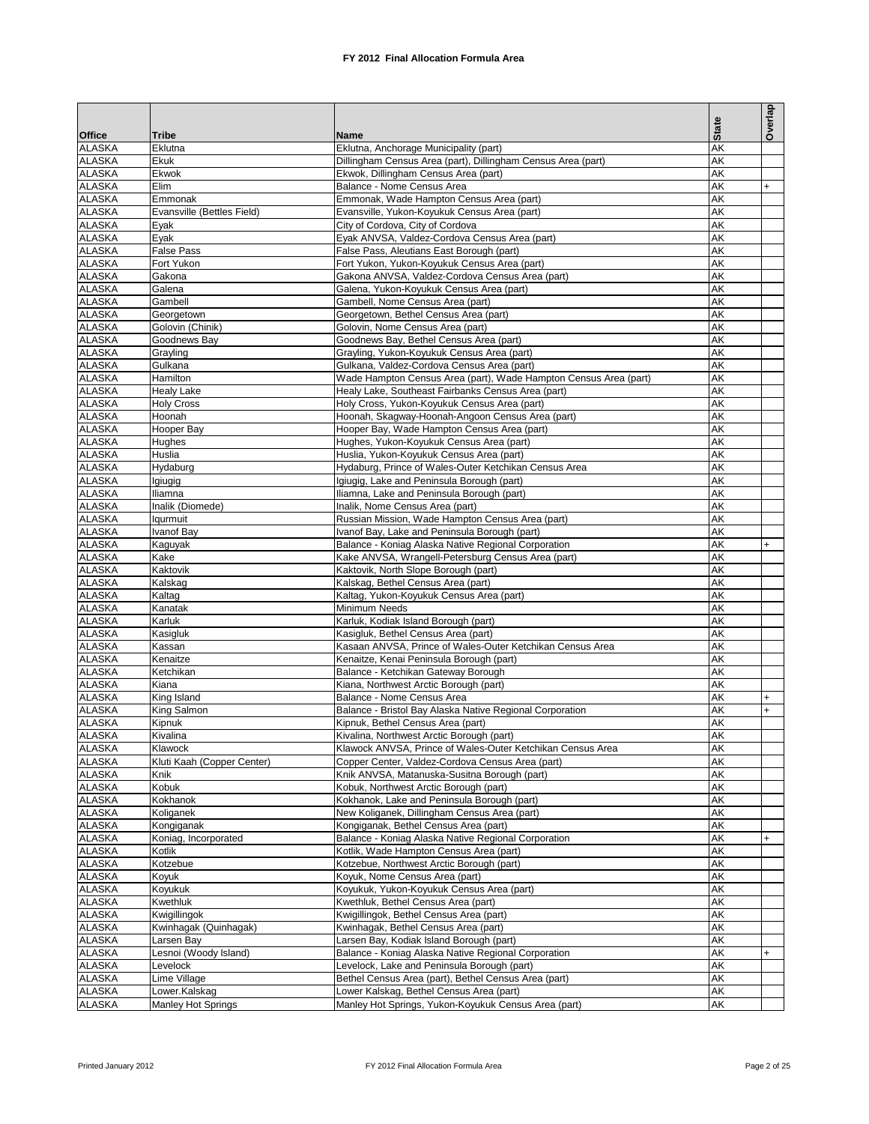|                                |                                        |                                                                                                           |              | Overlap |
|--------------------------------|----------------------------------------|-----------------------------------------------------------------------------------------------------------|--------------|---------|
|                                |                                        |                                                                                                           | <b>State</b> |         |
| Office<br><b>ALASKA</b>        | Tribe<br>Eklutna                       | Name<br>Eklutna, Anchorage Municipality (part)                                                            | AK           |         |
| <b>ALASKA</b>                  | Ekuk                                   | Dillingham Census Area (part), Dillingham Census Area (part)                                              | AK           |         |
| <b>ALASKA</b>                  | Ekwok                                  | Ekwok, Dillingham Census Area (part)                                                                      | AK           |         |
| <b>ALASKA</b>                  | Elim                                   | Balance - Nome Census Area                                                                                | AK           | $+$     |
| <b>ALASKA</b>                  | Emmonak                                | Emmonak, Wade Hampton Census Area (part)                                                                  | AK           |         |
| <b>ALASKA</b>                  | Evansville (Bettles Field)             | Evansville, Yukon-Koyukuk Census Area (part)                                                              | AK           |         |
| <b>ALASKA</b>                  | Eyak                                   | City of Cordova, City of Cordova                                                                          | AK           |         |
| <b>ALASKA</b>                  | Eyak                                   | Eyak ANVSA, Valdez-Cordova Census Area (part)                                                             | AK           |         |
| <b>ALASKA</b><br><b>ALASKA</b> | <b>False Pass</b><br>Fort Yukon        | False Pass, Aleutians East Borough (part)<br>Fort Yukon, Yukon-Koyukuk Census Area (part)                 | AK<br>AK     |         |
| <b>ALASKA</b>                  | Gakona                                 | Gakona ANVSA, Valdez-Cordova Census Area (part)                                                           | AK           |         |
| <b>ALASKA</b>                  | Galena                                 | Galena, Yukon-Koyukuk Census Area (part)                                                                  | AK           |         |
| <b>ALASKA</b>                  | Gambell                                | Gambell, Nome Census Area (part)                                                                          | AK           |         |
| <b>ALASKA</b>                  | Georgetown                             | Georgetown, Bethel Census Area (part)                                                                     | AK           |         |
| <b>ALASKA</b>                  | Golovin (Chinik)                       | Golovin, Nome Census Area (part)                                                                          | AK           |         |
| <b>ALASKA</b>                  | Goodnews Bay                           | Goodnews Bay, Bethel Census Area (part)                                                                   | AK           |         |
| <b>ALASKA</b>                  | Grayling                               | Grayling, Yukon-Koyukuk Census Area (part)                                                                | AK           |         |
| <b>ALASKA</b>                  | Gulkana                                | Gulkana, Valdez-Cordova Census Area (part)                                                                | AK           |         |
| <b>ALASKA</b>                  | Hamilton                               | Wade Hampton Census Area (part), Wade Hampton Census Area (part)                                          | AK<br>AK     |         |
| <b>ALASKA</b><br><b>ALASKA</b> | <b>Healy Lake</b><br><b>Holy Cross</b> | Healy Lake, Southeast Fairbanks Census Area (part)<br>Holy Cross, Yukon-Koyukuk Census Area (part)        | AK           |         |
| <b>ALASKA</b>                  | Hoonah                                 | Hoonah, Skagway-Hoonah-Angoon Census Area (part)                                                          | AK           |         |
| <b>ALASKA</b>                  | Hooper Bay                             | Hooper Bay, Wade Hampton Census Area (part)                                                               | AK           |         |
| <b>ALASKA</b>                  | Hughes                                 | Hughes, Yukon-Koyukuk Census Area (part)                                                                  | AK           |         |
| <b>ALASKA</b>                  | Huslia                                 | Huslia, Yukon-Koyukuk Census Area (part)                                                                  | AK           |         |
| <b>ALASKA</b>                  | Hydaburg                               | Hydaburg, Prince of Wales-Outer Ketchikan Census Area                                                     | AK           |         |
| <b>ALASKA</b>                  | lgiugig                                | Igiugig, Lake and Peninsula Borough (part)                                                                | AK           |         |
| <b>ALASKA</b>                  | Iliamna                                | Iliamna, Lake and Peninsula Borough (part)                                                                | AK           |         |
| <b>ALASKA</b>                  | Inalik (Diomede)                       | Inalik, Nome Census Area (part)                                                                           | AK           |         |
| <b>ALASKA</b>                  | lgurmuit                               | Russian Mission, Wade Hampton Census Area (part)                                                          | AK           |         |
| <b>ALASKA</b>                  | Ivanof Bay                             | Ivanof Bay, Lake and Peninsula Borough (part)                                                             | AK           |         |
| <b>ALASKA</b><br><b>ALASKA</b> | Kaguyak<br>Kake                        | Balance - Koniag Alaska Native Regional Corporation<br>Kake ANVSA, Wrangell-Petersburg Census Area (part) | AK<br>AK     | $+$     |
| <b>ALASKA</b>                  | Kaktovik                               | Kaktovik, North Slope Borough (part)                                                                      | AK           |         |
| <b>ALASKA</b>                  | Kalskag                                | Kalskag, Bethel Census Area (part)                                                                        | AK           |         |
| <b>ALASKA</b>                  | Kaltag                                 | Kaltag, Yukon-Koyukuk Census Area (part)                                                                  | AK           |         |
| <b>ALASKA</b>                  | Kanatak                                | Minimum Needs                                                                                             | AK           |         |
| <b>ALASKA</b>                  | Karluk                                 | Karluk, Kodiak Island Borough (part)                                                                      | AK           |         |
| <b>ALASKA</b>                  | Kasigluk                               | Kasigluk, Bethel Census Area (part)                                                                       | AK           |         |
| <b>ALASKA</b>                  | Kassan                                 | Kasaan ANVSA, Prince of Wales-Outer Ketchikan Census Area                                                 | AK           |         |
| <b>ALASKA</b>                  | Kenaitze                               | Kenaitze, Kenai Peninsula Borough (part)                                                                  | AK           |         |
| <b>ALASKA</b><br><b>ALASKA</b> | Ketchikan<br>Kiana                     | Balance - Ketchikan Gateway Borough<br>Kiana, Northwest Arctic Borough (part)                             | AK<br>AK     |         |
| <b>ALASKA</b>                  | King Island                            | Balance - Nome Census Area                                                                                | AK           | $+$     |
| <b>ALASKA</b>                  | King Salmon                            | Balance - Bristol Bay Alaska Native Regional Corporation                                                  | AK           | $+$     |
| <b>ALASKA</b>                  | Kipnuk                                 | Kipnuk, Bethel Census Area (part)                                                                         | AK           |         |
| <b>ALASKA</b>                  | Kivalina                               | Kivalina, Northwest Arctic Borough (part)                                                                 | AK           |         |
| <b>ALASKA</b>                  | Klawock                                | Klawock ANVSA, Prince of Wales-Outer Ketchikan Census Area                                                | AK           |         |
| ALASKA                         | Kluti Kaah (Copper Center)             | Copper Center, Valdez-Cordova Census Area (part)                                                          | AK           |         |
| <b>ALASKA</b>                  | Knik                                   | Knik ANVSA, Matanuska-Susitna Borough (part)                                                              | AK           |         |
| <b>ALASKA</b>                  | Kobuk                                  | Kobuk, Northwest Arctic Borough (part)                                                                    | AK           |         |
| ALASKA<br><b>ALASKA</b>        | Kokhanok<br>Koliganek                  | Kokhanok, Lake and Peninsula Borough (part)<br>New Koliganek, Dillingham Census Area (part)               | AK<br>AK     |         |
| ALASKA                         | Kongiganak                             | Kongiganak, Bethel Census Area (part)                                                                     | AK           |         |
| <b>ALASKA</b>                  | Koniag, Incorporated                   | Balance - Koniag Alaska Native Regional Corporation                                                       | AK           | $+$     |
| ALASKA                         | Kotlik                                 | Kotlik, Wade Hampton Census Area (part)                                                                   | AK           |         |
| <b>ALASKA</b>                  | Kotzebue                               | Kotzebue, Northwest Arctic Borough (part)                                                                 | AK           |         |
| <b>ALASKA</b>                  | Koyuk                                  | Koyuk, Nome Census Area (part)                                                                            | AK           |         |
| <b>ALASKA</b>                  | Koyukuk                                | Koyukuk, Yukon-Koyukuk Census Area (part)                                                                 | AK           |         |
| ALASKA                         | Kwethluk                               | Kwethluk, Bethel Census Area (part)                                                                       | AK           |         |
| <b>ALASKA</b>                  | Kwigillingok                           | Kwigillingok, Bethel Census Area (part)                                                                   | AK           |         |
| <b>ALASKA</b><br><b>ALASKA</b> | Kwinhagak (Quinhagak)                  | Kwinhagak, Bethel Census Area (part)<br>Larsen Bay, Kodiak Island Borough (part)                          | AK<br>AK     |         |
| ALASKA                         | Larsen Bay<br>Lesnoi (Woody Island)    | Balance - Koniag Alaska Native Regional Corporation                                                       | AK           | $+$     |
| <b>ALASKA</b>                  | Levelock                               | Levelock, Lake and Peninsula Borough (part)                                                               | AK           |         |
| ALASKA                         | Lime Village                           | Bethel Census Area (part), Bethel Census Area (part)                                                      | AK           |         |
| <b>ALASKA</b>                  | Lower.Kalskag                          | Lower Kalskag, Bethel Census Area (part)                                                                  | AK           |         |
| ALASKA                         | <b>Manley Hot Springs</b>              | Manley Hot Springs, Yukon-Koyukuk Census Area (part)                                                      | AK           |         |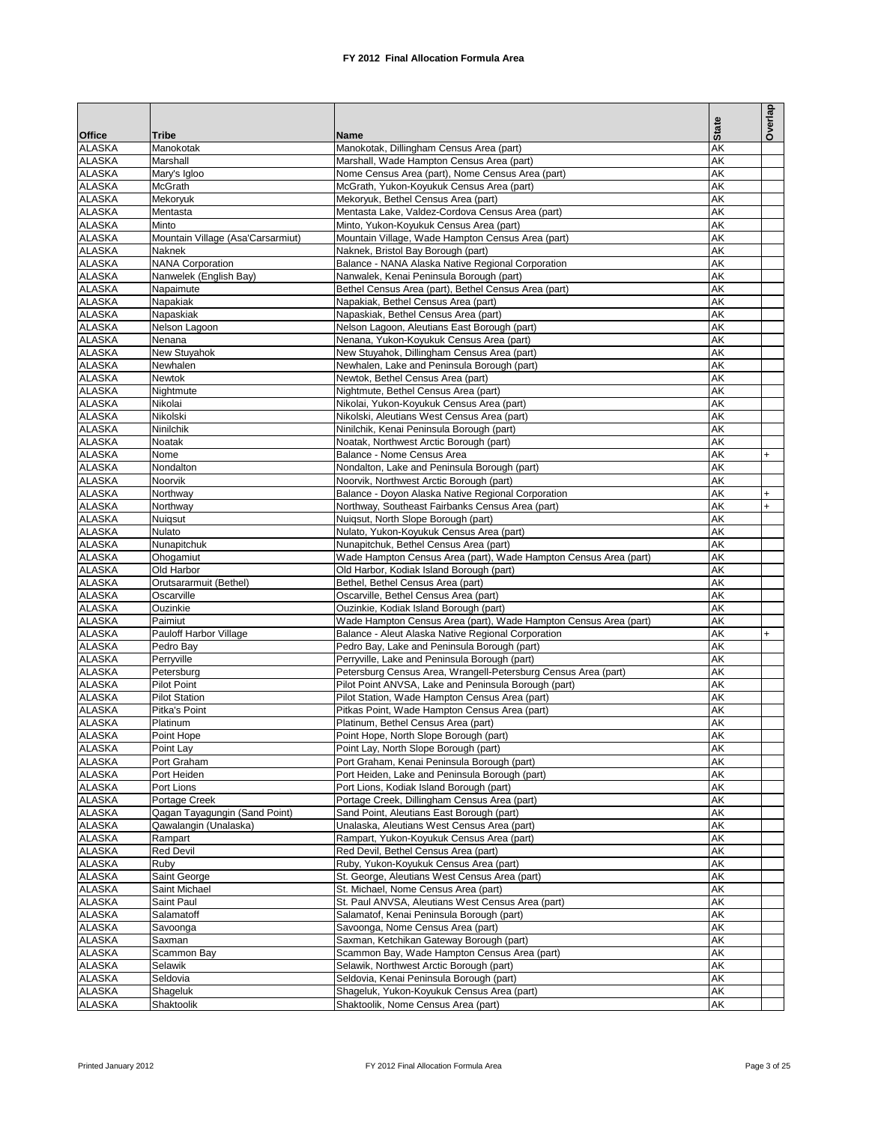|                                | Tribe                                       | Name                                                                                                                   | <b>State</b> | Overlap          |
|--------------------------------|---------------------------------------------|------------------------------------------------------------------------------------------------------------------------|--------------|------------------|
| <b>Office</b><br><b>ALASKA</b> | Manokotak                                   | Manokotak, Dillingham Census Area (part)                                                                               | AK           |                  |
| <b>ALASKA</b>                  | Marshall                                    | Marshall, Wade Hampton Census Area (part)                                                                              | AK           |                  |
| <b>ALASKA</b>                  | Mary's Igloo                                | Nome Census Area (part), Nome Census Area (part)                                                                       | AK           |                  |
| <b>ALASKA</b>                  | McGrath                                     | McGrath, Yukon-Koyukuk Census Area (part)                                                                              | AK           |                  |
| <b>ALASKA</b>                  | Mekoryuk                                    | Mekoryuk, Bethel Census Area (part)                                                                                    | AK           |                  |
| <b>ALASKA</b>                  | Mentasta                                    | Mentasta Lake, Valdez-Cordova Census Area (part)                                                                       | AK           |                  |
| <b>ALASKA</b><br><b>ALASKA</b> | Minto                                       | Minto, Yukon-Koyukuk Census Area (part)                                                                                | AK           |                  |
| <b>ALASKA</b>                  | Mountain Village (Asa'Carsarmiut)<br>Naknek | Mountain Village, Wade Hampton Census Area (part)<br>Naknek, Bristol Bay Borough (part)                                | AK<br>AK     |                  |
| <b>ALASKA</b>                  | <b>NANA Corporation</b>                     | Balance - NANA Alaska Native Regional Corporation                                                                      | AK           |                  |
| <b>ALASKA</b>                  | Nanwelek (English Bay)                      | Nanwalek, Kenai Peninsula Borough (part)                                                                               | AK           |                  |
| <b>ALASKA</b>                  | Napaimute                                   | Bethel Census Area (part), Bethel Census Area (part)                                                                   | AK           |                  |
| <b>ALASKA</b>                  | Napakiak                                    | Napakiak, Bethel Census Area (part)                                                                                    | AK           |                  |
| <b>ALASKA</b>                  | Napaskiak                                   | Napaskiak, Bethel Census Area (part)                                                                                   | AK           |                  |
| <b>ALASKA</b>                  | Nelson Lagoon                               | Nelson Lagoon, Aleutians East Borough (part)                                                                           | AK           |                  |
| <b>ALASKA</b>                  | Nenana                                      | Nenana, Yukon-Koyukuk Census Area (part)                                                                               | AK           |                  |
| <b>ALASKA</b><br><b>ALASKA</b> | New Stuyahok                                | New Stuyahok, Dillingham Census Area (part)<br>Newhalen, Lake and Peninsula Borough (part)                             | AK<br>AK     |                  |
| <b>ALASKA</b>                  | Newhalen<br>Newtok                          | Newtok, Bethel Census Area (part)                                                                                      | AK           |                  |
| <b>ALASKA</b>                  | Nightmute                                   | Nightmute, Bethel Census Area (part)                                                                                   | AK           |                  |
| <b>ALASKA</b>                  | Nikolai                                     | Nikolai, Yukon-Koyukuk Census Area (part)                                                                              | AK           |                  |
| <b>ALASKA</b>                  | Nikolski                                    | Nikolski, Aleutians West Census Area (part)                                                                            | AK           |                  |
| <b>ALASKA</b>                  | Ninilchik                                   | Ninilchik, Kenai Peninsula Borough (part)                                                                              | AK           |                  |
| <b>ALASKA</b>                  | Noatak                                      | Noatak, Northwest Arctic Borough (part)                                                                                | AK           |                  |
| <b>ALASKA</b>                  | Nome                                        | Balance - Nome Census Area                                                                                             | AK           | $+$              |
| <b>ALASKA</b>                  | Nondalton                                   | Nondalton, Lake and Peninsula Borough (part)                                                                           | AK           |                  |
| <b>ALASKA</b>                  | Noorvik                                     | Noorvik, Northwest Arctic Borough (part)                                                                               | AK           |                  |
| <b>ALASKA</b><br><b>ALASKA</b> | Northway                                    | Balance - Doyon Alaska Native Regional Corporation                                                                     | AK<br>AK     | $+$<br>$\ddot{}$ |
| <b>ALASKA</b>                  | Northway<br>Nuigsut                         | Northway, Southeast Fairbanks Census Area (part)<br>Nuigsut, North Slope Borough (part)                                | AK           |                  |
| <b>ALASKA</b>                  | Nulato                                      | Nulato, Yukon-Koyukuk Census Area (part)                                                                               | AK           |                  |
| <b>ALASKA</b>                  | Nunapitchuk                                 | Nunapitchuk, Bethel Census Area (part)                                                                                 | AK           |                  |
| <b>ALASKA</b>                  | Ohogamiut                                   | Wade Hampton Census Area (part), Wade Hampton Census Area (part)                                                       | AK           |                  |
| <b>ALASKA</b>                  | Old Harbor                                  | Old Harbor, Kodiak Island Borough (part)                                                                               | AK           |                  |
| <b>ALASKA</b>                  | Orutsararmuit (Bethel)                      | Bethel, Bethel Census Area (part)                                                                                      | AK           |                  |
| <b>ALASKA</b>                  | Oscarville                                  | Oscarville, Bethel Census Area (part)                                                                                  | AK           |                  |
| <b>ALASKA</b>                  | Ouzinkie                                    | Ouzinkie, Kodiak Island Borough (part)                                                                                 | AK           |                  |
| <b>ALASKA</b><br><b>ALASKA</b> | Paimiut<br>Pauloff Harbor Village           | Wade Hampton Census Area (part), Wade Hampton Census Area (part)<br>Balance - Aleut Alaska Native Regional Corporation | AK<br>AK     | $\ddot{}$        |
| <b>ALASKA</b>                  | Pedro Bay                                   | Pedro Bay, Lake and Peninsula Borough (part)                                                                           | AK           |                  |
| <b>ALASKA</b>                  | Perryville                                  | Perryville, Lake and Peninsula Borough (part)                                                                          | AK           |                  |
| <b>ALASKA</b>                  | Petersburg                                  | Petersburg Census Area, Wrangell-Petersburg Census Area (part)                                                         | AK           |                  |
| <b>ALASKA</b>                  | Pilot Point                                 | Pilot Point ANVSA, Lake and Peninsula Borough (part)                                                                   | AK           |                  |
| <b>ALASKA</b>                  | <b>Pilot Station</b>                        | Pilot Station, Wade Hampton Census Area (part)                                                                         | AK           |                  |
| <b>ALASKA</b>                  | Pitka's Point                               | Pitkas Point, Wade Hampton Census Area (part)                                                                          | AK           |                  |
| <b>ALASKA</b>                  | Platinum                                    | Platinum, Bethel Census Area (part)                                                                                    | AK           |                  |
| <b>ALASKA</b>                  | Point Hope                                  | Point Hope, North Slope Borough (part)                                                                                 | AK           |                  |
| <b>ALASKA</b><br><b>ALASKA</b> | Point Lay<br>Port Graham                    | Point Lay, North Slope Borough (part)<br>Port Graham, Kenai Peninsula Borough (part)                                   | AK<br>AK     |                  |
| <b>ALASKA</b>                  | Port Heiden                                 | Port Heiden, Lake and Peninsula Borough (part)                                                                         | AK           |                  |
| <b>ALASKA</b>                  | Port Lions                                  | Port Lions, Kodiak Island Borough (part)                                                                               | AK           |                  |
| <b>ALASKA</b>                  | Portage Creek                               | Portage Creek, Dillingham Census Area (part)                                                                           | AK           |                  |
| <b>ALASKA</b>                  | Qagan Tayagungin (Sand Point)               | Sand Point, Aleutians East Borough (part)                                                                              | AK           |                  |
| <b>ALASKA</b>                  | Qawalangin (Unalaska)                       | Unalaska, Aleutians West Census Area (part)                                                                            | AK           |                  |
| <b>ALASKA</b>                  | Rampart                                     | Rampart, Yukon-Koyukuk Census Area (part)                                                                              | AK           |                  |
| <b>ALASKA</b>                  | Red Devil                                   | Red Devil, Bethel Census Area (part)                                                                                   | AK           |                  |
| <b>ALASKA</b><br><b>ALASKA</b> | Ruby                                        | Ruby, Yukon-Koyukuk Census Area (part)<br>St. George, Aleutians West Census Area (part)                                | AK<br>AK     |                  |
| <b>ALASKA</b>                  | Saint George<br>Saint Michael               | St. Michael, Nome Census Area (part)                                                                                   | AK           |                  |
| <b>ALASKA</b>                  | Saint Paul                                  | St. Paul ANVSA, Aleutians West Census Area (part)                                                                      | AK           |                  |
| <b>ALASKA</b>                  | Salamatoff                                  | Salamatof, Kenai Peninsula Borough (part)                                                                              | AK           |                  |
| <b>ALASKA</b>                  | Savoonga                                    | Savoonga, Nome Census Area (part)                                                                                      | AK           |                  |
| <b>ALASKA</b>                  | Saxman                                      | Saxman, Ketchikan Gateway Borough (part)                                                                               | AK           |                  |
| <b>ALASKA</b>                  | Scammon Bay                                 | Scammon Bay, Wade Hampton Census Area (part)                                                                           | AK           |                  |
| <b>ALASKA</b>                  | Selawik                                     | Selawik, Northwest Arctic Borough (part)                                                                               | AK           |                  |
| ALASKA                         | Seldovia                                    | Seldovia, Kenai Peninsula Borough (part)                                                                               | AK           |                  |
| <b>ALASKA</b><br><b>ALASKA</b> | Shageluk                                    | Shageluk, Yukon-Koyukuk Census Area (part)<br>Shaktoolik, Nome Census Area (part)                                      | AK           |                  |
|                                | Shaktoolik                                  |                                                                                                                        | AΚ           |                  |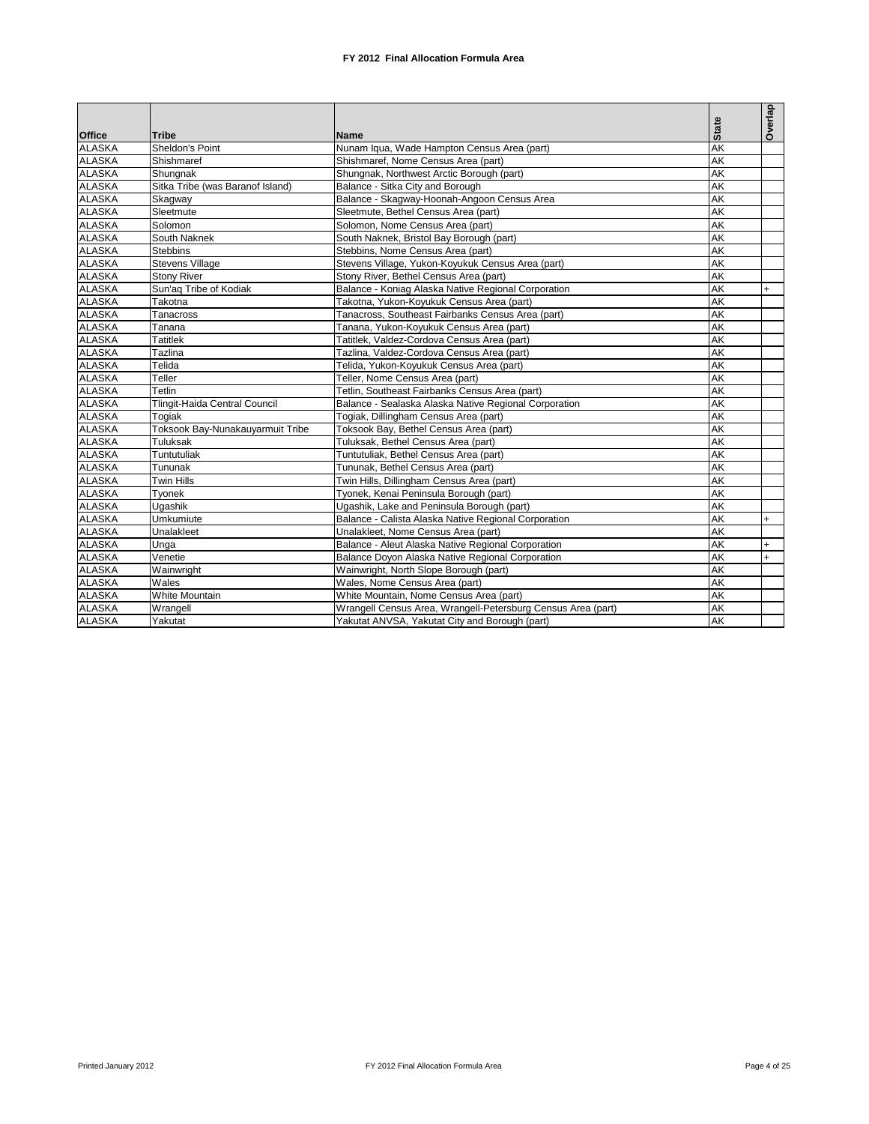|               |                                  |                                                              |              | Overlap |
|---------------|----------------------------------|--------------------------------------------------------------|--------------|---------|
| <b>Office</b> | <b>Tribe</b>                     | Name                                                         | <b>State</b> |         |
| <b>ALASKA</b> | Sheldon's Point                  | Nunam Iqua, Wade Hampton Census Area (part)                  | <b>AK</b>    |         |
| <b>ALASKA</b> | Shishmaref                       | Shishmaref, Nome Census Area (part)                          | AK           |         |
| <b>ALASKA</b> | Shungnak                         | Shungnak, Northwest Arctic Borough (part)                    | AK           |         |
| <b>ALASKA</b> | Sitka Tribe (was Baranof Island) | Balance - Sitka City and Borough                             | <b>AK</b>    |         |
| <b>ALASKA</b> | Skagway                          | Balance - Skagway-Hoonah-Angoon Census Area                  | AK           |         |
| <b>ALASKA</b> | Sleetmute                        | Sleetmute, Bethel Census Area (part)                         | <b>AK</b>    |         |
| <b>ALASKA</b> | Solomon                          | Solomon, Nome Census Area (part)                             | AK           |         |
| <b>ALASKA</b> | South Naknek                     | South Naknek, Bristol Bay Borough (part)                     | AK           |         |
| <b>ALASKA</b> | <b>Stebbins</b>                  | Stebbins, Nome Census Area (part)                            | AK           |         |
| <b>ALASKA</b> | <b>Stevens Village</b>           | Stevens Village, Yukon-Koyukuk Census Area (part)            | <b>AK</b>    |         |
| <b>ALASKA</b> | <b>Stony River</b>               | Stony River, Bethel Census Area (part)                       | <b>AK</b>    |         |
| <b>ALASKA</b> | Sun'ag Tribe of Kodiak           | Balance - Koniag Alaska Native Regional Corporation          | <b>AK</b>    | $+$     |
| <b>ALASKA</b> | Takotna                          | Takotna, Yukon-Koyukuk Census Area (part)                    | AK           |         |
| <b>ALASKA</b> | Tanacross                        | Tanacross, Southeast Fairbanks Census Area (part)            | AK           |         |
| <b>ALASKA</b> | Tanana                           | Tanana, Yukon-Koyukuk Census Area (part)                     | <b>AK</b>    |         |
| <b>ALASKA</b> | <b>Tatitlek</b>                  | Tatitlek, Valdez-Cordova Census Area (part)                  | <b>AK</b>    |         |
| <b>ALASKA</b> | Tazlina                          | Tazlina. Valdez-Cordova Census Area (part)                   | <b>AK</b>    |         |
| <b>ALASKA</b> | Telida                           | Telida, Yukon-Koyukuk Census Area (part)                     | AK           |         |
| <b>ALASKA</b> | Teller                           | Teller, Nome Census Area (part)                              | AK           |         |
| <b>ALASKA</b> | Tetlin                           | Tetlin, Southeast Fairbanks Census Area (part)               | AK           |         |
| <b>ALASKA</b> | Tlingit-Haida Central Council    | Balance - Sealaska Alaska Native Regional Corporation        | <b>AK</b>    |         |
| <b>ALASKA</b> | Togiak                           | Togiak, Dillingham Census Area (part)                        | <b>AK</b>    |         |
| <b>ALASKA</b> | Toksook Bay-Nunakauyarmuit Tribe | Toksook Bay, Bethel Census Area (part)                       | <b>AK</b>    |         |
| <b>ALASKA</b> | Tuluksak                         | Tuluksak. Bethel Census Area (part)                          | AK           |         |
| <b>ALASKA</b> | Tuntutuliak                      | Tuntutuliak, Bethel Census Area (part)                       | AK           |         |
| <b>ALASKA</b> | Tununak                          | Tununak, Bethel Census Area (part)                           | <b>AK</b>    |         |
| <b>ALASKA</b> | <b>Twin Hills</b>                | Twin Hills, Dillingham Census Area (part)                    | <b>AK</b>    |         |
| <b>ALASKA</b> | Tyonek                           | Tyonek, Kenai Peninsula Borough (part)                       | AK           |         |
| <b>ALASKA</b> | Ugashik                          | Ugashik, Lake and Peninsula Borough (part)                   | AK           |         |
| <b>ALASKA</b> | Umkumiute                        | Balance - Calista Alaska Native Regional Corporation         | AK           | $+$     |
| <b>ALASKA</b> | Unalakleet                       | Unalakleet, Nome Census Area (part)                          | AK           |         |
| <b>ALASKA</b> | Unga                             | Balance - Aleut Alaska Native Regional Corporation           | AK           | $+$     |
| <b>ALASKA</b> | Venetie                          | Balance Doyon Alaska Native Regional Corporation             | AK           | $+$     |
| <b>ALASKA</b> | Wainwright                       | Wainwright, North Slope Borough (part)                       | AK           |         |
| <b>ALASKA</b> | Wales                            | Wales, Nome Census Area (part)                               | AK           |         |
| <b>ALASKA</b> | White Mountain                   | White Mountain, Nome Census Area (part)                      | AK           |         |
| <b>ALASKA</b> | Wrangell                         | Wrangell Census Area, Wrangell-Petersburg Census Area (part) | AK           |         |
| <b>ALASKA</b> | Yakutat                          | Yakutat ANVSA, Yakutat City and Borough (part)               | <b>AK</b>    |         |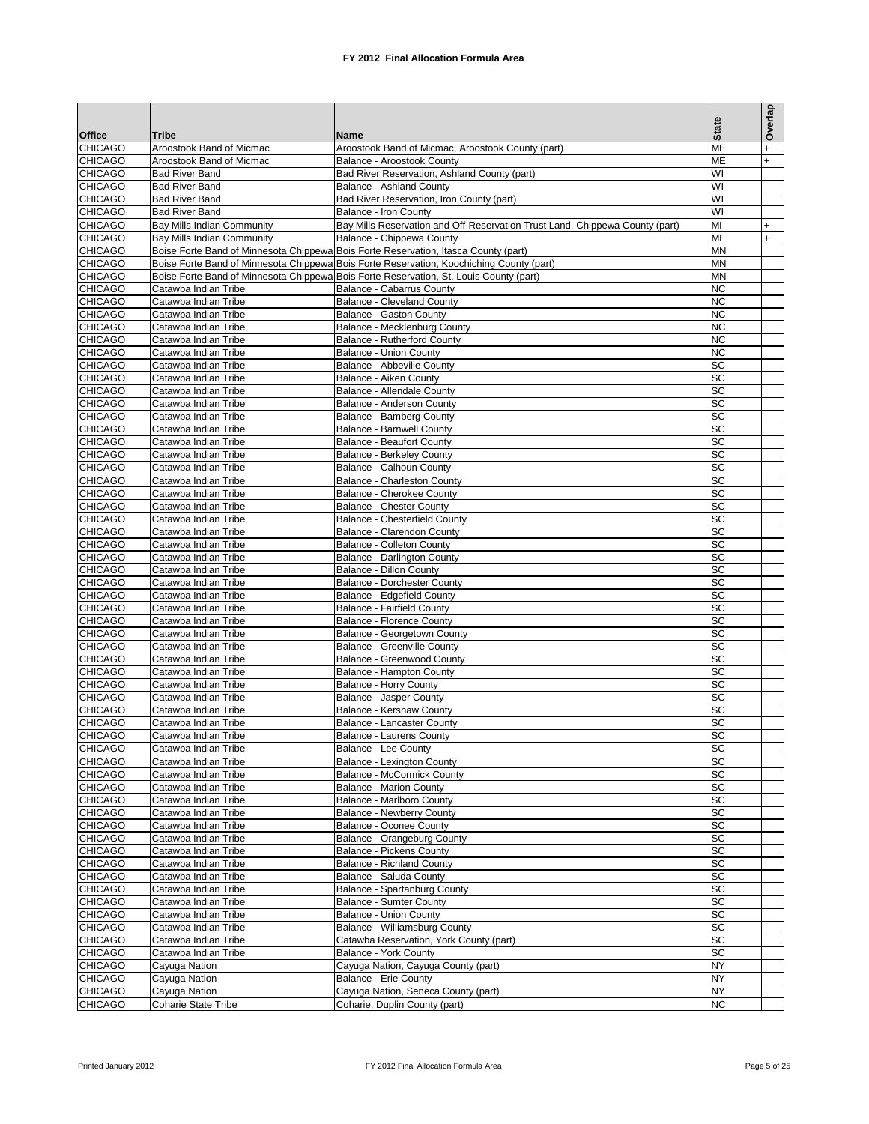|                                  |                                                          |                                                                                                           |                              | Overlap                |
|----------------------------------|----------------------------------------------------------|-----------------------------------------------------------------------------------------------------------|------------------------------|------------------------|
|                                  | <b>Tribe</b>                                             | Name                                                                                                      | <b>State</b>                 |                        |
| <b>Office</b><br><b>CHICAGO</b>  | Aroostook Band of Micmac                                 | Aroostook Band of Micmac, Aroostook County (part)                                                         | <b>ME</b>                    | $\ddot{}$              |
| <b>CHICAGO</b>                   | Aroostook Band of Micmac                                 | Balance - Aroostook County                                                                                | <b>ME</b>                    | $\ddot{}$              |
| <b>CHICAGO</b>                   | <b>Bad River Band</b>                                    | Bad River Reservation, Ashland County (part)                                                              | WI                           |                        |
| <b>CHICAGO</b>                   | <b>Bad River Band</b>                                    | <b>Balance - Ashland County</b>                                                                           | WI                           |                        |
| <b>CHICAGO</b>                   | <b>Bad River Band</b>                                    | Bad River Reservation, Iron County (part)                                                                 | WI                           |                        |
| <b>CHICAGO</b>                   | <b>Bad River Band</b>                                    | Balance - Iron County                                                                                     | WI                           |                        |
| <b>CHICAGO</b><br><b>CHICAGO</b> | Bay Mills Indian Community<br>Bay Mills Indian Community | Bay Mills Reservation and Off-Reservation Trust Land, Chippewa County (part)<br>Balance - Chippewa County | MI<br>MI                     | $\ddot{}$<br>$\ddot{}$ |
| <b>CHICAGO</b>                   |                                                          | Boise Forte Band of Minnesota Chippewa Bois Forte Reservation, Itasca County (part)                       | <b>MN</b>                    |                        |
| <b>CHICAGO</b>                   |                                                          | Boise Forte Band of Minnesota Chippewa Bois Forte Reservation, Koochiching County (part)                  | <b>MN</b>                    |                        |
| <b>CHICAGO</b>                   |                                                          | Boise Forte Band of Minnesota Chippewa Bois Forte Reservation, St. Louis County (part)                    | <b>MN</b>                    |                        |
| <b>CHICAGO</b>                   | Catawba Indian Tribe                                     | Balance - Cabarrus County                                                                                 | <b>NC</b>                    |                        |
| <b>CHICAGO</b>                   | Catawba Indian Tribe                                     | <b>Balance - Cleveland County</b>                                                                         | <b>NC</b>                    |                        |
| <b>CHICAGO</b>                   | Catawba Indian Tribe                                     | Balance - Gaston County                                                                                   | К                            |                        |
| <b>CHICAGO</b><br><b>CHICAGO</b> | Catawba Indian Tribe                                     | Balance - Mecklenburg County                                                                              | <b>NC</b><br><b>NC</b>       |                        |
| <b>CHICAGO</b>                   | Catawba Indian Tribe<br>Catawba Indian Tribe             | Balance - Rutherford County<br>Balance - Union County                                                     | <b>NC</b>                    |                        |
| <b>CHICAGO</b>                   | Catawba Indian Tribe                                     | Balance - Abbeville County                                                                                | SC                           |                        |
| <b>CHICAGO</b>                   | Catawba Indian Tribe                                     | Balance - Aiken County                                                                                    | SC                           |                        |
| <b>CHICAGO</b>                   | Catawba Indian Tribe                                     | Balance - Allendale County                                                                                | SC                           |                        |
| <b>CHICAGO</b>                   | Catawba Indian Tribe                                     | Balance - Anderson County                                                                                 | $\overline{SC}$              |                        |
| <b>CHICAGO</b>                   | Catawba Indian Tribe                                     | Balance - Bamberg County                                                                                  | <b>SC</b>                    |                        |
| <b>CHICAGO</b>                   | Catawba Indian Tribe                                     | Balance - Barnwell County                                                                                 | SC                           |                        |
| <b>CHICAGO</b>                   | Catawba Indian Tribe                                     | <b>Balance - Beaufort County</b>                                                                          | <b>SC</b>                    |                        |
| <b>CHICAGO</b>                   | Catawba Indian Tribe<br>Catawba Indian Tribe             | <b>Balance - Berkeley County</b>                                                                          | $\overline{sc}$              |                        |
| <b>CHICAGO</b><br><b>CHICAGO</b> | Catawba Indian Tribe                                     | Balance - Calhoun County<br>Balance - Charleston County                                                   | <b>SC</b><br>$\overline{sc}$ |                        |
| <b>CHICAGO</b>                   | Catawba Indian Tribe                                     | <b>Balance - Cherokee County</b>                                                                          | <b>SC</b>                    |                        |
| <b>CHICAGO</b>                   | Catawba Indian Tribe                                     | Balance - Chester County                                                                                  | <b>SC</b>                    |                        |
| <b>CHICAGO</b>                   | Catawba Indian Tribe                                     | Balance - Chesterfield County                                                                             | <b>SC</b>                    |                        |
| <b>CHICAGO</b>                   | Catawba Indian Tribe                                     | Balance - Clarendon County                                                                                | <b>SC</b>                    |                        |
| <b>CHICAGO</b>                   | Catawba Indian Tribe                                     | Balance - Colleton County                                                                                 | <b>SC</b>                    |                        |
| <b>CHICAGO</b>                   | Catawba Indian Tribe                                     | Balance - Darlington County                                                                               | <b>SC</b>                    |                        |
| <b>CHICAGO</b>                   | Catawba Indian Tribe                                     | Balance - Dillon County                                                                                   | <b>SC</b>                    |                        |
| <b>CHICAGO</b><br><b>CHICAGO</b> | Catawba Indian Tribe<br>Catawba Indian Tribe             | <b>Balance - Dorchester County</b><br>Balance - Edgefield County                                          | SC<br><b>SC</b>              |                        |
| <b>CHICAGO</b>                   | Catawba Indian Tribe                                     | Balance - Fairfield County                                                                                | $\overline{SC}$              |                        |
| <b>CHICAGO</b>                   | Catawba Indian Tribe                                     | <b>Balance - Florence County</b>                                                                          | <b>SC</b>                    |                        |
| <b>CHICAGO</b>                   | Catawba Indian Tribe                                     | Balance - Georgetown County                                                                               | SC                           |                        |
| <b>CHICAGO</b>                   | Catawba Indian Tribe                                     | <b>Balance - Greenville County</b>                                                                        | <b>SC</b>                    |                        |
| <b>CHICAGO</b>                   | Catawba Indian Tribe                                     | Balance - Greenwood County                                                                                | SC                           |                        |
| <b>CHICAGO</b>                   | Catawba Indian Tribe                                     | Balance - Hampton County                                                                                  | <b>SC</b>                    |                        |
| <b>CHICAGO</b>                   | Catawba Indian Tribe                                     | <b>Balance - Horry County</b>                                                                             | <b>SC</b>                    |                        |
| <b>CHICAGO</b><br><b>CHICAGO</b> | Catawba Indian Tribe<br>Catawba Indian Tribe             | <b>Balance - Jasper County</b><br>Balance - Kershaw County                                                | <b>SC</b><br>SC              |                        |
| <b>CHICAGO</b>                   | Catawba Indian Tribe                                     | Balance - Lancaster County                                                                                | SC                           |                        |
| <b>CHICAGO</b>                   | Catawba Indian Tribe                                     | Balance - Laurens County                                                                                  | <b>SC</b>                    |                        |
| <b>CHICAGO</b>                   | Catawba Indian Tribe                                     | <b>Balance - Lee County</b>                                                                               | <b>SC</b>                    |                        |
| <b>CHICAGO</b>                   | Catawba Indian Tribe                                     | <b>Balance - Lexington County</b>                                                                         | SC                           |                        |
| <b>CHICAGO</b>                   | Catawba Indian Tribe                                     | <b>Balance - McCormick County</b>                                                                         | <b>SC</b>                    |                        |
| <b>CHICAGO</b>                   | Catawba Indian Tribe                                     | <b>Balance - Marion County</b>                                                                            | <b>SC</b>                    |                        |
| <b>CHICAGO</b>                   | Catawba Indian Tribe                                     | Balance - Marlboro County                                                                                 | SC                           |                        |
| <b>CHICAGO</b><br><b>CHICAGO</b> | Catawba Indian Tribe                                     | Balance - Newberry County                                                                                 | <b>SC</b><br><b>SC</b>       |                        |
| <b>CHICAGO</b>                   | Catawba Indian Tribe<br>Catawba Indian Tribe             | <b>Balance - Oconee County</b><br>Balance - Orangeburg County                                             | <b>SC</b>                    |                        |
| <b>CHICAGO</b>                   | Catawba Indian Tribe                                     | Balance - Pickens County                                                                                  | <b>SC</b>                    |                        |
| <b>CHICAGO</b>                   | Catawba Indian Tribe                                     | <b>Balance - Richland County</b>                                                                          | <b>SC</b>                    |                        |
| <b>CHICAGO</b>                   | Catawba Indian Tribe                                     | Balance - Saluda County                                                                                   | <b>SC</b>                    |                        |
| <b>CHICAGO</b>                   | Catawba Indian Tribe                                     | Balance - Spartanburg County                                                                              | <b>SC</b>                    |                        |
| <b>CHICAGO</b>                   | Catawba Indian Tribe                                     | Balance - Sumter County                                                                                   | <b>SC</b>                    |                        |
| <b>CHICAGO</b>                   | Catawba Indian Tribe                                     | <b>Balance - Union County</b>                                                                             | <b>SC</b>                    |                        |
| <b>CHICAGO</b>                   | Catawba Indian Tribe                                     | Balance - Williamsburg County                                                                             | <b>SC</b>                    |                        |
| <b>CHICAGO</b>                   | Catawba Indian Tribe                                     | Catawba Reservation, York County (part)                                                                   | <b>SC</b><br><b>SC</b>       |                        |
| <b>CHICAGO</b><br><b>CHICAGO</b> | Catawba Indian Tribe<br>Cayuga Nation                    | Balance - York County<br>Cayuga Nation, Cayuga County (part)                                              | <b>NY</b>                    |                        |
| <b>CHICAGO</b>                   | Cayuga Nation                                            | Balance - Erie County                                                                                     | <b>NY</b>                    |                        |
| <b>CHICAGO</b>                   | Cayuga Nation                                            | Cayuga Nation, Seneca County (part)                                                                       | <b>NY</b>                    |                        |
| <b>CHICAGO</b>                   | Coharie State Tribe                                      | Coharie, Duplin County (part)                                                                             | <b>NC</b>                    |                        |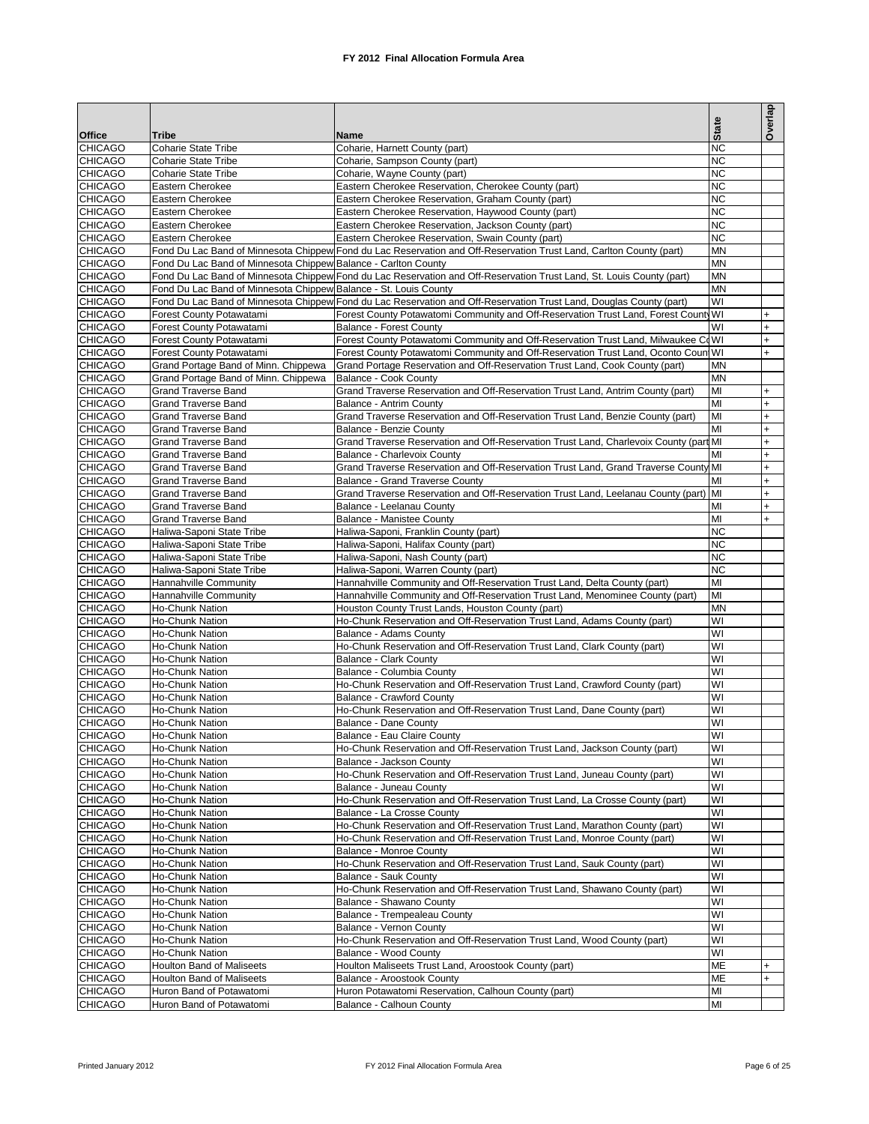|                                  |                                                                    |                                                                                                                       | <b>State</b>           | Overlap          |
|----------------------------------|--------------------------------------------------------------------|-----------------------------------------------------------------------------------------------------------------------|------------------------|------------------|
| <b>Office</b><br><b>CHICAGO</b>  | <b>Tribe</b><br><b>Coharie State Tribe</b>                         | Name<br>Coharie, Harnett County (part)                                                                                | <b>NC</b>              |                  |
| <b>CHICAGO</b>                   | <b>Coharie State Tribe</b>                                         | Coharie, Sampson County (part)                                                                                        | <b>NC</b>              |                  |
| <b>CHICAGO</b>                   | <b>Coharie State Tribe</b>                                         | Coharie, Wayne County (part)                                                                                          | <b>NC</b>              |                  |
| <b>CHICAGO</b>                   | Eastern Cherokee                                                   | Eastern Cherokee Reservation, Cherokee County (part)                                                                  | <b>NC</b>              |                  |
| <b>CHICAGO</b>                   | Eastern Cherokee                                                   | Eastern Cherokee Reservation, Graham County (part)                                                                    | <b>NC</b>              |                  |
| <b>CHICAGO</b>                   | Eastern Cherokee                                                   | Eastern Cherokee Reservation, Haywood County (part)                                                                   | <b>NC</b>              |                  |
| <b>CHICAGO</b>                   | Eastern Cherokee                                                   | Eastern Cherokee Reservation, Jackson County (part)                                                                   | <b>NC</b>              |                  |
| <b>CHICAGO</b>                   | Eastern Cherokee                                                   | Eastern Cherokee Reservation, Swain County (part)                                                                     | <b>NC</b>              |                  |
| <b>CHICAGO</b><br><b>CHICAGO</b> | Fond Du Lac Band of Minnesota Chippew Balance - Carlton County     | Fond Du Lac Band of Minnesota Chippew Fond du Lac Reservation and Off-Reservation Trust Land, Carlton County (part)   | <b>MN</b><br><b>MN</b> |                  |
| <b>CHICAGO</b>                   |                                                                    | Fond Du Lac Band of Minnesota Chippew Fond du Lac Reservation and Off-Reservation Trust Land, St. Louis County (part) | <b>MN</b>              |                  |
| <b>CHICAGO</b>                   | Fond Du Lac Band of Minnesota Chippew Balance - St. Louis County   |                                                                                                                       | <b>MN</b>              |                  |
| <b>CHICAGO</b>                   |                                                                    | Fond Du Lac Band of Minnesota Chippew Fond du Lac Reservation and Off-Reservation Trust Land, Douglas County (part)   | WI                     |                  |
| <b>CHICAGO</b>                   | Forest County Potawatami                                           | Forest County Potawatomi Community and Off-Reservation Trust Land, Forest County WI                                   |                        | $\ddot{}$        |
| <b>CHICAGO</b>                   | Forest County Potawatami                                           | <b>Balance - Forest County</b>                                                                                        | WI                     | $+$              |
| <b>CHICAGO</b>                   | Forest County Potawatami                                           | Forest County Potawatomi Community and Off-Reservation Trust Land, Milwaukee CoWI                                     |                        | $+$              |
| <b>CHICAGO</b>                   | Forest County Potawatami                                           | Forest County Potawatomi Community and Off-Reservation Trust Land, Oconto Count WI                                    |                        | $+$              |
| <b>CHICAGO</b>                   | Grand Portage Band of Minn. Chippewa                               | Grand Portage Reservation and Off-Reservation Trust Land, Cook County (part)                                          | <b>MN</b>              |                  |
| <b>CHICAGO</b>                   | Grand Portage Band of Minn. Chippewa<br><b>Grand Traverse Band</b> | Balance - Cook County<br>Grand Traverse Reservation and Off-Reservation Trust Land, Antrim County (part)              | <b>MN</b>              |                  |
| <b>CHICAGO</b><br><b>CHICAGO</b> | <b>Grand Traverse Band</b>                                         |                                                                                                                       | MI<br>MI               | $\ddot{}$<br>$+$ |
| <b>CHICAGO</b>                   | <b>Grand Traverse Band</b>                                         | Balance - Antrim County<br>Grand Traverse Reservation and Off-Reservation Trust Land, Benzie County (part)            | MI                     | $\ddot{}$        |
| <b>CHICAGO</b>                   | <b>Grand Traverse Band</b>                                         | <b>Balance - Benzie County</b>                                                                                        | MI                     | $+$              |
| <b>CHICAGO</b>                   | <b>Grand Traverse Band</b>                                         | Grand Traverse Reservation and Off-Reservation Trust Land, Charlevoix County (part MI                                 |                        | $+$              |
| <b>CHICAGO</b>                   | <b>Grand Traverse Band</b>                                         | Balance - Charlevoix County                                                                                           | MI                     | $+$              |
| <b>CHICAGO</b>                   | <b>Grand Traverse Band</b>                                         | Grand Traverse Reservation and Off-Reservation Trust Land, Grand Traverse County MI                                   |                        | $\ddot{}$        |
| <b>CHICAGO</b>                   | <b>Grand Traverse Band</b>                                         | <b>Balance - Grand Traverse County</b>                                                                                | MI                     | $+$              |
| <b>CHICAGO</b>                   | <b>Grand Traverse Band</b>                                         | Grand Traverse Reservation and Off-Reservation Trust Land, Leelanau County (part)                                     | MI                     | $\ddot{}$        |
| <b>CHICAGO</b>                   | <b>Grand Traverse Band</b>                                         | Balance - Leelanau County                                                                                             | MI                     | $+$              |
| <b>CHICAGO</b>                   | <b>Grand Traverse Band</b>                                         | Balance - Manistee County                                                                                             | MI                     | $+$              |
| <b>CHICAGO</b>                   | Haliwa-Saponi State Tribe                                          | Haliwa-Saponi, Franklin County (part)                                                                                 | <b>NC</b><br><b>NC</b> |                  |
| <b>CHICAGO</b><br><b>CHICAGO</b> | Haliwa-Saponi State Tribe<br>Haliwa-Saponi State Tribe             | Haliwa-Saponi, Halifax County (part)<br>Haliwa-Saponi, Nash County (part)                                             | <b>NC</b>              |                  |
| <b>CHICAGO</b>                   | Haliwa-Saponi State Tribe                                          | Haliwa-Saponi, Warren County (part)                                                                                   | <b>NC</b>              |                  |
| <b>CHICAGO</b>                   | Hannahville Community                                              | Hannahville Community and Off-Reservation Trust Land, Delta County (part)                                             | MI                     |                  |
| <b>CHICAGO</b>                   | Hannahville Community                                              | Hannahville Community and Off-Reservation Trust Land, Menominee County (part)                                         | MI                     |                  |
| <b>CHICAGO</b>                   | Ho-Chunk Nation                                                    | Houston County Trust Lands, Houston County (part)                                                                     | <b>MN</b>              |                  |
| <b>CHICAGO</b>                   | Ho-Chunk Nation                                                    | Ho-Chunk Reservation and Off-Reservation Trust Land, Adams County (part)                                              | WI                     |                  |
| <b>CHICAGO</b>                   | Ho-Chunk Nation                                                    | Balance - Adams County                                                                                                | WI                     |                  |
| <b>CHICAGO</b>                   | Ho-Chunk Nation                                                    | Ho-Chunk Reservation and Off-Reservation Trust Land, Clark County (part)                                              | WI                     |                  |
| <b>CHICAGO</b><br><b>CHICAGO</b> | Ho-Chunk Nation                                                    | <b>Balance - Clark County</b><br>Balance - Columbia County                                                            | WI<br>WI               |                  |
| <b>CHICAGO</b>                   | Ho-Chunk Nation<br>Ho-Chunk Nation                                 | Ho-Chunk Reservation and Off-Reservation Trust Land, Crawford County (part)                                           | WI                     |                  |
| <b>CHICAGO</b>                   | Ho-Chunk Nation                                                    | <b>Balance - Crawford County</b>                                                                                      | WI                     |                  |
| <b>CHICAGO</b>                   | Ho-Chunk Nation                                                    | Ho-Chunk Reservation and Off-Reservation Trust Land, Dane County (part)                                               | WI                     |                  |
| <b>CHICAGO</b>                   | Ho-Chunk Nation                                                    | Balance - Dane County                                                                                                 | WI                     |                  |
| <b>CHICAGO</b>                   | Ho-Chunk Nation                                                    | Balance - Eau Claire County                                                                                           | WI                     |                  |
| <b>CHICAGO</b>                   | Ho-Chunk Nation                                                    | Ho-Chunk Reservation and Off-Reservation Trust Land, Jackson County (part)                                            | WI                     |                  |
| <b>CHICAGO</b>                   | Ho-Chunk Nation                                                    | Balance - Jackson County                                                                                              | WI                     |                  |
| <b>CHICAGO</b>                   | Ho-Chunk Nation                                                    | Ho-Chunk Reservation and Off-Reservation Trust Land, Juneau County (part)                                             | WI                     |                  |
| <b>CHICAGO</b><br><b>CHICAGO</b> | Ho-Chunk Nation                                                    | Balance - Juneau County<br>Ho-Chunk Reservation and Off-Reservation Trust Land, La Crosse County (part)               | WI<br>WI               |                  |
| <b>CHICAGO</b>                   | Ho-Chunk Nation<br>Ho-Chunk Nation                                 | Balance - La Crosse County                                                                                            | WI                     |                  |
| <b>CHICAGO</b>                   | Ho-Chunk Nation                                                    | Ho-Chunk Reservation and Off-Reservation Trust Land, Marathon County (part)                                           | WI                     |                  |
| <b>CHICAGO</b>                   | Ho-Chunk Nation                                                    | Ho-Chunk Reservation and Off-Reservation Trust Land, Monroe County (part)                                             | WI                     |                  |
| <b>CHICAGO</b>                   | Ho-Chunk Nation                                                    | Balance - Monroe County                                                                                               | WI                     |                  |
| <b>CHICAGO</b>                   | Ho-Chunk Nation                                                    | Ho-Chunk Reservation and Off-Reservation Trust Land, Sauk County (part)                                               | WI                     |                  |
| <b>CHICAGO</b>                   | Ho-Chunk Nation                                                    | Balance - Sauk County                                                                                                 | WI                     |                  |
| <b>CHICAGO</b>                   | Ho-Chunk Nation                                                    | Ho-Chunk Reservation and Off-Reservation Trust Land, Shawano County (part)                                            | WI                     |                  |
| <b>CHICAGO</b>                   | Ho-Chunk Nation                                                    | Balance - Shawano County                                                                                              | WI                     |                  |
| <b>CHICAGO</b>                   | Ho-Chunk Nation                                                    | Balance - Trempealeau County                                                                                          | WI<br>WI               |                  |
| <b>CHICAGO</b><br><b>CHICAGO</b> | Ho-Chunk Nation<br>Ho-Chunk Nation                                 | Balance - Vernon County<br>Ho-Chunk Reservation and Off-Reservation Trust Land, Wood County (part)                    | WI                     |                  |
| <b>CHICAGO</b>                   | Ho-Chunk Nation                                                    | Balance - Wood County                                                                                                 | WI                     |                  |
| <b>CHICAGO</b>                   | Houlton Band of Maliseets                                          | Houlton Maliseets Trust Land, Aroostook County (part)                                                                 | <b>ME</b>              | $\ddot{}$        |
| <b>CHICAGO</b>                   | <b>Houlton Band of Maliseets</b>                                   | Balance - Aroostook County                                                                                            | ME                     | $\ddot{}$        |
| <b>CHICAGO</b>                   | Huron Band of Potawatomi                                           | Huron Potawatomi Reservation, Calhoun County (part)                                                                   | MI                     |                  |
| <b>CHICAGO</b>                   | Huron Band of Potawatomi                                           | Balance - Calhoun County                                                                                              | MI                     |                  |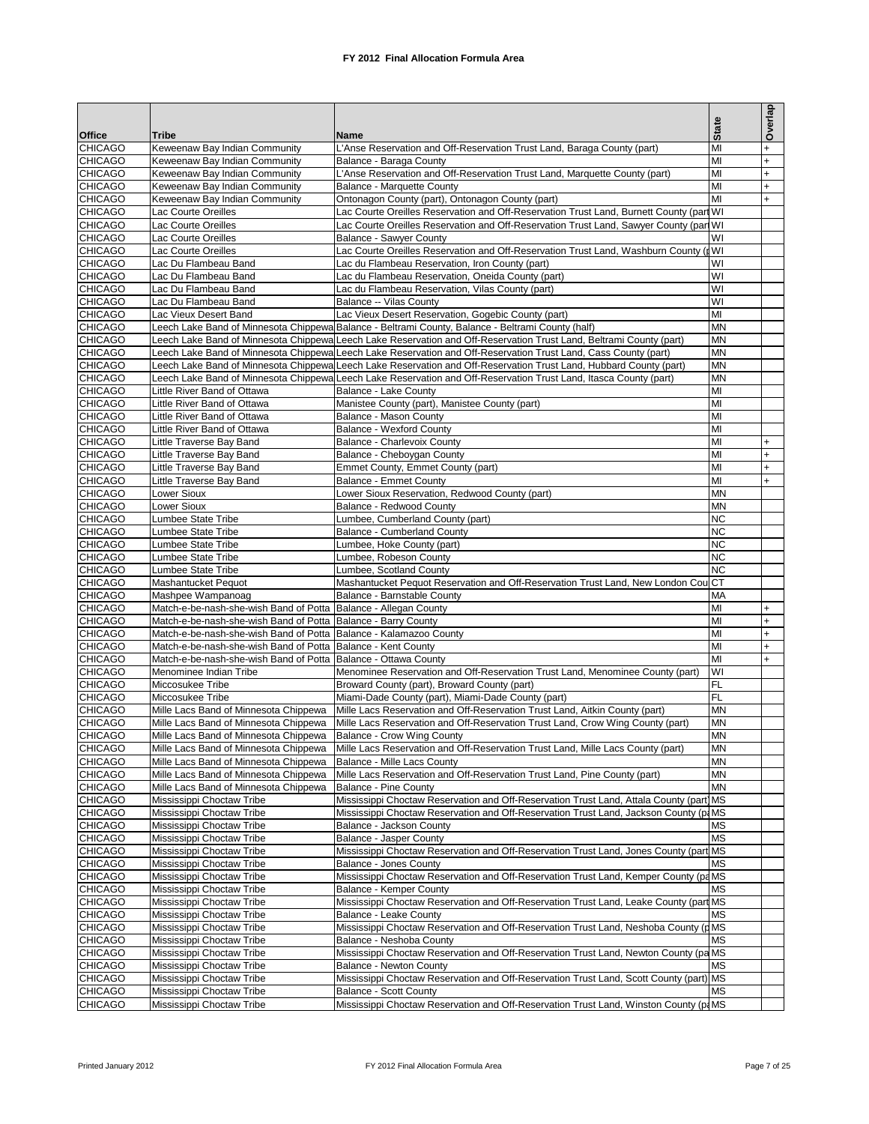|                                  |                                                                                |                                                                                                                                                                                                                                        | <b>State</b>           | Overlap          |
|----------------------------------|--------------------------------------------------------------------------------|----------------------------------------------------------------------------------------------------------------------------------------------------------------------------------------------------------------------------------------|------------------------|------------------|
| Office<br><b>CHICAGO</b>         | Tribe<br>Keweenaw Bay Indian Community                                         | Name<br>L'Anse Reservation and Off-Reservation Trust Land, Baraga County (part)                                                                                                                                                        | MI                     | $\ddot{}$        |
| <b>CHICAGO</b>                   | Keweenaw Bay Indian Community                                                  | Balance - Baraga County                                                                                                                                                                                                                | MI                     | $\ddot{}$        |
| <b>CHICAGO</b>                   | Keweenaw Bay Indian Community                                                  | L'Anse Reservation and Off-Reservation Trust Land, Marquette County (part)                                                                                                                                                             | MI                     | $\ddot{}$        |
| <b>CHICAGO</b>                   | Keweenaw Bay Indian Community                                                  | Balance - Marquette County                                                                                                                                                                                                             | MI                     | $\ddot{}$        |
| <b>CHICAGO</b>                   | Keweenaw Bay Indian Community                                                  | Ontonagon County (part), Ontonagon County (part)                                                                                                                                                                                       | MI                     | $+$              |
| <b>CHICAGO</b>                   | Lac Courte Oreilles                                                            | Lac Courte Oreilles Reservation and Off-Reservation Trust Land, Burnett County (part WI                                                                                                                                                |                        |                  |
| <b>CHICAGO</b><br><b>CHICAGO</b> | Lac Courte Oreilles<br>Lac Courte Oreilles                                     | Lac Courte Oreilles Reservation and Off-Reservation Trust Land, Sawyer County (part WI<br>Balance - Sawyer County                                                                                                                      | WI                     |                  |
| <b>CHICAGO</b>                   | Lac Courte Oreilles                                                            | Lac Courte Oreilles Reservation and Off-Reservation Trust Land, Washburn County (                                                                                                                                                      |                        |                  |
| <b>CHICAGO</b>                   | Lac Du Flambeau Band                                                           | Lac du Flambeau Reservation, Iron County (part)                                                                                                                                                                                        | WI                     |                  |
| <b>CHICAGO</b>                   | Lac Du Flambeau Band                                                           | Lac du Flambeau Reservation, Oneida County (part)                                                                                                                                                                                      | WI                     |                  |
| <b>CHICAGO</b>                   | Lac Du Flambeau Band                                                           | Lac du Flambeau Reservation, Vilas County (part)                                                                                                                                                                                       | WI                     |                  |
| <b>CHICAGO</b>                   | Lac Du Flambeau Band                                                           | Balance -- Vilas County                                                                                                                                                                                                                | WI                     |                  |
| <b>CHICAGO</b>                   | Lac Vieux Desert Band                                                          | Lac Vieux Desert Reservation, Gogebic County (part)                                                                                                                                                                                    | MI                     |                  |
| <b>CHICAGO</b><br><b>CHICAGO</b> |                                                                                | Leech Lake Band of Minnesota Chippewa Balance - Beltrami County, Balance - Beltrami County (half)                                                                                                                                      | <b>MN</b><br><b>MN</b> |                  |
| <b>CHICAGO</b>                   |                                                                                | Leech Lake Band of Minnesota Chippewa Leech Lake Reservation and Off-Reservation Trust Land, Beltrami County (part)<br>Leech Lake Band of Minnesota Chippewa Leech Lake Reservation and Off-Reservation Trust Land, Cass County (part) | <b>MN</b>              |                  |
| <b>CHICAGO</b>                   |                                                                                | Leech Lake Band of Minnesota Chippewa Leech Lake Reservation and Off-Reservation Trust Land, Hubbard County (part)                                                                                                                     | <b>MN</b>              |                  |
| <b>CHICAGO</b>                   |                                                                                | Leech Lake Band of Minnesota Chippewa Leech Lake Reservation and Off-Reservation Trust Land, Itasca County (part)                                                                                                                      | <b>MN</b>              |                  |
| <b>CHICAGO</b>                   | Little River Band of Ottawa                                                    | Balance - Lake County                                                                                                                                                                                                                  | MI                     |                  |
| <b>CHICAGO</b>                   | Little River Band of Ottawa                                                    | Manistee County (part), Manistee County (part)                                                                                                                                                                                         | MI                     |                  |
| <b>CHICAGO</b>                   | Little River Band of Ottawa                                                    | Balance - Mason County                                                                                                                                                                                                                 | MI                     |                  |
| <b>CHICAGO</b>                   | Little River Band of Ottawa                                                    | <b>Balance - Wexford County</b>                                                                                                                                                                                                        | MI                     |                  |
| <b>CHICAGO</b>                   | Little Traverse Bay Band                                                       | Balance - Charlevoix County                                                                                                                                                                                                            | MI                     | $\ddot{}$        |
| <b>CHICAGO</b><br><b>CHICAGO</b> | Little Traverse Bay Band<br>Little Traverse Bay Band                           | Balance - Cheboygan County<br>Emmet County, Emmet County (part)                                                                                                                                                                        | MI<br>MI               | $\ddot{}$        |
| <b>CHICAGO</b>                   | Little Traverse Bay Band                                                       | <b>Balance - Emmet County</b>                                                                                                                                                                                                          | MI                     | $\ddot{}$<br>$+$ |
| <b>CHICAGO</b>                   | Lower Sioux                                                                    | Lower Sioux Reservation, Redwood County (part)                                                                                                                                                                                         | <b>MN</b>              |                  |
| <b>CHICAGO</b>                   | Lower Sioux                                                                    | Balance - Redwood County                                                                                                                                                                                                               | <b>MN</b>              |                  |
| <b>CHICAGO</b>                   | Lumbee State Tribe                                                             | Lumbee, Cumberland County (part)                                                                                                                                                                                                       | <b>NC</b>              |                  |
| <b>CHICAGO</b>                   | Lumbee State Tribe                                                             | Balance - Cumberland County                                                                                                                                                                                                            | <b>NC</b>              |                  |
| <b>CHICAGO</b>                   | Lumbee State Tribe                                                             | Lumbee, Hoke County (part)                                                                                                                                                                                                             | <b>NC</b>              |                  |
| <b>CHICAGO</b><br><b>CHICAGO</b> | Lumbee State Tribe                                                             | Lumbee, Robeson County                                                                                                                                                                                                                 | <b>NC</b><br><b>NC</b> |                  |
| <b>CHICAGO</b>                   | Lumbee State Tribe<br>Mashantucket Pequot                                      | Lumbee, Scotland County<br>Mashantucket Pequot Reservation and Off-Reservation Trust Land, New London Cou CT                                                                                                                           |                        |                  |
| <b>CHICAGO</b>                   | Mashpee Wampanoag                                                              | Balance - Barnstable County                                                                                                                                                                                                            | MA                     |                  |
| <b>CHICAGO</b>                   | Match-e-be-nash-she-wish Band of Potta Balance - Allegan County                |                                                                                                                                                                                                                                        | MI                     | $\ddot{}$        |
| <b>CHICAGO</b>                   | Match-e-be-nash-she-wish Band of Potta Balance - Barry County                  |                                                                                                                                                                                                                                        | MI                     | $\ddot{}$        |
| <b>CHICAGO</b>                   | Match-e-be-nash-she-wish Band of Potta Balance - Kalamazoo County              |                                                                                                                                                                                                                                        | MI                     | $+$              |
| <b>CHICAGO</b>                   | Match-e-be-nash-she-wish Band of Potta Balance - Kent County                   |                                                                                                                                                                                                                                        | MI                     | $\ddot{}$        |
| <b>CHICAGO</b>                   | Match-e-be-nash-she-wish Band of Potta                                         | Balance - Ottawa County                                                                                                                                                                                                                | MI                     | $+$              |
| <b>CHICAGO</b><br><b>CHICAGO</b> | Menominee Indian Tribe<br>Miccosukee Tribe                                     | Menominee Reservation and Off-Reservation Trust Land, Menominee County (part)<br>Broward County (part), Broward County (part)                                                                                                          | WI<br><b>FL</b>        |                  |
| <b>CHICAGO</b>                   | Miccosukee Tribe                                                               | Miami-Dade County (part), Miami-Dade County (part)                                                                                                                                                                                     | <b>FL</b>              |                  |
| <b>CHICAGO</b>                   | Mille Lacs Band of Minnesota Chippewa                                          | Mille Lacs Reservation and Off-Reservation Trust Land, Aitkin County (part)                                                                                                                                                            | <b>MN</b>              |                  |
| <b>CHICAGO</b>                   | Mille Lacs Band of Minnesota Chippewa                                          | Mille Lacs Reservation and Off-Reservation Trust Land, Crow Wing County (part)                                                                                                                                                         | <b>MN</b>              |                  |
| <b>CHICAGO</b>                   | Mille Lacs Band of Minnesota Chippewa                                          | Balance - Crow Wing County                                                                                                                                                                                                             | <b>MN</b>              |                  |
| <b>CHICAGO</b>                   | Mille Lacs Band of Minnesota Chippewa                                          | Mille Lacs Reservation and Off-Reservation Trust Land, Mille Lacs County (part)                                                                                                                                                        | <b>MN</b>              |                  |
| <b>CHICAGO</b>                   | Mille Lacs Band of Minnesota Chippewa                                          | Balance - Mille Lacs County                                                                                                                                                                                                            | <b>MN</b>              |                  |
| <b>CHICAGO</b><br><b>CHICAGO</b> | Mille Lacs Band of Minnesota Chippewa<br>Mille Lacs Band of Minnesota Chippewa | Mille Lacs Reservation and Off-Reservation Trust Land, Pine County (part)<br><b>Balance - Pine County</b>                                                                                                                              | MN<br><b>MN</b>        |                  |
| <b>CHICAGO</b>                   | Mississippi Choctaw Tribe                                                      | Mississippi Choctaw Reservation and Off-Reservation Trust Land, Attala County (part) MS                                                                                                                                                |                        |                  |
| <b>CHICAGO</b>                   | Mississippi Choctaw Tribe                                                      | Mississippi Choctaw Reservation and Off-Reservation Trust Land, Jackson County (p.MS)                                                                                                                                                  |                        |                  |
| <b>CHICAGO</b>                   | Mississippi Choctaw Tribe                                                      | Balance - Jackson County                                                                                                                                                                                                               | <b>MS</b>              |                  |
| <b>CHICAGO</b>                   | Mississippi Choctaw Tribe                                                      | Balance - Jasper County                                                                                                                                                                                                                | <b>MS</b>              |                  |
| <b>CHICAGO</b>                   | Mississippi Choctaw Tribe                                                      | Mississippi Choctaw Reservation and Off-Reservation Trust Land, Jones County (part MS                                                                                                                                                  |                        |                  |
| <b>CHICAGO</b>                   | Mississippi Choctaw Tribe                                                      | <b>Balance - Jones County</b>                                                                                                                                                                                                          | <b>MS</b>              |                  |
| <b>CHICAGO</b><br><b>CHICAGO</b> | Mississippi Choctaw Tribe                                                      | Mississippi Choctaw Reservation and Off-Reservation Trust Land, Kemper County (paMS                                                                                                                                                    |                        |                  |
| <b>CHICAGO</b>                   | Mississippi Choctaw Tribe                                                      | Balance - Kemper County<br>Mississippi Choctaw Reservation and Off-Reservation Trust Land, Leake County (part MS                                                                                                                       | <b>MS</b>              |                  |
| <b>CHICAGO</b>                   | Mississippi Choctaw Tribe<br>Mississippi Choctaw Tribe                         | Balance - Leake County                                                                                                                                                                                                                 | <b>MS</b>              |                  |
| <b>CHICAGO</b>                   | Mississippi Choctaw Tribe                                                      | Mississippi Choctaw Reservation and Off-Reservation Trust Land, Neshoba County (pMS                                                                                                                                                    |                        |                  |
| <b>CHICAGO</b>                   | Mississippi Choctaw Tribe                                                      | Balance - Neshoba County                                                                                                                                                                                                               | <b>MS</b>              |                  |
| <b>CHICAGO</b>                   | Mississippi Choctaw Tribe                                                      | Mississippi Choctaw Reservation and Off-Reservation Trust Land, Newton County (pa MS                                                                                                                                                   |                        |                  |
| <b>CHICAGO</b>                   | Mississippi Choctaw Tribe                                                      | Balance - Newton County                                                                                                                                                                                                                | <b>MS</b>              |                  |
| <b>CHICAGO</b>                   | Mississippi Choctaw Tribe                                                      | Mississippi Choctaw Reservation and Off-Reservation Trust Land, Scott County (part) MS                                                                                                                                                 |                        |                  |
| <b>CHICAGO</b>                   | Mississippi Choctaw Tribe                                                      | <b>Balance - Scott County</b>                                                                                                                                                                                                          | <b>MS</b>              |                  |
| <b>CHICAGO</b>                   | Mississippi Choctaw Tribe                                                      | Mississippi Choctaw Reservation and Off-Reservation Trust Land, Winston County (p.MS)                                                                                                                                                  |                        |                  |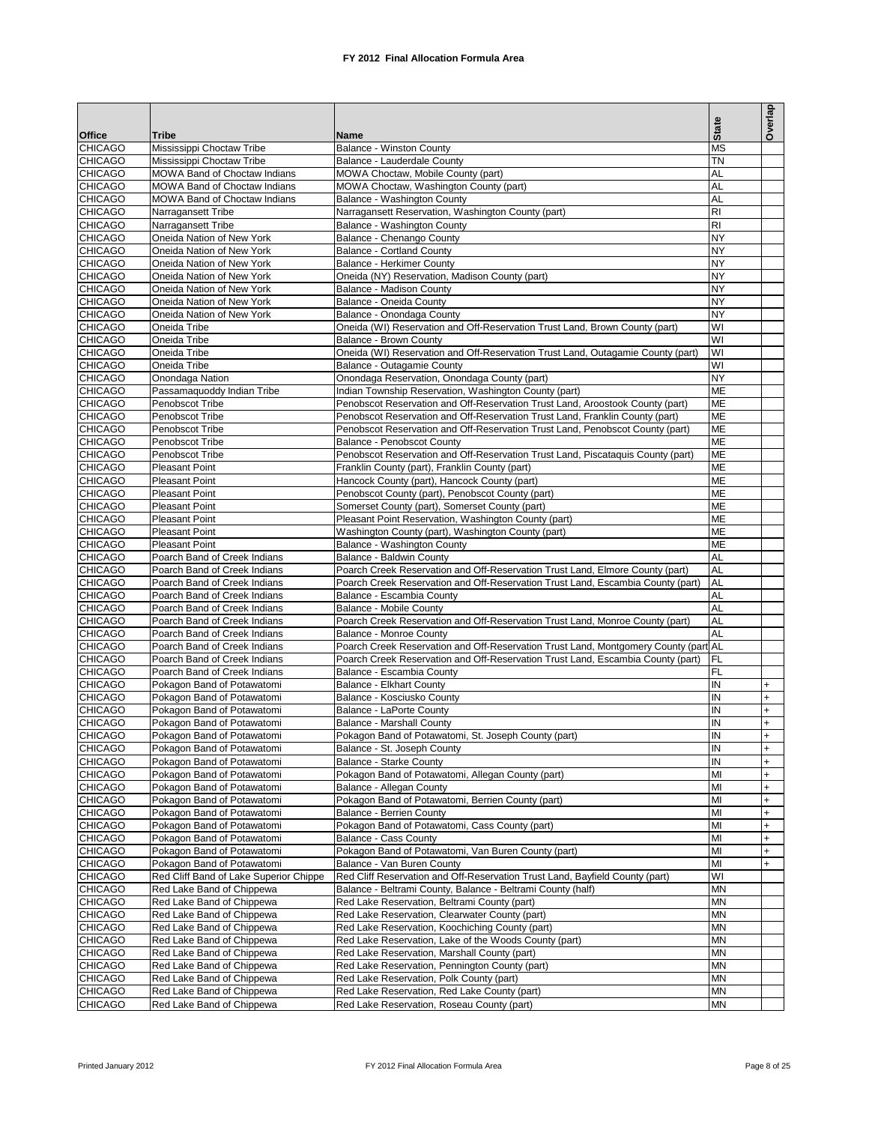|                                  |                                                                     |                                                                                                                                                               |                        | Overlap        |
|----------------------------------|---------------------------------------------------------------------|---------------------------------------------------------------------------------------------------------------------------------------------------------------|------------------------|----------------|
| <b>Office</b>                    | Tribe                                                               | Name                                                                                                                                                          | <b>State</b>           |                |
| <b>CHICAGO</b>                   | Mississippi Choctaw Tribe                                           | Balance - Winston County                                                                                                                                      | <b>MS</b>              |                |
| <b>CHICAGO</b>                   | Mississippi Choctaw Tribe                                           | Balance - Lauderdale County                                                                                                                                   | <b>TN</b>              |                |
| <b>CHICAGO</b>                   | <b>MOWA Band of Choctaw Indians</b>                                 | MOWA Choctaw, Mobile County (part)                                                                                                                            | AL                     |                |
| <b>CHICAGO</b><br><b>CHICAGO</b> | <b>MOWA Band of Choctaw Indians</b><br>MOWA Band of Choctaw Indians | MOWA Choctaw, Washington County (part)<br>Balance - Washington County                                                                                         | <b>AL</b><br>AL        |                |
| <b>CHICAGO</b>                   | Narragansett Tribe                                                  | Narragansett Reservation, Washington County (part)                                                                                                            | R <sub>1</sub>         |                |
| <b>CHICAGO</b>                   | Narragansett Tribe                                                  | Balance - Washington County                                                                                                                                   | R <sub>1</sub>         |                |
| <b>CHICAGO</b>                   | Oneida Nation of New York                                           | Balance - Chenango County                                                                                                                                     | <b>NY</b>              |                |
| <b>CHICAGO</b>                   | Oneida Nation of New York                                           | <b>Balance - Cortland County</b>                                                                                                                              | <b>NY</b>              |                |
| <b>CHICAGO</b>                   | Oneida Nation of New York                                           | Balance - Herkimer County                                                                                                                                     | <b>NY</b>              |                |
| <b>CHICAGO</b>                   | Oneida Nation of New York                                           | Oneida (NY) Reservation, Madison County (part)                                                                                                                | <b>NY</b>              |                |
| <b>CHICAGO</b><br><b>CHICAGO</b> | Oneida Nation of New York<br>Oneida Nation of New York              | Balance - Madison County<br>Balance - Oneida County                                                                                                           | <b>NY</b><br><b>NY</b> |                |
| <b>CHICAGO</b>                   | Oneida Nation of New York                                           | Balance - Onondaga County                                                                                                                                     | <b>NY</b>              |                |
| <b>CHICAGO</b>                   | Oneida Tribe                                                        | Oneida (WI) Reservation and Off-Reservation Trust Land, Brown County (part)                                                                                   | WI                     |                |
| <b>CHICAGO</b>                   | Oneida Tribe                                                        | Balance - Brown County                                                                                                                                        | WI                     |                |
| <b>CHICAGO</b>                   | Oneida Tribe                                                        | Oneida (WI) Reservation and Off-Reservation Trust Land, Outagamie County (part)                                                                               | WI                     |                |
| <b>CHICAGO</b>                   | Oneida Tribe                                                        | Balance - Outagamie County                                                                                                                                    | WI                     |                |
| <b>CHICAGO</b>                   | Onondaga Nation                                                     | Onondaga Reservation, Onondaga County (part)                                                                                                                  | <b>NY</b>              |                |
| <b>CHICAGO</b>                   | Passamaquoddy Indian Tribe                                          | Indian Township Reservation, Washington County (part)                                                                                                         | <b>ME</b><br><b>ME</b> |                |
| <b>CHICAGO</b><br><b>CHICAGO</b> | Penobscot Tribe<br>Penobscot Tribe                                  | Penobscot Reservation and Off-Reservation Trust Land, Aroostook County (part)<br>Penobscot Reservation and Off-Reservation Trust Land, Franklin County (part) | <b>ME</b>              |                |
| <b>CHICAGO</b>                   | Penobscot Tribe                                                     | Penobscot Reservation and Off-Reservation Trust Land, Penobscot County (part)                                                                                 | <b>ME</b>              |                |
| <b>CHICAGO</b>                   | Penobscot Tribe                                                     | Balance - Penobscot County                                                                                                                                    | <b>ME</b>              |                |
| <b>CHICAGO</b>                   | Penobscot Tribe                                                     | Penobscot Reservation and Off-Reservation Trust Land, Piscataquis County (part)                                                                               | <b>ME</b>              |                |
| <b>CHICAGO</b>                   | <b>Pleasant Point</b>                                               | Franklin County (part), Franklin County (part)                                                                                                                | <b>ME</b>              |                |
| <b>CHICAGO</b>                   | <b>Pleasant Point</b>                                               | Hancock County (part), Hancock County (part)                                                                                                                  | <b>ME</b>              |                |
| <b>CHICAGO</b>                   | <b>Pleasant Point</b>                                               | Penobscot County (part), Penobscot County (part)                                                                                                              | <b>ME</b>              |                |
| <b>CHICAGO</b>                   | <b>Pleasant Point</b>                                               | Somerset County (part), Somerset County (part)                                                                                                                | <b>ME</b><br><b>ME</b> |                |
| <b>CHICAGO</b><br><b>CHICAGO</b> | <b>Pleasant Point</b><br><b>Pleasant Point</b>                      | Pleasant Point Reservation, Washington County (part)<br>Washington County (part), Washington County (part)                                                    | <b>ME</b>              |                |
| <b>CHICAGO</b>                   | <b>Pleasant Point</b>                                               | Balance - Washington County                                                                                                                                   | <b>ME</b>              |                |
| <b>CHICAGO</b>                   | Poarch Band of Creek Indians                                        | Balance - Baldwin County                                                                                                                                      | <b>AL</b>              |                |
| <b>CHICAGO</b>                   | Poarch Band of Creek Indians                                        | Poarch Creek Reservation and Off-Reservation Trust Land, Elmore County (part)                                                                                 | AL                     |                |
| <b>CHICAGO</b>                   | Poarch Band of Creek Indians                                        | Poarch Creek Reservation and Off-Reservation Trust Land, Escambia County (part)                                                                               | <b>AL</b>              |                |
| <b>CHICAGO</b>                   | Poarch Band of Creek Indians                                        | Balance - Escambia County                                                                                                                                     | AL                     |                |
| <b>CHICAGO</b>                   | Poarch Band of Creek Indians                                        | Balance - Mobile County                                                                                                                                       | <b>AL</b>              |                |
| <b>CHICAGO</b><br><b>CHICAGO</b> | Poarch Band of Creek Indians<br>Poarch Band of Creek Indians        | Poarch Creek Reservation and Off-Reservation Trust Land, Monroe County (part)<br><b>Balance - Monroe County</b>                                               | AL<br><b>AL</b>        |                |
| <b>CHICAGO</b>                   | Poarch Band of Creek Indians                                        | Poarch Creek Reservation and Off-Reservation Trust Land, Montgomery County (part AL                                                                           |                        |                |
| <b>CHICAGO</b>                   | Poarch Band of Creek Indians                                        | Poarch Creek Reservation and Off-Reservation Trust Land, Escambia County (part)                                                                               | <b>FL</b>              |                |
| <b>CHICAGO</b>                   | Poarch Band of Creek Indians                                        | Balance - Escambia County                                                                                                                                     | FL                     |                |
| <b>CHICAGO</b>                   | Pokagon Band of Potawatomi                                          | Balance - Elkhart County                                                                                                                                      | IN                     | $\ddot{}$      |
| <b>CHICAGO</b>                   | Pokagon Band of Potawatomi                                          | Balance - Kosciusko County                                                                                                                                    | IN                     | $\overline{+}$ |
| <b>CHICAGO</b>                   | Pokagon Band of Potawatomi                                          | Balance - LaPorte County                                                                                                                                      | IN                     | $\ddot{}$      |
| <b>CHICAGO</b><br><b>CHICAGO</b> | Pokagon Band of Potawatomi<br>Pokagon Band of Potawatomi            | <b>Balance - Marshall County</b><br>Pokagon Band of Potawatomi, St. Joseph County (part)                                                                      | IN<br>IN               | $\ddot{}$      |
| <b>CHICAGO</b>                   | Pokagon Band of Potawatomi                                          | Balance - St. Joseph County                                                                                                                                   | IN                     | $\overline{+}$ |
| <b>CHICAGO</b>                   | Pokagon Band of Potawatomi                                          | Balance - Starke County                                                                                                                                       | IN                     | $+$            |
| <b>CHICAGO</b>                   | Pokagon Band of Potawatomi                                          | Pokagon Band of Potawatomi, Allegan County (part)                                                                                                             | MI                     |                |
| <b>CHICAGO</b>                   | Pokagon Band of Potawatomi                                          | Balance - Allegan County                                                                                                                                      | MI                     | $+$            |
| <b>CHICAGO</b>                   | Pokagon Band of Potawatomi                                          | Pokagon Band of Potawatomi, Berrien County (part)                                                                                                             | MI                     | $\ddot{}$      |
| <b>CHICAGO</b>                   | Pokagon Band of Potawatomi                                          | Balance - Berrien County                                                                                                                                      | MI                     | $\ddot{}$      |
| <b>CHICAGO</b><br><b>CHICAGO</b> | Pokagon Band of Potawatomi<br>Pokagon Band of Potawatomi            | Pokagon Band of Potawatomi, Cass County (part)<br>Balance - Cass County                                                                                       | MI<br>MI               | $\ddot{}$      |
| <b>CHICAGO</b>                   | Pokagon Band of Potawatomi                                          | Pokagon Band of Potawatomi, Van Buren County (part)                                                                                                           | MI                     | $\ddot{}$      |
| <b>CHICAGO</b>                   | Pokagon Band of Potawatomi                                          | Balance - Van Buren County                                                                                                                                    | MI                     |                |
| <b>CHICAGO</b>                   | Red Cliff Band of Lake Superior Chippe                              | Red Cliff Reservation and Off-Reservation Trust Land, Bayfield County (part)                                                                                  | WI                     |                |
| <b>CHICAGO</b>                   | Red Lake Band of Chippewa                                           | Balance - Beltrami County, Balance - Beltrami County (half)                                                                                                   | <b>MN</b>              |                |
| <b>CHICAGO</b>                   | Red Lake Band of Chippewa                                           | Red Lake Reservation, Beltrami County (part)                                                                                                                  | <b>MN</b>              |                |
| <b>CHICAGO</b>                   | Red Lake Band of Chippewa                                           | Red Lake Reservation, Clearwater County (part)                                                                                                                | <b>MN</b>              |                |
| <b>CHICAGO</b>                   | Red Lake Band of Chippewa                                           | Red Lake Reservation, Koochiching County (part)                                                                                                               | <b>MN</b><br><b>MN</b> |                |
| <b>CHICAGO</b><br><b>CHICAGO</b> | Red Lake Band of Chippewa<br>Red Lake Band of Chippewa              | Red Lake Reservation, Lake of the Woods County (part)<br>Red Lake Reservation, Marshall County (part)                                                         | <b>MN</b>              |                |
| <b>CHICAGO</b>                   | Red Lake Band of Chippewa                                           | Red Lake Reservation, Pennington County (part)                                                                                                                | <b>MN</b>              |                |
| <b>CHICAGO</b>                   | Red Lake Band of Chippewa                                           | Red Lake Reservation, Polk County (part)                                                                                                                      | <b>MN</b>              |                |
| <b>CHICAGO</b>                   | Red Lake Band of Chippewa                                           | Red Lake Reservation, Red Lake County (part)                                                                                                                  | <b>MN</b>              |                |
| <b>CHICAGO</b>                   | Red Lake Band of Chippewa                                           | Red Lake Reservation, Roseau County (part)                                                                                                                    | <b>MN</b>              |                |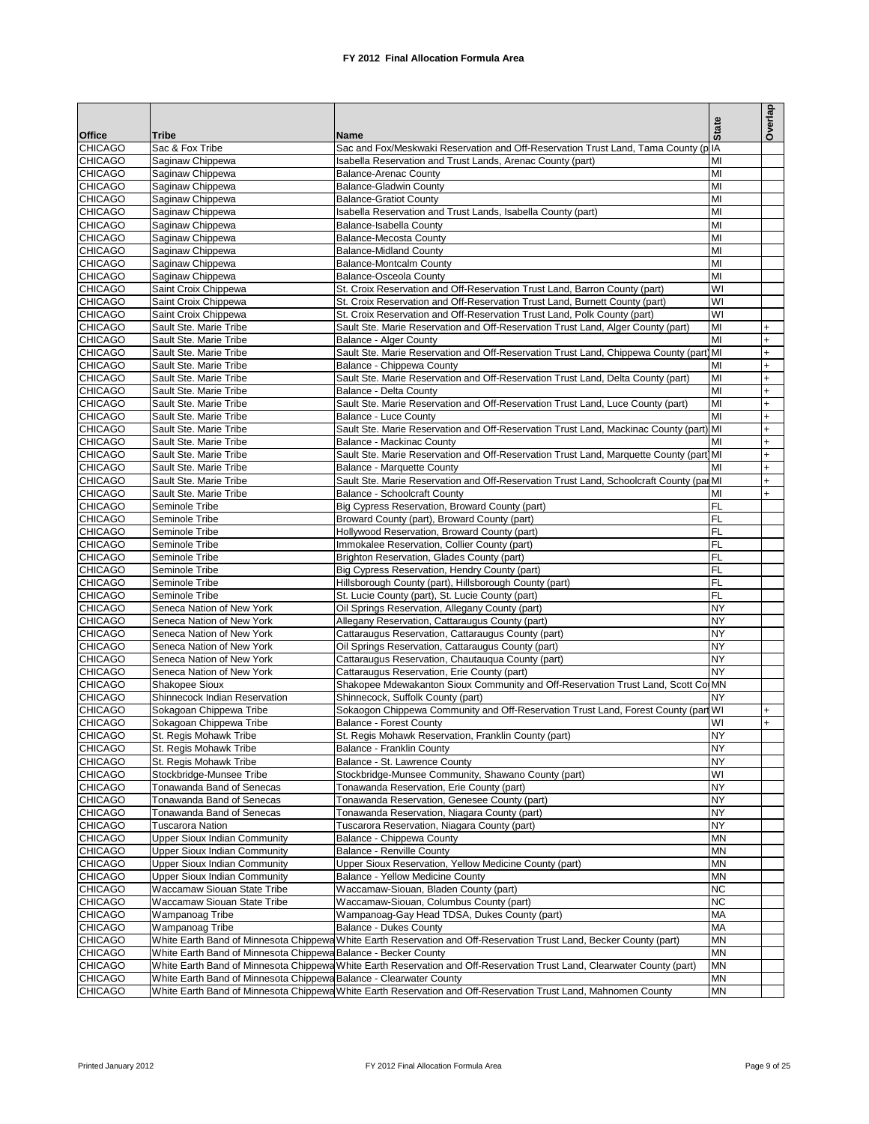|                                  |                                                                    |                                                                                                                         |                        | Overlap    |
|----------------------------------|--------------------------------------------------------------------|-------------------------------------------------------------------------------------------------------------------------|------------------------|------------|
|                                  |                                                                    |                                                                                                                         | <b>State</b>           |            |
| <b>Office</b><br><b>CHICAGO</b>  | Tribe<br>Sac & Fox Tribe                                           | Name<br>Sac and Fox/Meskwaki Reservation and Off-Reservation Trust Land, Tama County (p IA                              |                        |            |
| <b>CHICAGO</b>                   | Saginaw Chippewa                                                   | Isabella Reservation and Trust Lands, Arenac County (part)                                                              | MI                     |            |
| <b>CHICAGO</b>                   | Saginaw Chippewa                                                   | <b>Balance-Arenac County</b>                                                                                            | MI                     |            |
| <b>CHICAGO</b>                   | Saginaw Chippewa                                                   | <b>Balance-Gladwin County</b>                                                                                           | MI                     |            |
| <b>CHICAGO</b>                   | Saginaw Chippewa                                                   | <b>Balance-Gratiot County</b>                                                                                           | MI                     |            |
| <b>CHICAGO</b>                   | Saginaw Chippewa                                                   | Isabella Reservation and Trust Lands, Isabella County (part)                                                            | MI                     |            |
| <b>CHICAGO</b>                   | Saginaw Chippewa                                                   | Balance-Isabella County                                                                                                 | MI                     |            |
| <b>CHICAGO</b><br><b>CHICAGO</b> | Saginaw Chippewa                                                   | Balance-Mecosta County                                                                                                  | MI                     |            |
| <b>CHICAGO</b>                   | Saginaw Chippewa<br>Saginaw Chippewa                               | <b>Balance-Midland County</b><br><b>Balance-Montcalm County</b>                                                         | MI<br>MI               |            |
| <b>CHICAGO</b>                   | Saginaw Chippewa                                                   | <b>Balance-Osceola County</b>                                                                                           | MI                     |            |
| <b>CHICAGO</b>                   | Saint Croix Chippewa                                               | St. Croix Reservation and Off-Reservation Trust Land, Barron County (part)                                              | WI                     |            |
| <b>CHICAGO</b>                   | Saint Croix Chippewa                                               | St. Croix Reservation and Off-Reservation Trust Land, Burnett County (part)                                             | WI                     |            |
| <b>CHICAGO</b>                   | Saint Croix Chippewa                                               | St. Croix Reservation and Off-Reservation Trust Land, Polk County (part)                                                | WI                     |            |
| <b>CHICAGO</b>                   | Sault Ste. Marie Tribe                                             | Sault Ste. Marie Reservation and Off-Reservation Trust Land, Alger County (part)                                        | MI                     | $+$        |
| <b>CHICAGO</b>                   | Sault Ste. Marie Tribe                                             | Balance - Alger County                                                                                                  | MI                     | $+$        |
| <b>CHICAGO</b>                   | Sault Ste. Marie Tribe                                             | Sault Ste. Marie Reservation and Off-Reservation Trust Land, Chippewa County (part) MI                                  |                        | $+$        |
| <b>CHICAGO</b>                   | Sault Ste. Marie Tribe                                             | Balance - Chippewa County                                                                                               | MI                     | $+$        |
| <b>CHICAGO</b>                   | Sault Ste. Marie Tribe                                             | Sault Ste. Marie Reservation and Off-Reservation Trust Land, Delta County (part)                                        | MI                     | $+$        |
| <b>CHICAGO</b>                   | Sault Ste. Marie Tribe                                             | Balance - Delta County                                                                                                  | MI                     | $+$        |
| <b>CHICAGO</b>                   | Sault Ste. Marie Tribe                                             | Sault Ste. Marie Reservation and Off-Reservation Trust Land, Luce County (part)                                         | MI                     | $\ddot{}$  |
| <b>CHICAGO</b>                   | Sault Ste. Marie Tribe                                             | Balance - Luce County                                                                                                   | MI                     | $+$        |
| <b>CHICAGO</b>                   | Sault Ste. Marie Tribe                                             | Sault Ste. Marie Reservation and Off-Reservation Trust Land, Mackinac County (part) MI                                  | MI                     | $+$<br>$+$ |
| <b>CHICAGO</b><br><b>CHICAGO</b> | Sault Ste. Marie Tribe<br>Sault Ste. Marie Tribe                   | Balance - Mackinac County<br>Sault Ste. Marie Reservation and Off-Reservation Trust Land, Marquette County (part MI     |                        | $+$        |
| <b>CHICAGO</b>                   | Sault Ste. Marie Tribe                                             | Balance - Marquette County                                                                                              | MI                     | $+$        |
| <b>CHICAGO</b>                   | Sault Ste. Marie Tribe                                             | Sault Ste. Marie Reservation and Off-Reservation Trust Land, Schoolcraft County (par MI                                 |                        | $+$        |
| <b>CHICAGO</b>                   | Sault Ste. Marie Tribe                                             | <b>Balance - Schoolcraft County</b>                                                                                     | MI                     | $+$        |
| <b>CHICAGO</b>                   | Seminole Tribe                                                     | Big Cypress Reservation, Broward County (part)                                                                          | <b>FL</b>              |            |
| <b>CHICAGO</b>                   | Seminole Tribe                                                     | Broward County (part), Broward County (part)                                                                            | <b>FL</b>              |            |
| <b>CHICAGO</b>                   | Seminole Tribe                                                     | Hollywood Reservation, Broward County (part)                                                                            | <b>FL</b>              |            |
| <b>CHICAGO</b>                   | Seminole Tribe                                                     | Immokalee Reservation, Collier County (part)                                                                            | <b>FL</b>              |            |
| <b>CHICAGO</b>                   | Seminole Tribe                                                     | Brighton Reservation, Glades County (part)                                                                              | <b>FL</b>              |            |
| <b>CHICAGO</b>                   | Seminole Tribe                                                     | Big Cypress Reservation, Hendry County (part)                                                                           | <b>FL</b>              |            |
| <b>CHICAGO</b>                   | Seminole Tribe                                                     | Hillsborough County (part), Hillsborough County (part)                                                                  | <b>FL</b>              |            |
| <b>CHICAGO</b>                   | Seminole Tribe                                                     | St. Lucie County (part), St. Lucie County (part)                                                                        | <b>FL</b><br><b>NY</b> |            |
| <b>CHICAGO</b><br><b>CHICAGO</b> | Seneca Nation of New York<br>Seneca Nation of New York             | Oil Springs Reservation, Allegany County (part)<br>Allegany Reservation, Cattaraugus County (part)                      | <b>NY</b>              |            |
| <b>CHICAGO</b>                   | Seneca Nation of New York                                          | Cattaraugus Reservation, Cattaraugus County (part)                                                                      | <b>NY</b>              |            |
| <b>CHICAGO</b>                   | Seneca Nation of New York                                          | Oil Springs Reservation, Cattaraugus County (part)                                                                      | <b>NY</b>              |            |
| <b>CHICAGO</b>                   | Seneca Nation of New York                                          | Cattaraugus Reservation, Chautauqua County (part)                                                                       | <b>NY</b>              |            |
| <b>CHICAGO</b>                   | Seneca Nation of New York                                          | Cattaraugus Reservation, Erie County (part)                                                                             | <b>NY</b>              |            |
| <b>CHICAGO</b>                   | <b>Shakopee Sioux</b>                                              | Shakopee Mdewakanton Sioux Community and Off-Reservation Trust Land, Scott Co MN                                        |                        |            |
| <b>CHICAGO</b>                   | Shinnecock Indian Reservation                                      | Shinnecock, Suffolk County (part)                                                                                       | <b>NY</b>              |            |
| <b>CHICAGO</b>                   | Sokagoan Chippewa Tribe                                            | Sokaogon Chippewa Community and Off-Reservation Trust Land, Forest County (part WI                                      |                        | $+$        |
| <b>CHICAGO</b>                   | Sokagoan Chippewa Tribe                                            | <b>Balance - Forest County</b>                                                                                          | WI                     | $+$        |
| <b>CHICAGO</b>                   | St. Regis Mohawk Tribe                                             | St. Regis Mohawk Reservation, Franklin County (part)                                                                    | <b>NY</b>              |            |
| <b>CHICAGO</b>                   | St. Regis Mohawk Tribe                                             | Balance - Franklin County                                                                                               | <b>NY</b>              |            |
| <b>CHICAGO</b><br><b>CHICAGO</b> | St. Regis Mohawk Tribe                                             | Balance - St. Lawrence County<br>Stockbridge-Munsee Community, Shawano County (part)                                    | <b>NY</b><br>WI        |            |
| <b>CHICAGO</b>                   | Stockbridge-Munsee Tribe<br>Tonawanda Band of Senecas              | Tonawanda Reservation, Erie County (part)                                                                               | <b>NY</b>              |            |
| <b>CHICAGO</b>                   | Tonawanda Band of Senecas                                          | Tonawanda Reservation, Genesee County (part)                                                                            | <b>NY</b>              |            |
| <b>CHICAGO</b>                   | Tonawanda Band of Senecas                                          | Tonawanda Reservation, Niagara County (part)                                                                            | <b>NY</b>              |            |
| <b>CHICAGO</b>                   | <b>Tuscarora Nation</b>                                            | Tuscarora Reservation, Niagara County (part)                                                                            | <b>NY</b>              |            |
| <b>CHICAGO</b>                   | <b>Upper Sioux Indian Community</b>                                | Balance - Chippewa County                                                                                               | <b>MN</b>              |            |
| <b>CHICAGO</b>                   | <b>Upper Sioux Indian Community</b>                                | Balance - Renville County                                                                                               | <b>MN</b>              |            |
| <b>CHICAGO</b>                   | <b>Upper Sioux Indian Community</b>                                | Upper Sioux Reservation, Yellow Medicine County (part)                                                                  | <b>MN</b>              |            |
| <b>CHICAGO</b>                   | <b>Upper Sioux Indian Community</b>                                | Balance - Yellow Medicine County                                                                                        | <b>MN</b>              |            |
| <b>CHICAGO</b>                   | Waccamaw Siouan State Tribe                                        | Waccamaw-Siouan, Bladen County (part)                                                                                   | <b>NC</b>              |            |
| <b>CHICAGO</b>                   | Waccamaw Siouan State Tribe                                        | Waccamaw-Siouan, Columbus County (part)                                                                                 | <b>NC</b>              |            |
| <b>CHICAGO</b>                   | Wampanoag Tribe                                                    | Wampanoag-Gay Head TDSA, Dukes County (part)                                                                            | <b>MA</b>              |            |
| <b>CHICAGO</b>                   | Wampanoag Tribe                                                    | Balance - Dukes County                                                                                                  | MA                     |            |
| <b>CHICAGO</b><br><b>CHICAGO</b> |                                                                    | White Earth Band of Minnesota Chippewa White Earth Reservation and Off-Reservation Trust Land, Becker County (part)     | <b>MN</b><br><b>MN</b> |            |
| <b>CHICAGO</b>                   | White Earth Band of Minnesota Chippewa Balance - Becker County     | White Earth Band of Minnesota Chippewa White Earth Reservation and Off-Reservation Trust Land, Clearwater County (part) | <b>MN</b>              |            |
| <b>CHICAGO</b>                   | White Earth Band of Minnesota Chippewa Balance - Clearwater County |                                                                                                                         | MN                     |            |
| <b>CHICAGO</b>                   |                                                                    | White Earth Band of Minnesota Chippewa White Earth Reservation and Off-Reservation Trust Land, Mahnomen County          | <b>MN</b>              |            |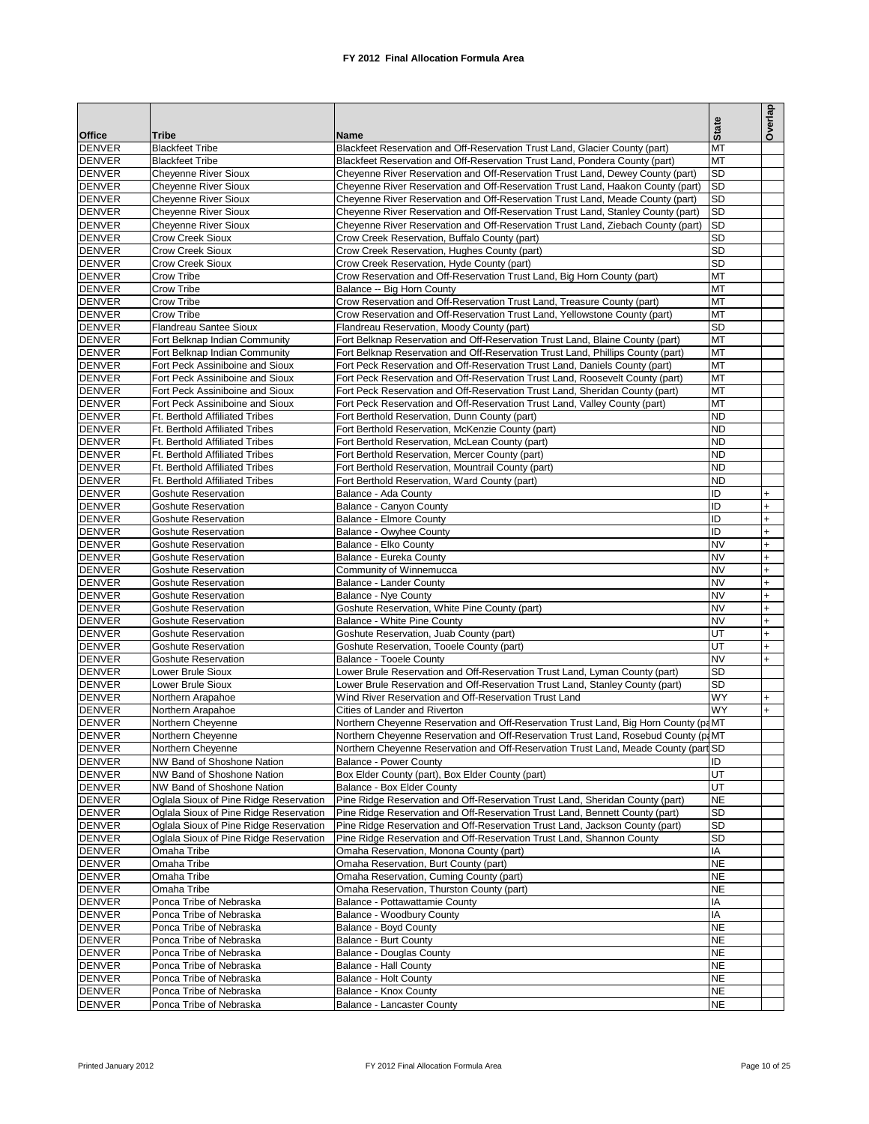|                                |                                                                    |                                                                                                                                                            | <b>State</b>           | Overlap    |
|--------------------------------|--------------------------------------------------------------------|------------------------------------------------------------------------------------------------------------------------------------------------------------|------------------------|------------|
| <b>Office</b>                  | Tribe                                                              | Name                                                                                                                                                       |                        |            |
| <b>DENVER</b><br><b>DENVER</b> | <b>Blackfeet Tribe</b><br><b>Blackfeet Tribe</b>                   | Blackfeet Reservation and Off-Reservation Trust Land, Glacier County (part)<br>Blackfeet Reservation and Off-Reservation Trust Land, Pondera County (part) | MT<br>MT               |            |
| <b>DENVER</b>                  | <b>Cheyenne River Sioux</b>                                        | Cheyenne River Reservation and Off-Reservation Trust Land, Dewey County (part)                                                                             | <b>SD</b>              |            |
| <b>DENVER</b>                  | <b>Cheyenne River Sioux</b>                                        | Cheyenne River Reservation and Off-Reservation Trust Land, Haakon County (part)                                                                            | <b>SD</b>              |            |
| <b>DENVER</b>                  | <b>Cheyenne River Sioux</b>                                        | Cheyenne River Reservation and Off-Reservation Trust Land, Meade County (part)                                                                             | <b>SD</b>              |            |
| <b>DENVER</b>                  | <b>Cheyenne River Sioux</b>                                        | Cheyenne River Reservation and Off-Reservation Trust Land, Stanley County (part)                                                                           | SD                     |            |
| <b>DENVER</b>                  | <b>Cheyenne River Sioux</b>                                        | Cheyenne River Reservation and Off-Reservation Trust Land, Ziebach County (part)                                                                           | <b>SD</b>              |            |
| <b>DENVER</b>                  | <b>Crow Creek Sioux</b>                                            | Crow Creek Reservation, Buffalo County (part)                                                                                                              | <b>SD</b>              |            |
| <b>DENVER</b>                  | <b>Crow Creek Sioux</b>                                            | Crow Creek Reservation, Hughes County (part)                                                                                                               | <b>SD</b>              |            |
| <b>DENVER</b>                  | <b>Crow Creek Sioux</b>                                            | Crow Creek Reservation, Hyde County (part)                                                                                                                 | <b>SD</b>              |            |
| <b>DENVER</b>                  | Crow Tribe                                                         | Crow Reservation and Off-Reservation Trust Land, Big Horn County (part)                                                                                    | MT                     |            |
| <b>DENVER</b>                  | Crow Tribe                                                         | Balance -- Big Horn County                                                                                                                                 | MT                     |            |
| <b>DENVER</b>                  | Crow Tribe                                                         | Crow Reservation and Off-Reservation Trust Land, Treasure County (part)                                                                                    | MT                     |            |
| <b>DENVER</b>                  | Crow Tribe                                                         | Crow Reservation and Off-Reservation Trust Land, Yellowstone County (part)                                                                                 | MT                     |            |
| <b>DENVER</b>                  | <b>Flandreau Santee Sioux</b>                                      | Flandreau Reservation, Moody County (part)                                                                                                                 | <b>SD</b>              |            |
| <b>DENVER</b>                  | Fort Belknap Indian Community                                      | Fort Belknap Reservation and Off-Reservation Trust Land, Blaine County (part)                                                                              | MT                     |            |
| <b>DENVER</b>                  | Fort Belknap Indian Community                                      | Fort Belknap Reservation and Off-Reservation Trust Land, Phillips County (part)                                                                            | MT                     |            |
| <b>DENVER</b>                  | Fort Peck Assiniboine and Sioux                                    | Fort Peck Reservation and Off-Reservation Trust Land, Daniels County (part)                                                                                | MT                     |            |
| <b>DENVER</b><br><b>DENVER</b> | Fort Peck Assiniboine and Sioux<br>Fort Peck Assiniboine and Sioux | Fort Peck Reservation and Off-Reservation Trust Land, Roosevelt County (part)                                                                              | MT<br>MT               |            |
| <b>DENVER</b>                  |                                                                    | Fort Peck Reservation and Off-Reservation Trust Land, Sheridan County (part)                                                                               | MT                     |            |
| <b>DENVER</b>                  | Fort Peck Assiniboine and Sioux<br>Ft. Berthold Affiliated Tribes  | Fort Peck Reservation and Off-Reservation Trust Land, Valley County (part)<br>Fort Berthold Reservation, Dunn County (part)                                | <b>ND</b>              |            |
| <b>DENVER</b>                  | Ft. Berthold Affiliated Tribes                                     | Fort Berthold Reservation, McKenzie County (part)                                                                                                          | <b>ND</b>              |            |
| <b>DENVER</b>                  | Ft. Berthold Affiliated Tribes                                     | Fort Berthold Reservation, McLean County (part)                                                                                                            | <b>ND</b>              |            |
| <b>DENVER</b>                  | Ft. Berthold Affiliated Tribes                                     | Fort Berthold Reservation, Mercer County (part)                                                                                                            | <b>ND</b>              |            |
| <b>DENVER</b>                  | Ft. Berthold Affiliated Tribes                                     | Fort Berthold Reservation, Mountrail County (part)                                                                                                         | <b>ND</b>              |            |
| <b>DENVER</b>                  | Ft. Berthold Affiliated Tribes                                     | Fort Berthold Reservation, Ward County (part)                                                                                                              | <b>ND</b>              |            |
| <b>DENVER</b>                  | Goshute Reservation                                                | Balance - Ada County                                                                                                                                       | ID                     | $+$        |
| <b>DENVER</b>                  | <b>Goshute Reservation</b>                                         | Balance - Canyon County                                                                                                                                    | ID                     | $+$        |
| <b>DENVER</b>                  | <b>Goshute Reservation</b>                                         | Balance - Elmore County                                                                                                                                    | ID                     | $+$        |
| <b>DENVER</b>                  | <b>Goshute Reservation</b>                                         | Balance - Owyhee County                                                                                                                                    | ID                     | $+$        |
| <b>DENVER</b>                  | <b>Goshute Reservation</b>                                         | Balance - Elko County                                                                                                                                      | <b>NV</b>              | $+$        |
| <b>DENVER</b>                  | Goshute Reservation                                                | Balance - Eureka County                                                                                                                                    | <b>NV</b>              | $+$        |
| <b>DENVER</b>                  | <b>Goshute Reservation</b>                                         | Community of Winnemucca                                                                                                                                    | <b>NV</b>              | $+$        |
| <b>DENVER</b>                  | <b>Goshute Reservation</b>                                         | Balance - Lander County                                                                                                                                    | <b>NV</b>              | $+$        |
| <b>DENVER</b>                  | <b>Goshute Reservation</b>                                         | Balance - Nye County                                                                                                                                       | <b>NV</b>              | $+$        |
| <b>DENVER</b>                  | Goshute Reservation                                                | Goshute Reservation, White Pine County (part)                                                                                                              | <b>NV</b>              | $+$        |
| <b>DENVER</b>                  | <b>Goshute Reservation</b>                                         | Balance - White Pine County                                                                                                                                | <b>NV</b>              | $+$        |
| <b>DENVER</b>                  | <b>Goshute Reservation</b>                                         | Goshute Reservation, Juab County (part)                                                                                                                    | UT<br>UT               | $+$        |
| <b>DENVER</b><br><b>DENVER</b> | <b>Goshute Reservation</b><br>Goshute Reservation                  | Goshute Reservation, Tooele County (part)<br>Balance - Tooele County                                                                                       | <b>NV</b>              | $+$<br>$+$ |
| <b>DENVER</b>                  | Lower Brule Sioux                                                  | Lower Brule Reservation and Off-Reservation Trust Land, Lyman County (part)                                                                                | <b>SD</b>              |            |
| <b>DENVER</b>                  | Lower Brule Sioux                                                  | Lower Brule Reservation and Off-Reservation Trust Land, Stanley County (part)                                                                              | SD                     |            |
| <b>DENVER</b>                  | Northern Arapahoe                                                  | Wind River Reservation and Off-Reservation Trust Land                                                                                                      | <b>WY</b>              | $+$        |
| <b>DENVER</b>                  | Northern Arapahoe                                                  | Cities of Lander and Riverton                                                                                                                              | <b>WY</b>              | $+$        |
| <b>DENVER</b>                  | Northern Cheyenne                                                  | Northern Cheyenne Reservation and Off-Reservation Trust Land, Big Horn County (paMT                                                                        |                        |            |
| <b>DENVER</b>                  | Northern Cheyenne                                                  | Northern Cheyenne Reservation and Off-Reservation Trust Land, Rosebud County (p.MT                                                                         |                        |            |
| <b>DENVER</b>                  | Northern Cheyenne                                                  | Northern Cheyenne Reservation and Off-Reservation Trust Land, Meade County (part SD                                                                        |                        |            |
| <b>DENVER</b>                  | NW Band of Shoshone Nation                                         | <b>Balance - Power County</b>                                                                                                                              | ID                     |            |
| <b>DENVER</b>                  | NW Band of Shoshone Nation                                         | Box Elder County (part), Box Elder County (part)                                                                                                           | UT                     |            |
| <b>DENVER</b>                  | NW Band of Shoshone Nation                                         | Balance - Box Elder County                                                                                                                                 | UT                     |            |
| <b>DENVER</b>                  | Oglala Sioux of Pine Ridge Reservation                             | Pine Ridge Reservation and Off-Reservation Trust Land, Sheridan County (part)                                                                              | <b>NE</b>              |            |
| <b>DENVER</b>                  | Oglala Sioux of Pine Ridge Reservation                             | Pine Ridge Reservation and Off-Reservation Trust Land, Bennett County (part)                                                                               | SD                     |            |
| <b>DENVER</b>                  | Oglala Sioux of Pine Ridge Reservation                             | Pine Ridge Reservation and Off-Reservation Trust Land, Jackson County (part)                                                                               | SD                     |            |
| <b>DENVER</b>                  | Oglala Sioux of Pine Ridge Reservation                             | Pine Ridge Reservation and Off-Reservation Trust Land, Shannon County                                                                                      | <b>SD</b>              |            |
| <b>DENVER</b>                  | Omaha Tribe                                                        | Omaha Reservation, Monona County (part)                                                                                                                    | ΙA                     |            |
| <b>DENVER</b>                  | Omaha Tribe                                                        | Omaha Reservation, Burt County (part)                                                                                                                      | <b>NE</b>              |            |
| <b>DENVER</b>                  | Omaha Tribe                                                        | Omaha Reservation, Cuming County (part)                                                                                                                    | <b>NE</b>              |            |
| <b>DENVER</b>                  | Omaha Tribe                                                        | Omaha Reservation, Thurston County (part)                                                                                                                  | <b>NE</b>              |            |
| <b>DENVER</b>                  | Ponca Tribe of Nebraska                                            | Balance - Pottawattamie County                                                                                                                             | ΙA                     |            |
| <b>DENVER</b>                  | Ponca Tribe of Nebraska                                            | Balance - Woodbury County                                                                                                                                  | IA                     |            |
| <b>DENVER</b><br><b>DENVER</b> | Ponca Tribe of Nebraska                                            | Balance - Boyd County                                                                                                                                      | <b>NE</b><br><b>NE</b> |            |
| <b>DENVER</b>                  | Ponca Tribe of Nebraska<br>Ponca Tribe of Nebraska                 | Balance - Burt County<br>Balance - Douglas County                                                                                                          | <b>NE</b>              |            |
| <b>DENVER</b>                  | Ponca Tribe of Nebraska                                            | Balance - Hall County                                                                                                                                      | <b>NE</b>              |            |
| <b>DENVER</b>                  | Ponca Tribe of Nebraska                                            | Balance - Holt County                                                                                                                                      | <b>NE</b>              |            |
| <b>DENVER</b>                  | Ponca Tribe of Nebraska                                            | Balance - Knox County                                                                                                                                      | <b>NE</b>              |            |
| <b>DENVER</b>                  | Ponca Tribe of Nebraska                                            | Balance - Lancaster County                                                                                                                                 | <b>NE</b>              |            |
|                                |                                                                    |                                                                                                                                                            |                        |            |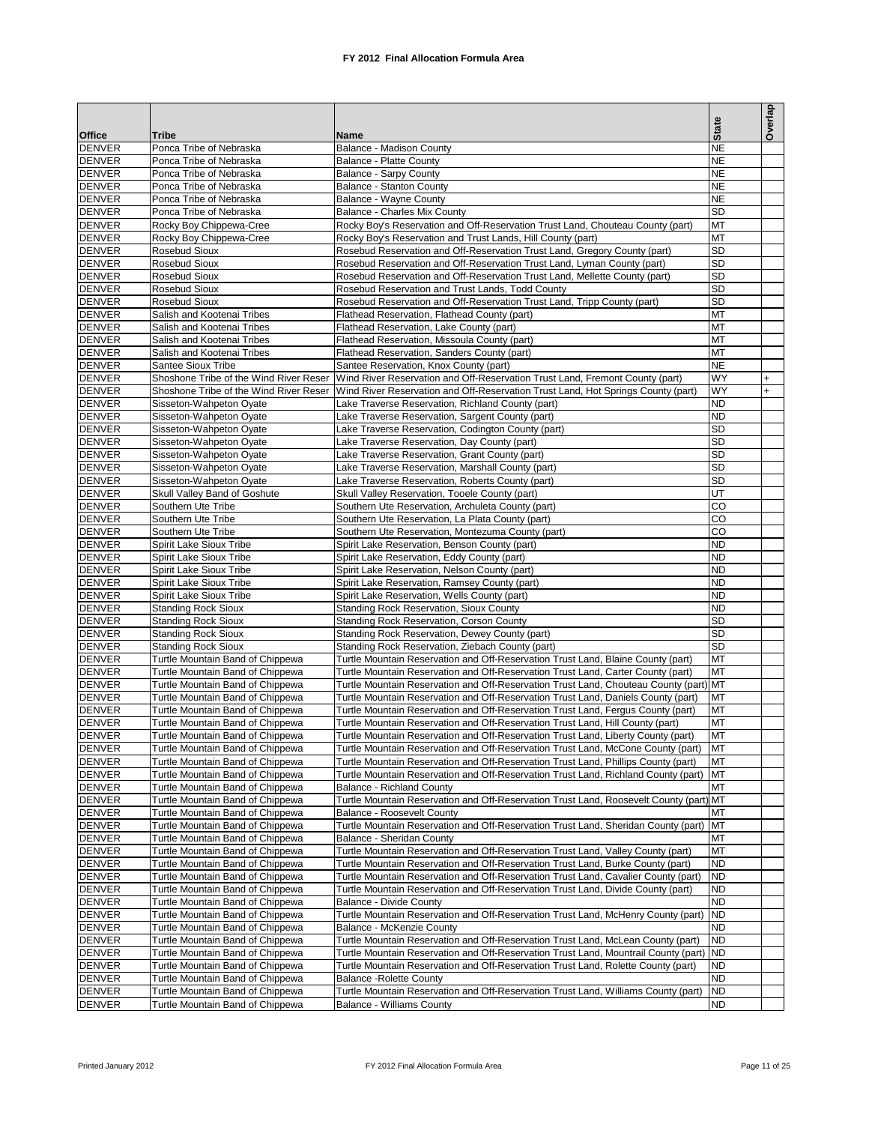|                                |                                                                      |                                                                                                                                                                         |                        | Overlap |
|--------------------------------|----------------------------------------------------------------------|-------------------------------------------------------------------------------------------------------------------------------------------------------------------------|------------------------|---------|
| <b>Office</b>                  | Tribe                                                                | Name                                                                                                                                                                    | <b>State</b>           |         |
| <b>DENVER</b>                  | Ponca Tribe of Nebraska                                              | Balance - Madison County                                                                                                                                                | <b>NE</b>              |         |
| <b>DENVER</b>                  | Ponca Tribe of Nebraska                                              | <b>Balance - Platte County</b>                                                                                                                                          | <b>NE</b>              |         |
| <b>DENVER</b>                  | Ponca Tribe of Nebraska                                              | Balance - Sarpy County                                                                                                                                                  | <b>NE</b>              |         |
| <b>DENVER</b>                  | Ponca Tribe of Nebraska                                              | Balance - Stanton County                                                                                                                                                | <b>NE</b>              |         |
| <b>DENVER</b>                  | Ponca Tribe of Nebraska                                              | Balance - Wayne County                                                                                                                                                  | <b>NE</b>              |         |
| <b>DENVER</b>                  | Ponca Tribe of Nebraska                                              | Balance - Charles Mix County                                                                                                                                            | <b>SD</b>              |         |
| <b>DENVER</b><br><b>DENVER</b> | Rocky Boy Chippewa-Cree<br>Rocky Boy Chippewa-Cree                   | Rocky Boy's Reservation and Off-Reservation Trust Land, Chouteau County (part)<br>Rocky Boy's Reservation and Trust Lands, Hill County (part)                           | MT<br>MT               |         |
| <b>DENVER</b>                  | Rosebud Sioux                                                        | Rosebud Reservation and Off-Reservation Trust Land, Gregory County (part)                                                                                               | <b>SD</b>              |         |
| <b>DENVER</b>                  | Rosebud Sioux                                                        | Rosebud Reservation and Off-Reservation Trust Land, Lyman County (part)                                                                                                 | SD                     |         |
| <b>DENVER</b>                  | <b>Rosebud Sioux</b>                                                 | Rosebud Reservation and Off-Reservation Trust Land, Mellette County (part)                                                                                              | <b>SD</b>              |         |
| <b>DENVER</b>                  | <b>Rosebud Sioux</b>                                                 | Rosebud Reservation and Trust Lands, Todd County                                                                                                                        | SD                     |         |
| <b>DENVER</b>                  | <b>Rosebud Sioux</b>                                                 | Rosebud Reservation and Off-Reservation Trust Land, Tripp County (part)                                                                                                 | <b>SD</b>              |         |
| <b>DENVER</b>                  | Salish and Kootenai Tribes                                           | Flathead Reservation, Flathead County (part)                                                                                                                            | MT                     |         |
| <b>DENVER</b>                  | Salish and Kootenai Tribes                                           | Flathead Reservation, Lake County (part)                                                                                                                                | MT                     |         |
| <b>DENVER</b>                  | Salish and Kootenai Tribes                                           | Flathead Reservation, Missoula County (part)                                                                                                                            | MT                     |         |
| <b>DENVER</b>                  | Salish and Kootenai Tribes                                           | Flathead Reservation, Sanders County (part)                                                                                                                             | MT<br><b>NE</b>        |         |
| <b>DENVER</b><br><b>DENVER</b> | Santee Sioux Tribe<br>Shoshone Tribe of the Wind River Reser         | Santee Reservation, Knox County (part)<br>Wind River Reservation and Off-Reservation Trust Land, Fremont County (part)                                                  | <b>WY</b>              | $+$     |
| <b>DENVER</b>                  | Shoshone Tribe of the Wind River Reser                               | Wind River Reservation and Off-Reservation Trust Land, Hot Springs County (part)                                                                                        | WY                     | $+$     |
| <b>DENVER</b>                  | Sisseton-Wahpeton Oyate                                              | Lake Traverse Reservation, Richland County (part)                                                                                                                       | <b>ND</b>              |         |
| <b>DENVER</b>                  | Sisseton-Wahpeton Oyate                                              | Lake Traverse Reservation, Sargent County (part)                                                                                                                        | <b>ND</b>              |         |
| <b>DENVER</b>                  | Sisseton-Wahpeton Oyate                                              | Lake Traverse Reservation, Codington County (part)                                                                                                                      | <b>SD</b>              |         |
| <b>DENVER</b>                  | Sisseton-Wahpeton Oyate                                              | Lake Traverse Reservation, Day County (part)                                                                                                                            | <b>SD</b>              |         |
| <b>DENVER</b>                  | Sisseton-Wahpeton Oyate                                              | Lake Traverse Reservation, Grant County (part)                                                                                                                          | <b>SD</b>              |         |
| <b>DENVER</b>                  | Sisseton-Wahpeton Oyate                                              | Lake Traverse Reservation, Marshall County (part)                                                                                                                       | SD                     |         |
| <b>DENVER</b>                  | Sisseton-Wahpeton Oyate                                              | Lake Traverse Reservation, Roberts County (part)                                                                                                                        | <b>SD</b>              |         |
| <b>DENVER</b>                  | Skull Valley Band of Goshute                                         | Skull Valley Reservation, Tooele County (part)                                                                                                                          | UT                     |         |
| <b>DENVER</b>                  | Southern Ute Tribe                                                   | Southern Ute Reservation, Archuleta County (part)                                                                                                                       | CO                     |         |
| <b>DENVER</b>                  | Southern Ute Tribe                                                   | Southern Ute Reservation, La Plata County (part)                                                                                                                        | CO                     |         |
| <b>DENVER</b><br><b>DENVER</b> | Southern Ute Tribe<br>Spirit Lake Sioux Tribe                        | Southern Ute Reservation, Montezuma County (part)<br>Spirit Lake Reservation, Benson County (part)                                                                      | CO<br><b>ND</b>        |         |
| <b>DENVER</b>                  | Spirit Lake Sioux Tribe                                              | Spirit Lake Reservation, Eddy County (part)                                                                                                                             | <b>ND</b>              |         |
| <b>DENVER</b>                  | Spirit Lake Sioux Tribe                                              | Spirit Lake Reservation, Nelson County (part)                                                                                                                           | <b>ND</b>              |         |
| <b>DENVER</b>                  | Spirit Lake Sioux Tribe                                              | Spirit Lake Reservation, Ramsey County (part)                                                                                                                           | <b>ND</b>              |         |
| <b>DENVER</b>                  | Spirit Lake Sioux Tribe                                              | Spirit Lake Reservation, Wells County (part)                                                                                                                            | <b>ND</b>              |         |
| <b>DENVER</b>                  | <b>Standing Rock Sioux</b>                                           | <b>Standing Rock Reservation, Sioux County</b>                                                                                                                          | <b>ND</b>              |         |
| <b>DENVER</b>                  | <b>Standing Rock Sioux</b>                                           | <b>Standing Rock Reservation, Corson County</b>                                                                                                                         | SD                     |         |
| <b>DENVER</b>                  | <b>Standing Rock Sioux</b>                                           | Standing Rock Reservation, Dewey County (part)                                                                                                                          | <b>SD</b>              |         |
| <b>DENVER</b>                  | <b>Standing Rock Sioux</b>                                           | Standing Rock Reservation, Ziebach County (part)<br>Turtle Mountain Reservation and Off-Reservation Trust Land, Blaine County (part)                                    | <b>SD</b><br>MT        |         |
| <b>DENVER</b><br><b>DENVER</b> | Turtle Mountain Band of Chippewa<br>Turtle Mountain Band of Chippewa | Turtle Mountain Reservation and Off-Reservation Trust Land, Carter County (part)                                                                                        | MT                     |         |
| <b>DENVER</b>                  | Turtle Mountain Band of Chippewa                                     | Turtle Mountain Reservation and Off-Reservation Trust Land, Chouteau County (part) MT                                                                                   |                        |         |
| <b>DENVER</b>                  | Turtle Mountain Band of Chippewa                                     | Turtle Mountain Reservation and Off-Reservation Trust Land, Daniels County (part)                                                                                       | MT                     |         |
| <b>DENVER</b>                  | Turtle Mountain Band of Chippewa                                     | Turtle Mountain Reservation and Off-Reservation Trust Land, Fergus County (part)                                                                                        | MT                     |         |
| <b>DENVER</b>                  | Turtle Mountain Band of Chippewa                                     | Turtle Mountain Reservation and Off-Reservation Trust Land, Hill County (part)                                                                                          | MT                     |         |
| <b>DENVER</b>                  | Turtle Mountain Band of Chippewa                                     | Turtle Mountain Reservation and Off-Reservation Trust Land. Liberty County (part)                                                                                       | <b>MT</b>              |         |
| <b>DENVER</b>                  | Turtle Mountain Band of Chippewa                                     | Turtle Mountain Reservation and Off-Reservation Trust Land, McCone County (part)                                                                                        | MT                     |         |
| <b>DENVER</b>                  | Turtle Mountain Band of Chippewa                                     | Turtle Mountain Reservation and Off-Reservation Trust Land, Phillips County (part)                                                                                      | MT                     |         |
| <b>DENVER</b>                  | Turtle Mountain Band of Chippewa                                     | Turtle Mountain Reservation and Off-Reservation Trust Land, Richland County (part)                                                                                      | MT                     |         |
| <b>DENVER</b><br><b>DENVER</b> | Turtle Mountain Band of Chippewa<br>Turtle Mountain Band of Chippewa | <b>Balance - Richland County</b><br>Turtle Mountain Reservation and Off-Reservation Trust Land, Roosevelt County (part) MT                                              | MT                     |         |
| <b>DENVER</b>                  | Turtle Mountain Band of Chippewa                                     | <b>Balance - Roosevelt County</b>                                                                                                                                       | MT                     |         |
| <b>DENVER</b>                  | Turtle Mountain Band of Chippewa                                     | Turtle Mountain Reservation and Off-Reservation Trust Land, Sheridan County (part)                                                                                      | MT                     |         |
| <b>DENVER</b>                  | Turtle Mountain Band of Chippewa                                     | Balance - Sheridan County                                                                                                                                               | MT                     |         |
| <b>DENVER</b>                  | Turtle Mountain Band of Chippewa                                     | Turtle Mountain Reservation and Off-Reservation Trust Land, Valley County (part)                                                                                        | MT                     |         |
| <b>DENVER</b>                  | Turtle Mountain Band of Chippewa                                     | Turtle Mountain Reservation and Off-Reservation Trust Land, Burke County (part)                                                                                         | <b>ND</b>              |         |
| <b>DENVER</b>                  | Turtle Mountain Band of Chippewa                                     | Turtle Mountain Reservation and Off-Reservation Trust Land, Cavalier County (part)                                                                                      | <b>ND</b>              |         |
| <b>DENVER</b>                  | Turtle Mountain Band of Chippewa                                     | Turtle Mountain Reservation and Off-Reservation Trust Land, Divide County (part)                                                                                        | <b>ND</b>              |         |
| <b>DENVER</b>                  | Turtle Mountain Band of Chippewa                                     | <b>Balance - Divide County</b>                                                                                                                                          | <b>ND</b>              |         |
| <b>DENVER</b>                  | Turtle Mountain Band of Chippewa                                     | Turtle Mountain Reservation and Off-Reservation Trust Land, McHenry County (part)                                                                                       | <b>ND</b>              |         |
| <b>DENVER</b>                  | Turtle Mountain Band of Chippewa                                     | Balance - McKenzie County                                                                                                                                               | <b>ND</b>              |         |
| <b>DENVER</b><br><b>DENVER</b> | Turtle Mountain Band of Chippewa<br>Turtle Mountain Band of Chippewa | Turtle Mountain Reservation and Off-Reservation Trust Land, McLean County (part)<br>Turtle Mountain Reservation and Off-Reservation Trust Land, Mountrail County (part) | <b>ND</b><br><b>ND</b> |         |
| <b>DENVER</b>                  | Turtle Mountain Band of Chippewa                                     | Turtle Mountain Reservation and Off-Reservation Trust Land, Rolette County (part)                                                                                       | <b>ND</b>              |         |
| <b>DENVER</b>                  | Turtle Mountain Band of Chippewa                                     | <b>Balance - Rolette County</b>                                                                                                                                         | <b>ND</b>              |         |
| <b>DENVER</b>                  | Turtle Mountain Band of Chippewa                                     | Turtle Mountain Reservation and Off-Reservation Trust Land, Williams County (part)                                                                                      | <b>ND</b>              |         |
| <b>DENVER</b>                  | Turtle Mountain Band of Chippewa                                     | <b>Balance - Williams County</b>                                                                                                                                        | <b>ND</b>              |         |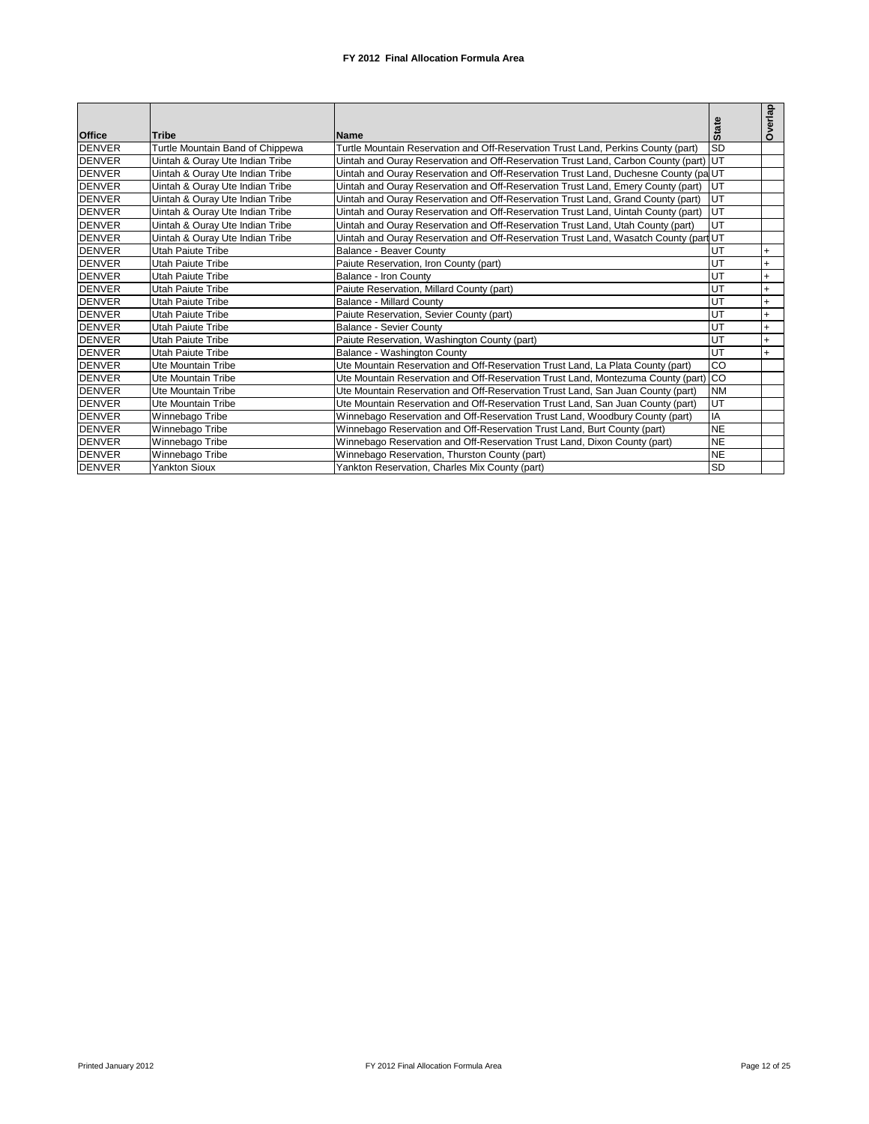| <b>Office</b> | <b>Tribe</b>                     | Name                                                                                 | <b>State</b> | Overlap   |
|---------------|----------------------------------|--------------------------------------------------------------------------------------|--------------|-----------|
| <b>DENVER</b> | Turtle Mountain Band of Chippewa | Turtle Mountain Reservation and Off-Reservation Trust Land, Perkins County (part)    | <b>SD</b>    |           |
| <b>DENVER</b> | Uintah & Ouray Ute Indian Tribe  | Uintah and Ouray Reservation and Off-Reservation Trust Land, Carbon County (part) UT |              |           |
| <b>DENVER</b> | Uintah & Ouray Ute Indian Tribe  | Uintah and Ouray Reservation and Off-Reservation Trust Land, Duchesne County (pa UT  |              |           |
| <b>DENVER</b> | Uintah & Ouray Ute Indian Tribe  | Uintah and Ouray Reservation and Off-Reservation Trust Land, Emery County (part)     | IUT          |           |
| <b>DENVER</b> | Uintah & Ouray Ute Indian Tribe  | Uintah and Ouray Reservation and Off-Reservation Trust Land, Grand County (part)     | UT           |           |
| <b>DENVER</b> | Uintah & Ouray Ute Indian Tribe  | Uintah and Ouray Reservation and Off-Reservation Trust Land, Uintah County (part)    | <b>UT</b>    |           |
| <b>DENVER</b> | Uintah & Ouray Ute Indian Tribe  | Uintah and Ouray Reservation and Off-Reservation Trust Land, Utah County (part)      | <b>UT</b>    |           |
| <b>DENVER</b> | Uintah & Ouray Ute Indian Tribe  | Uintah and Ouray Reservation and Off-Reservation Trust Land, Wasatch County (part UT |              |           |
| <b>DENVER</b> | <b>Utah Paiute Tribe</b>         | Balance - Beaver County                                                              | UT           |           |
| <b>DENVER</b> | Utah Paiute Tribe                | Paiute Reservation, Iron County (part)                                               | UT           | $+$       |
| <b>DENVER</b> | Utah Paiute Tribe                | Balance - Iron County                                                                | UT           | $+$       |
| <b>DENVER</b> | <b>Utah Paiute Tribe</b>         | Paiute Reservation, Millard County (part)                                            | UT           | $\ddot{}$ |
| <b>DENVER</b> | Utah Paiute Tribe                | <b>Balance - Millard County</b>                                                      | UT           | $+$       |
| <b>DENVER</b> | Utah Paiute Tribe                | Paiute Reservation, Sevier County (part)                                             | UT           | $+$       |
| <b>DENVER</b> | Utah Paiute Tribe                | Balance - Sevier County                                                              | UT           | $+$       |
| <b>DENVER</b> | <b>Utah Paiute Tribe</b>         | Paiute Reservation, Washington County (part)                                         | UT           | $\ddot{}$ |
| <b>DENVER</b> | Utah Paiute Tribe                | Balance - Washington County                                                          | UT           | $+$       |
| <b>DENVER</b> | Ute Mountain Tribe               | Ute Mountain Reservation and Off-Reservation Trust Land, La Plata County (part)      | CO           |           |
| <b>DENVER</b> | Ute Mountain Tribe               | Ute Mountain Reservation and Off-Reservation Trust Land, Montezuma County (part) CO  |              |           |
| <b>DENVER</b> | Ute Mountain Tribe               | Ute Mountain Reservation and Off-Reservation Trust Land, San Juan County (part)      | <b>NM</b>    |           |
| <b>DENVER</b> | Ute Mountain Tribe               | Ute Mountain Reservation and Off-Reservation Trust Land, San Juan County (part)      | UT           |           |
| <b>DENVER</b> | Winnebago Tribe                  | Winnebago Reservation and Off-Reservation Trust Land, Woodbury County (part)         | IA           |           |
| <b>DENVER</b> | Winnebago Tribe                  | Winnebago Reservation and Off-Reservation Trust Land, Burt County (part)             | <b>NE</b>    |           |
| <b>DENVER</b> | Winnebago Tribe                  | Winnebago Reservation and Off-Reservation Trust Land, Dixon County (part)            | <b>NE</b>    |           |
| <b>DENVER</b> | Winnebago Tribe                  | Winnebago Reservation, Thurston County (part)                                        | <b>NE</b>    |           |
| <b>DENVER</b> | <b>Yankton Sioux</b>             | Yankton Reservation, Charles Mix County (part)                                       | <b>SD</b>    |           |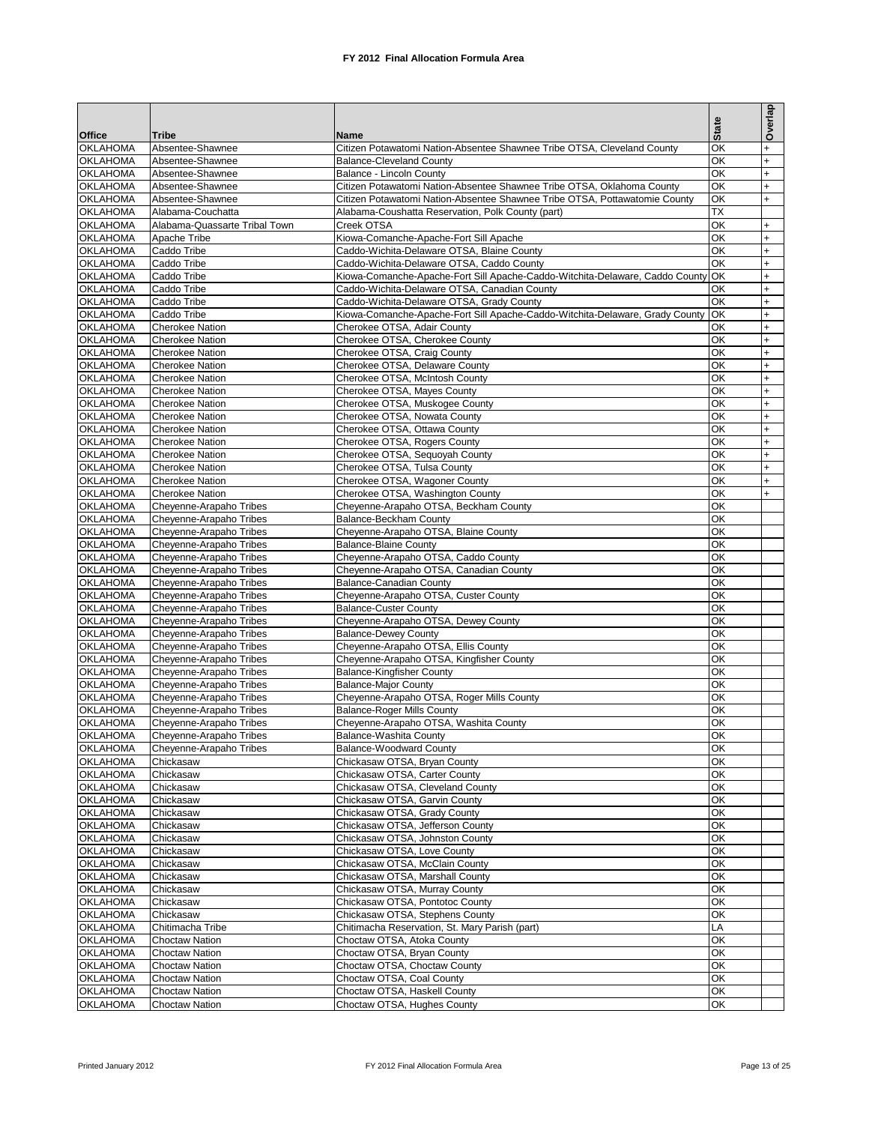|                                    |                                                    |                                                                                                                              | <b>State</b> | Overlap                |
|------------------------------------|----------------------------------------------------|------------------------------------------------------------------------------------------------------------------------------|--------------|------------------------|
| <b>Office</b>                      | <b>Tribe</b>                                       | <b>Name</b>                                                                                                                  |              |                        |
| <b>OKLAHOMA</b><br><b>OKLAHOMA</b> | Absentee-Shawnee<br>Absentee-Shawnee               | Citizen Potawatomi Nation-Absentee Shawnee Tribe OTSA, Cleveland County<br><b>Balance-Cleveland County</b>                   | ОК<br>ОК     | $\ddot{}$<br>$\ddot{}$ |
| <b>OKLAHOMA</b>                    | Absentee-Shawnee                                   | Balance - Lincoln County                                                                                                     | ОК           | $\ddot{}$              |
| <b>OKLAHOMA</b>                    | Absentee-Shawnee                                   | Citizen Potawatomi Nation-Absentee Shawnee Tribe OTSA, Oklahoma County                                                       | ОК           | $\ddot{}$              |
| <b>OKLAHOMA</b>                    | Absentee-Shawnee                                   | Citizen Potawatomi Nation-Absentee Shawnee Tribe OTSA, Pottawatomie County                                                   | ОК           | $\ddot{}$              |
| <b>OKLAHOMA</b>                    | Alabama-Couchatta                                  | Alabama-Coushatta Reservation, Polk County (part)                                                                            | ТX           |                        |
| <b>OKLAHOMA</b>                    | Alabama-Quassarte Tribal Town                      | Creek OTSA                                                                                                                   | ОК           | $\ddot{}$              |
| <b>OKLAHOMA</b>                    | Apache Tribe                                       | Kiowa-Comanche-Apache-Fort Sill Apache                                                                                       | ОК           | $\ddot{}$              |
| <b>OKLAHOMA</b>                    | Caddo Tribe                                        | Caddo-Wichita-Delaware OTSA, Blaine County                                                                                   | OK           | $\ddot{}$              |
| <b>OKLAHOMA</b><br><b>OKLAHOMA</b> | Caddo Tribe<br>Caddo Tribe                         | Caddo-Wichita-Delaware OTSA, Caddo County                                                                                    | OK<br>OK     | $\ddot{}$<br>$\ddot{}$ |
| <b>OKLAHOMA</b>                    | Caddo Tribe                                        | Kiowa-Comanche-Apache-Fort Sill Apache-Caddo-Witchita-Delaware, Caddo County<br>Caddo-Wichita-Delaware OTSA, Canadian County | ОΚ           | $\ddot{}$              |
| <b>OKLAHOMA</b>                    | Caddo Tribe                                        | Caddo-Wichita-Delaware OTSA, Grady County                                                                                    | OK           | $\ddot{}$              |
| <b>OKLAHOMA</b>                    | Caddo Tribe                                        | Kiowa-Comanche-Apache-Fort Sill Apache-Caddo-Witchita-Delaware, Grady County                                                 | OK           | $\ddot{}$              |
| <b>OKLAHOMA</b>                    | <b>Cherokee Nation</b>                             | Cherokee OTSA, Adair County                                                                                                  | ОΚ           | $\ddot{}$              |
| <b>OKLAHOMA</b>                    | <b>Cherokee Nation</b>                             | Cherokee OTSA, Cherokee County                                                                                               | ОК           | $\ddot{}$              |
| <b>OKLAHOMA</b>                    | <b>Cherokee Nation</b>                             | Cherokee OTSA, Craig County                                                                                                  | ОК           | $\ddot{}$              |
| <b>OKLAHOMA</b>                    | <b>Cherokee Nation</b>                             | Cherokee OTSA, Delaware County                                                                                               | ОК           | $\ddot{}$              |
| <b>OKLAHOMA</b>                    | <b>Cherokee Nation</b>                             | Cherokee OTSA, McIntosh County                                                                                               | ОК           | $\ddot{}$              |
| <b>OKLAHOMA</b>                    | <b>Cherokee Nation</b>                             | Cherokee OTSA, Mayes County                                                                                                  | ОК           | $\ddot{}$              |
| <b>OKLAHOMA</b>                    | <b>Cherokee Nation</b>                             | Cherokee OTSA, Muskogee County                                                                                               | ОК           | $\ddot{}$              |
| <b>OKLAHOMA</b><br><b>OKLAHOMA</b> | <b>Cherokee Nation</b><br><b>Cherokee Nation</b>   | Cherokee OTSA, Nowata County                                                                                                 | ОК<br>ОК     | $\ddot{}$<br>$\ddot{}$ |
| <b>OKLAHOMA</b>                    | <b>Cherokee Nation</b>                             | Cherokee OTSA, Ottawa County<br>Cherokee OTSA, Rogers County                                                                 | ОК           | $\ddot{}$              |
| <b>OKLAHOMA</b>                    | <b>Cherokee Nation</b>                             | Cherokee OTSA, Sequoyah County                                                                                               | ОК           | $\ddot{}$              |
| <b>OKLAHOMA</b>                    | <b>Cherokee Nation</b>                             | Cherokee OTSA, Tulsa County                                                                                                  | ОК           | $\ddot{}$              |
| <b>OKLAHOMA</b>                    | <b>Cherokee Nation</b>                             | Cherokee OTSA, Wagoner County                                                                                                | ОК           | $\ddot{}$              |
| <b>OKLAHOMA</b>                    | <b>Cherokee Nation</b>                             | Cherokee OTSA, Washington County                                                                                             | ОК           | $\ddot{}$              |
| <b>OKLAHOMA</b>                    | Cheyenne-Arapaho Tribes                            | Cheyenne-Arapaho OTSA, Beckham County                                                                                        | ОК           |                        |
| <b>OKLAHOMA</b>                    | Cheyenne-Arapaho Tribes                            | Balance-Beckham County                                                                                                       | ОК           |                        |
| <b>OKLAHOMA</b>                    | Cheyenne-Arapaho Tribes                            | Cheyenne-Arapaho OTSA, Blaine County                                                                                         | ОК           |                        |
| <b>OKLAHOMA</b>                    | Cheyenne-Arapaho Tribes                            | <b>Balance-Blaine County</b>                                                                                                 | ОК           |                        |
| <b>OKLAHOMA</b>                    | Cheyenne-Arapaho Tribes                            | Cheyenne-Arapaho OTSA, Caddo County                                                                                          | ОК           |                        |
| <b>OKLAHOMA</b><br><b>OKLAHOMA</b> | Cheyenne-Arapaho Tribes<br>Cheyenne-Arapaho Tribes | Cheyenne-Arapaho OTSA, Canadian County<br>Balance-Canadian County                                                            | ОК<br>ОК     |                        |
| <b>OKLAHOMA</b>                    | Cheyenne-Arapaho Tribes                            | Cheyenne-Arapaho OTSA, Custer County                                                                                         | ОК           |                        |
| <b>OKLAHOMA</b>                    | Cheyenne-Arapaho Tribes                            | <b>Balance-Custer County</b>                                                                                                 | ОК           |                        |
| <b>OKLAHOMA</b>                    | Cheyenne-Arapaho Tribes                            | Cheyenne-Arapaho OTSA, Dewey County                                                                                          | ОК           |                        |
| <b>OKLAHOMA</b>                    | Cheyenne-Arapaho Tribes                            | <b>Balance-Dewey County</b>                                                                                                  | ОК           |                        |
| <b>OKLAHOMA</b>                    | Cheyenne-Arapaho Tribes                            | Cheyenne-Arapaho OTSA, Ellis County                                                                                          | ОК           |                        |
| <b>OKLAHOMA</b>                    | Cheyenne-Arapaho Tribes                            | Cheyenne-Arapaho OTSA, Kingfisher County                                                                                     | ОК           |                        |
| <b>OKLAHOMA</b>                    | Cheyenne-Arapaho Tribes                            | <b>Balance-Kingfisher County</b>                                                                                             | ОК           |                        |
| <b>OKLAHOMA</b>                    | Cheyenne-Arapaho Tribes                            | <b>Balance-Major County</b>                                                                                                  | ОК           |                        |
| <b>OKLAHOMA</b><br><b>OKLAHOMA</b> | Cheyenne-Arapaho Tribes<br>Cheyenne-Arapaho Tribes | Cheyenne-Arapaho OTSA, Roger Mills County                                                                                    | ОК<br>OK     |                        |
| <b>OKLAHOMA</b>                    | Cheyenne-Arapaho Tribes                            | <b>Balance-Roger Mills County</b><br>Cheyenne-Arapaho OTSA, Washita County                                                   | ОК           |                        |
| <b>OKLAHOMA</b>                    | Chevenne-Arapaho Tribes                            | Balance-Washita County                                                                                                       | OK           |                        |
| <b>OKLAHOMA</b>                    | Cheyenne-Arapaho Tribes                            | <b>Balance-Woodward County</b>                                                                                               | ОК           |                        |
| <b>OKLAHOMA</b>                    | Chickasaw                                          | Chickasaw OTSA, Bryan County                                                                                                 | ОК           |                        |
| <b>OKLAHOMA</b>                    | Chickasaw                                          | Chickasaw OTSA, Carter County                                                                                                | ОΚ           |                        |
| <b>OKLAHOMA</b>                    | Chickasaw                                          | Chickasaw OTSA, Cleveland County                                                                                             | ОК           |                        |
| <b>OKLAHOMA</b>                    | Chickasaw                                          | Chickasaw OTSA, Garvin County                                                                                                | ОΚ           |                        |
| <b>OKLAHOMA</b>                    | Chickasaw                                          | Chickasaw OTSA, Grady County                                                                                                 | ОК           |                        |
| <b>OKLAHOMA</b><br><b>OKLAHOMA</b> | Chickasaw<br>Chickasaw                             | Chickasaw OTSA, Jefferson County<br>Chickasaw OTSA, Johnston County                                                          | ОΚ<br>ОК     |                        |
| <b>OKLAHOMA</b>                    | Chickasaw                                          | Chickasaw OTSA, Love County                                                                                                  | ОК           |                        |
| <b>OKLAHOMA</b>                    | Chickasaw                                          | Chickasaw OTSA, McClain County                                                                                               | ОК           |                        |
| <b>OKLAHOMA</b>                    | Chickasaw                                          | Chickasaw OTSA, Marshall County                                                                                              | ОК           |                        |
| <b>OKLAHOMA</b>                    | Chickasaw                                          | Chickasaw OTSA, Murray County                                                                                                | ОΚ           |                        |
| <b>OKLAHOMA</b>                    | Chickasaw                                          | Chickasaw OTSA, Pontotoc County                                                                                              | ОК           |                        |
| <b>OKLAHOMA</b>                    | Chickasaw                                          | Chickasaw OTSA, Stephens County                                                                                              | ОК           |                        |
| <b>OKLAHOMA</b>                    | Chitimacha Tribe                                   | Chitimacha Reservation, St. Mary Parish (part)                                                                               | LA           |                        |
| <b>OKLAHOMA</b>                    | <b>Choctaw Nation</b>                              | Choctaw OTSA, Atoka County                                                                                                   | OK           |                        |
| <b>OKLAHOMA</b>                    | <b>Choctaw Nation</b>                              | Choctaw OTSA, Bryan County                                                                                                   | ОК           |                        |
| <b>OKLAHOMA</b><br><b>OKLAHOMA</b> | <b>Choctaw Nation</b><br><b>Choctaw Nation</b>     | Choctaw OTSA, Choctaw County<br>Choctaw OTSA, Coal County                                                                    | OK<br>ОΚ     |                        |
| <b>OKLAHOMA</b>                    | <b>Choctaw Nation</b>                              | Choctaw OTSA, Haskell County                                                                                                 | OK           |                        |
| <b>OKLAHOMA</b>                    | <b>Choctaw Nation</b>                              | Choctaw OTSA, Hughes County                                                                                                  | ОК           |                        |
|                                    |                                                    |                                                                                                                              |              |                        |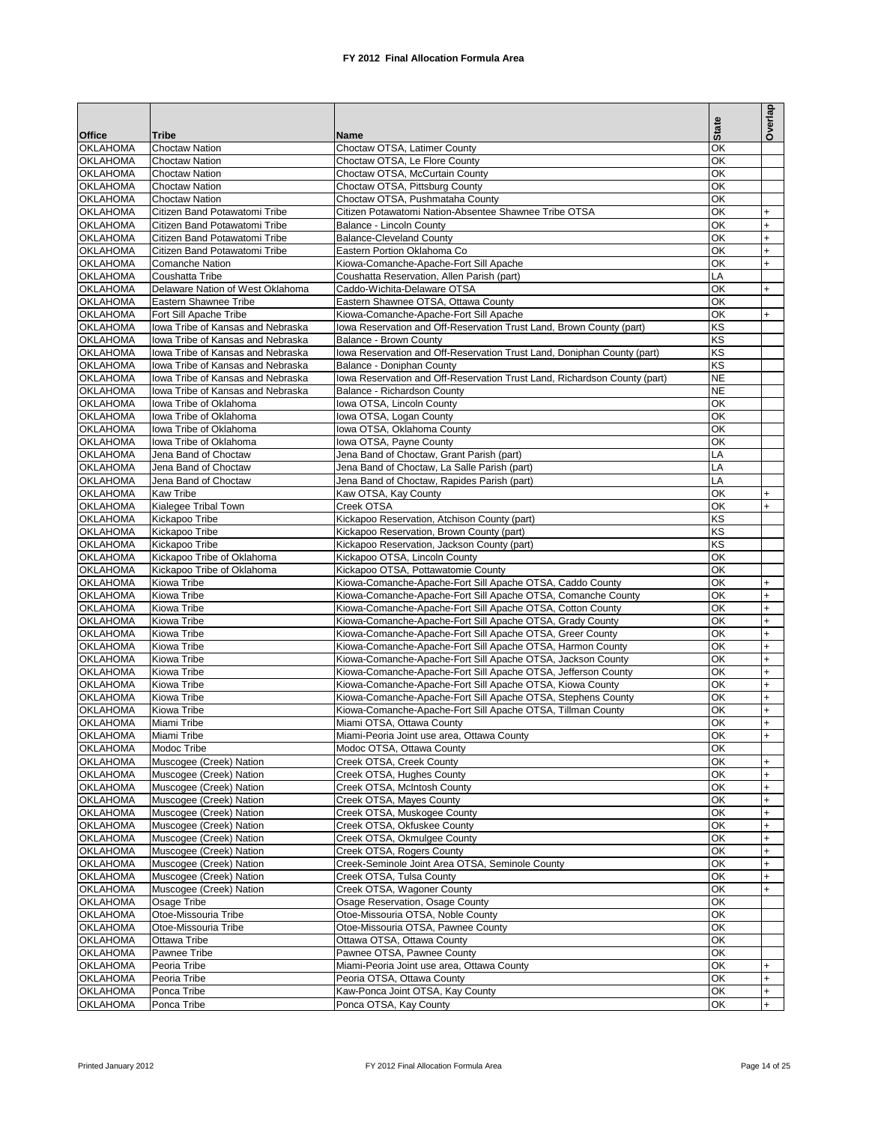|                                    |                                                                        |                                                                                                                              |                                     | Overlap                |
|------------------------------------|------------------------------------------------------------------------|------------------------------------------------------------------------------------------------------------------------------|-------------------------------------|------------------------|
| <b>Office</b>                      | <b>Tribe</b>                                                           | Name                                                                                                                         | <b>State</b>                        |                        |
| <b>OKLAHOMA</b>                    | <b>Choctaw Nation</b>                                                  | Choctaw OTSA, Latimer County                                                                                                 | OK                                  |                        |
| <b>OKLAHOMA</b>                    | <b>Choctaw Nation</b>                                                  | Choctaw OTSA, Le Flore County                                                                                                | OK                                  |                        |
| <b>OKLAHOMA</b>                    | <b>Choctaw Nation</b>                                                  | Choctaw OTSA, McCurtain County                                                                                               | OK                                  |                        |
| <b>OKLAHOMA</b>                    | <b>Choctaw Nation</b>                                                  | Choctaw OTSA, Pittsburg County                                                                                               | OK                                  |                        |
| <b>OKLAHOMA</b>                    | Choctaw Nation                                                         | Choctaw OTSA, Pushmataha County                                                                                              | OK                                  |                        |
| <b>OKLAHOMA</b>                    | Citizen Band Potawatomi Tribe                                          | Citizen Potawatomi Nation-Absentee Shawnee Tribe OTSA                                                                        | OK                                  | $\ddot{}$              |
| <b>OKLAHOMA</b>                    | Citizen Band Potawatomi Tribe                                          | Balance - Lincoln County                                                                                                     | OK                                  | $\ddot{}$              |
| <b>OKLAHOMA</b><br><b>OKLAHOMA</b> | Citizen Band Potawatomi Tribe<br>Citizen Band Potawatomi Tribe         | <b>Balance-Cleveland County</b><br>Eastern Portion Oklahoma Co                                                               | OK<br>OK                            | $\ddot{}$<br>$\ddot{}$ |
| <b>OKLAHOMA</b>                    | <b>Comanche Nation</b>                                                 | Kiowa-Comanche-Apache-Fort Sill Apache                                                                                       | OK                                  | $\ddot{}$              |
| <b>OKLAHOMA</b>                    | Coushatta Tribe                                                        | Coushatta Reservation, Allen Parish (part)                                                                                   | LA                                  |                        |
| <b>OKLAHOMA</b>                    | Delaware Nation of West Oklahoma                                       | Caddo-Wichita-Delaware OTSA                                                                                                  | OK                                  | $\ddot{}$              |
| <b>OKLAHOMA</b>                    | Eastern Shawnee Tribe                                                  | Eastern Shawnee OTSA. Ottawa County                                                                                          | ОК                                  |                        |
| <b>OKLAHOMA</b>                    | Fort Sill Apache Tribe                                                 | Kiowa-Comanche-Apache-Fort Sill Apache                                                                                       | OK                                  | $+$                    |
| <b>OKLAHOMA</b>                    | Iowa Tribe of Kansas and Nebraska                                      | lowa Reservation and Off-Reservation Trust Land, Brown County (part)                                                         | KS                                  |                        |
| <b>OKLAHOMA</b>                    | Iowa Tribe of Kansas and Nebraska                                      | Balance - Brown County                                                                                                       | KS                                  |                        |
| <b>OKLAHOMA</b>                    | lowa Tribe of Kansas and Nebraska                                      | lowa Reservation and Off-Reservation Trust Land, Doniphan County (part)                                                      | KS                                  |                        |
| <b>OKLAHOMA</b>                    | Iowa Tribe of Kansas and Nebraska<br>lowa Tribe of Kansas and Nebraska | Balance - Doniphan County                                                                                                    | $\overline{\text{KS}}$<br><b>NE</b> |                        |
| <b>OKLAHOMA</b><br><b>OKLAHOMA</b> | lowa Tribe of Kansas and Nebraska                                      | lowa Reservation and Off-Reservation Trust Land, Richardson County (part)<br>Balance - Richardson County                     | <b>NE</b>                           |                        |
| <b>OKLAHOMA</b>                    | Iowa Tribe of Oklahoma                                                 | Iowa OTSA, Lincoln County                                                                                                    | OK                                  |                        |
| <b>OKLAHOMA</b>                    | lowa Tribe of Oklahoma                                                 | lowa OTSA, Logan County                                                                                                      | OK                                  |                        |
| <b>OKLAHOMA</b>                    | Iowa Tribe of Oklahoma                                                 | Iowa OTSA, Oklahoma County                                                                                                   | OK                                  |                        |
| <b>OKLAHOMA</b>                    | lowa Tribe of Oklahoma                                                 | lowa OTSA, Payne County                                                                                                      | OK                                  |                        |
| <b>OKLAHOMA</b>                    | Jena Band of Choctaw                                                   | Jena Band of Choctaw, Grant Parish (part)                                                                                    | LA                                  |                        |
| <b>OKLAHOMA</b>                    | Jena Band of Choctaw                                                   | Jena Band of Choctaw, La Salle Parish (part)                                                                                 | LA                                  |                        |
| <b>OKLAHOMA</b>                    | Jena Band of Choctaw                                                   | Jena Band of Choctaw, Rapides Parish (part)                                                                                  | LA                                  |                        |
| <b>OKLAHOMA</b>                    | <b>Kaw Tribe</b>                                                       | Kaw OTSA, Kay County                                                                                                         | ОК                                  | $\ddot{}$              |
| <b>OKLAHOMA</b>                    | Kialegee Tribal Town                                                   | Creek OTSA                                                                                                                   | ОК                                  | $\ddot{}$              |
| <b>OKLAHOMA</b>                    | Kickapoo Tribe                                                         | Kickapoo Reservation, Atchison County (part)                                                                                 | KS                                  |                        |
| <b>OKLAHOMA</b><br><b>OKLAHOMA</b> | Kickapoo Tribe<br>Kickapoo Tribe                                       | Kickapoo Reservation, Brown County (part)<br>Kickapoo Reservation, Jackson County (part)                                     | KS<br>KS                            |                        |
| <b>OKLAHOMA</b>                    | Kickapoo Tribe of Oklahoma                                             | Kickapoo OTSA, Lincoln County                                                                                                | OK                                  |                        |
| <b>OKLAHOMA</b>                    | Kickapoo Tribe of Oklahoma                                             | Kickapoo OTSA, Pottawatomie County                                                                                           | OK                                  |                        |
| <b>OKLAHOMA</b>                    | Kiowa Tribe                                                            | Kiowa-Comanche-Apache-Fort Sill Apache OTSA, Caddo County                                                                    | ОК                                  | $\ddot{}$              |
| <b>OKLAHOMA</b>                    | Kiowa Tribe                                                            | Kiowa-Comanche-Apache-Fort Sill Apache OTSA, Comanche County                                                                 | ОΚ                                  | $\ddot{}$              |
| <b>OKLAHOMA</b>                    | Kiowa Tribe                                                            | Kiowa-Comanche-Apache-Fort Sill Apache OTSA, Cotton County                                                                   | ОΚ                                  | $\ddot{}$              |
| <b>OKLAHOMA</b>                    | Kiowa Tribe                                                            | Kiowa-Comanche-Apache-Fort Sill Apache OTSA, Grady County                                                                    | ОΚ                                  | $\ddot{}$              |
| <b>OKLAHOMA</b>                    | Kiowa Tribe                                                            | Kiowa-Comanche-Apache-Fort Sill Apache OTSA, Greer County                                                                    | ОΚ                                  | $\ddot{}$              |
| <b>OKLAHOMA</b>                    | Kiowa Tribe                                                            | Kiowa-Comanche-Apache-Fort Sill Apache OTSA, Harmon County                                                                   | ОΚ                                  | $\ddot{}$              |
| <b>OKLAHOMA</b><br><b>OKLAHOMA</b> | Kiowa Tribe<br>Kiowa Tribe                                             | Kiowa-Comanche-Apache-Fort Sill Apache OTSA, Jackson County<br>Kiowa-Comanche-Apache-Fort Sill Apache OTSA, Jefferson County | ОΚ<br>ОК                            | $\ddot{}$<br>$\ddot{}$ |
| <b>OKLAHOMA</b>                    | Kiowa Tribe                                                            | Kiowa-Comanche-Apache-Fort Sill Apache OTSA, Kiowa County                                                                    | ОΚ                                  | $\ddot{}$              |
| <b>OKLAHOMA</b>                    | Kiowa Tribe                                                            | Kiowa-Comanche-Apache-Fort Sill Apache OTSA, Stephens County                                                                 | ОК                                  | $\ddot{}$              |
| <b>OKLAHOMA</b>                    | Kiowa Tribe                                                            | Kiowa-Comanche-Apache-Fort Sill Apache OTSA, Tillman County                                                                  | ОΚ                                  | $\ddot{}$              |
| <b>OKLAHOMA</b>                    | Miami Tribe                                                            | Miami OTSA, Ottawa County                                                                                                    | ОК                                  | $\ddot{}$              |
| <b>OKLAHOMA</b>                    | Miami Tribe                                                            | Miami-Peoria Joint use area, Ottawa County                                                                                   | OK                                  | $\ddot{}$              |
| <b>OKLAHOMA</b>                    | Modoc Tribe                                                            | Modoc OTSA, Ottawa County                                                                                                    | ОК                                  |                        |
| <b>OKLAHOMA</b>                    | Muscogee (Creek) Nation                                                | Creek OTSA, Creek County                                                                                                     | OK                                  | $\ddot{}$              |
| <b>OKLAHOMA</b>                    | Muscogee (Creek) Nation                                                | Creek OTSA, Hughes County                                                                                                    | OK                                  | $\ddot{}$              |
| <b>OKLAHOMA</b>                    | Muscogee (Creek) Nation                                                | Creek OTSA, McIntosh County<br>Creek OTSA, Mayes County                                                                      | OK<br>OK                            | $+$                    |
| <b>OKLAHOMA</b><br><b>OKLAHOMA</b> | Muscogee (Creek) Nation<br>Muscogee (Creek) Nation                     | Creek OTSA, Muskogee County                                                                                                  | OK                                  | $\ddot{}$<br>$+$       |
| <b>OKLAHOMA</b>                    | Muscogee (Creek) Nation                                                | Creek OTSA, Okfuskee County                                                                                                  | OK                                  | $\ddot{}$              |
| <b>OKLAHOMA</b>                    | Muscogee (Creek) Nation                                                | Creek OTSA, Okmulgee County                                                                                                  | OK                                  | $+$                    |
| <b>OKLAHOMA</b>                    | Muscogee (Creek) Nation                                                | Creek OTSA, Rogers County                                                                                                    | OK                                  | $\ddot{}$              |
| <b>OKLAHOMA</b>                    | Muscogee (Creek) Nation                                                | Creek-Seminole Joint Area OTSA, Seminole County                                                                              | OK                                  | $+$                    |
| <b>OKLAHOMA</b>                    | Muscogee (Creek) Nation                                                | Creek OTSA, Tulsa County                                                                                                     | OK                                  | $\ddot{}$              |
| <b>OKLAHOMA</b>                    | Muscogee (Creek) Nation                                                | Creek OTSA, Wagoner County                                                                                                   | OK                                  | $+$                    |
| <b>OKLAHOMA</b>                    | Osage Tribe                                                            | Osage Reservation, Osage County                                                                                              | OK                                  |                        |
| <b>OKLAHOMA</b>                    | Otoe-Missouria Tribe                                                   | Otoe-Missouria OTSA, Noble County                                                                                            | OK                                  |                        |
| <b>OKLAHOMA</b>                    | Otoe-Missouria Tribe                                                   | Otoe-Missouria OTSA, Pawnee County                                                                                           | OK<br>OK                            |                        |
| <b>OKLAHOMA</b><br><b>OKLAHOMA</b> | Ottawa Tribe<br>Pawnee Tribe                                           | Ottawa OTSA, Ottawa County<br>Pawnee OTSA, Pawnee County                                                                     | OK                                  |                        |
| <b>OKLAHOMA</b>                    | Peoria Tribe                                                           | Miami-Peoria Joint use area, Ottawa County                                                                                   | OK                                  | $\ddot{}$              |
| <b>OKLAHOMA</b>                    | Peoria Tribe                                                           | Peoria OTSA, Ottawa County                                                                                                   | OK                                  | $\ddot{}$              |
| <b>OKLAHOMA</b>                    | Ponca Tribe                                                            | Kaw-Ponca Joint OTSA, Kay County                                                                                             | OK                                  | $+$                    |
| <b>OKLAHOMA</b>                    | Ponca Tribe                                                            | Ponca OTSA, Kay County                                                                                                       | ОК                                  | $+$                    |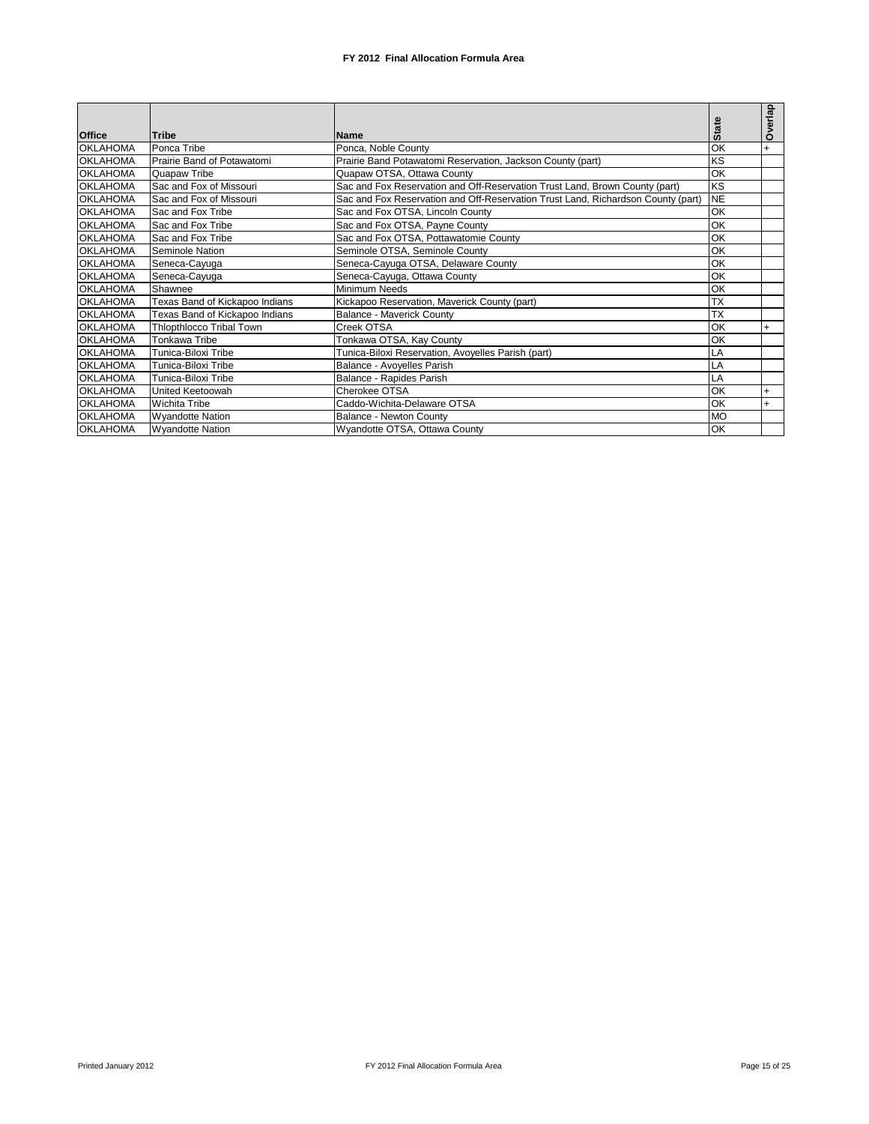|                 |                                 |                                                                                  |              | erlap |
|-----------------|---------------------------------|----------------------------------------------------------------------------------|--------------|-------|
| <b>Office</b>   | <b>Tribe</b>                    | Name                                                                             | <b>State</b> | Ò     |
| <b>OKLAHOMA</b> | Ponca Tribe                     | Ponca, Noble County                                                              | OK           | $+$   |
| <b>OKLAHOMA</b> | Prairie Band of Potawatomi      | Prairie Band Potawatomi Reservation, Jackson County (part)                       | KS           |       |
| <b>OKLAHOMA</b> | Quapaw Tribe                    | Quapaw OTSA, Ottawa County                                                       | OK           |       |
| <b>OKLAHOMA</b> | Sac and Fox of Missouri         | Sac and Fox Reservation and Off-Reservation Trust Land, Brown County (part)      | KS           |       |
| <b>OKLAHOMA</b> | Sac and Fox of Missouri         | Sac and Fox Reservation and Off-Reservation Trust Land, Richardson County (part) | <b>NE</b>    |       |
| <b>OKLAHOMA</b> | Sac and Fox Tribe               | Sac and Fox OTSA, Lincoln County                                                 | OK           |       |
| <b>OKLAHOMA</b> | Sac and Fox Tribe               | Sac and Fox OTSA, Payne County                                                   | OK           |       |
| <b>OKLAHOMA</b> | Sac and Fox Tribe               | Sac and Fox OTSA, Pottawatomie County                                            | OK           |       |
| <b>OKLAHOMA</b> | Seminole Nation                 | Seminole OTSA, Seminole County                                                   | OK           |       |
| <b>OKLAHOMA</b> | Seneca-Cayuga                   | Seneca-Cayuga OTSA, Delaware County                                              | OK           |       |
| <b>OKLAHOMA</b> | Seneca-Cayuga                   | Seneca-Cayuga, Ottawa County                                                     | OK           |       |
| <b>OKLAHOMA</b> | Shawnee                         | Minimum Needs                                                                    | OK           |       |
| <b>OKLAHOMA</b> | Texas Band of Kickapoo Indians  | Kickapoo Reservation, Maverick County (part)                                     | <b>TX</b>    |       |
| <b>OKLAHOMA</b> | Texas Band of Kickapoo Indians  | <b>Balance - Maverick County</b>                                                 | <b>TX</b>    |       |
| <b>OKLAHOMA</b> | <b>Thiopthiocco Tribal Town</b> | Creek OTSA                                                                       | OK           | $+$   |
| <b>OKLAHOMA</b> | Tonkawa Tribe                   | Tonkawa OTSA, Kay County                                                         | OK           |       |
| <b>OKLAHOMA</b> | Tunica-Biloxi Tribe             | Tunica-Biloxi Reservation, Avoyelles Parish (part)                               | LA           |       |
| <b>OKLAHOMA</b> | Tunica-Biloxi Tribe             | Balance - Avoyelles Parish                                                       | LA           |       |
| <b>OKLAHOMA</b> | Tunica-Biloxi Tribe             | Balance - Rapides Parish                                                         | LA           |       |
| <b>OKLAHOMA</b> | United Keetoowah                | Cherokee OTSA                                                                    | OK           | $+$   |
| <b>OKLAHOMA</b> | <b>Wichita Tribe</b>            | Caddo-Wichita-Delaware OTSA                                                      | OK           |       |
| <b>OKLAHOMA</b> | <b>Wyandotte Nation</b>         | Balance - Newton County                                                          | <b>MO</b>    |       |
| <b>OKLAHOMA</b> | <b>Wyandotte Nation</b>         | Wyandotte OTSA, Ottawa County                                                    | OK           |       |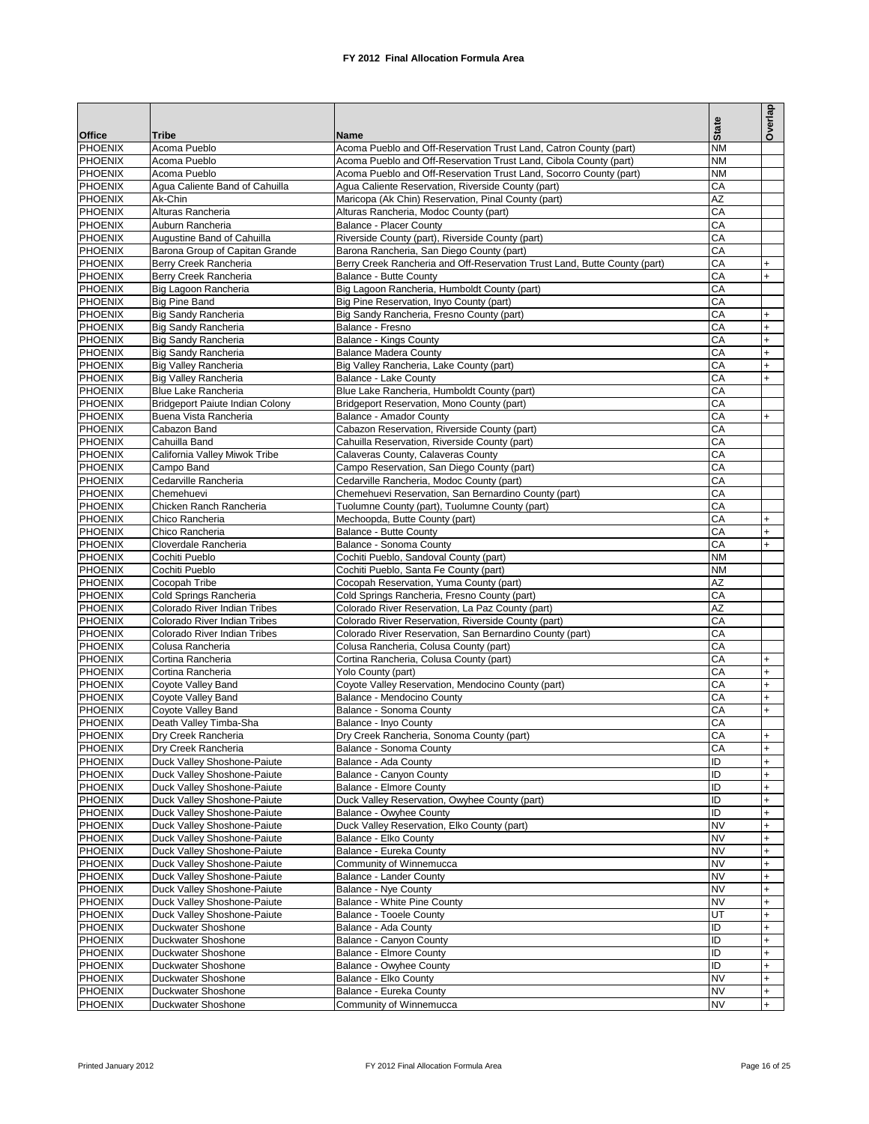|                                  |                                                            |                                                                             |              | Overlap                |
|----------------------------------|------------------------------------------------------------|-----------------------------------------------------------------------------|--------------|------------------------|
| <b>Office</b>                    | <b>Tribe</b>                                               | Name                                                                        | <b>State</b> |                        |
| PHOENIX                          | Acoma Pueblo                                               | Acoma Pueblo and Off-Reservation Trust Land, Catron County (part)           | <b>NM</b>    |                        |
| <b>PHOENIX</b>                   | Acoma Pueblo                                               | Acoma Pueblo and Off-Reservation Trust Land, Cibola County (part)           | <b>NM</b>    |                        |
| <b>PHOENIX</b>                   | Acoma Pueblo                                               | Acoma Pueblo and Off-Reservation Trust Land, Socorro County (part)          | <b>NM</b>    |                        |
| <b>PHOENIX</b>                   | Agua Caliente Band of Cahuilla                             | Agua Caliente Reservation, Riverside County (part)                          | CA           |                        |
| <b>PHOENIX</b>                   | Ak-Chin                                                    | Maricopa (Ak Chin) Reservation, Pinal County (part)                         | AZ           |                        |
| <b>PHOENIX</b>                   | Alturas Rancheria                                          | Alturas Rancheria, Modoc County (part)                                      | CA           |                        |
| PHOENIX<br><b>PHOENIX</b>        | Auburn Rancheria<br>Augustine Band of Cahuilla             | Balance - Placer County<br>Riverside County (part), Riverside County (part) | CA<br>CA     |                        |
| PHOENIX                          | Barona Group of Capitan Grande                             | Barona Rancheria, San Diego County (part)                                   | CA           |                        |
| <b>PHOENIX</b>                   | Berry Creek Rancheria                                      | Berry Creek Rancheria and Off-Reservation Trust Land, Butte County (part)   | CA           | $+$                    |
| PHOENIX                          | Berry Creek Rancheria                                      | Balance - Butte County                                                      | CA           | $+$                    |
| <b>PHOENIX</b>                   | Big Lagoon Rancheria                                       | Big Lagoon Rancheria, Humboldt County (part)                                | CA           |                        |
| PHOENIX                          | <b>Big Pine Band</b>                                       | Big Pine Reservation, Inyo County (part)                                    | CA           |                        |
| <b>PHOENIX</b>                   | <b>Big Sandy Rancheria</b>                                 | Big Sandy Rancheria, Fresno County (part)                                   | CA           | $+$                    |
| <b>PHOENIX</b>                   | <b>Big Sandy Rancheria</b>                                 | Balance - Fresno                                                            | CA           | $+$                    |
| <b>PHOENIX</b>                   | <b>Big Sandy Rancheria</b>                                 | Balance - Kings County                                                      | CA           | $\ddot{}$              |
| PHOENIX                          | <b>Big Sandy Rancheria</b><br><b>Big Valley Rancheria</b>  | <b>Balance Madera County</b>                                                | CA           | $\ddot{}$              |
| <b>PHOENIX</b><br>PHOENIX        | <b>Big Valley Rancheria</b>                                | Big Valley Rancheria, Lake County (part)<br>Balance - Lake County           | CA<br>CA     | $\ddot{}$<br>$\ddot{}$ |
| <b>PHOENIX</b>                   | Blue Lake Rancheria                                        | Blue Lake Rancheria, Humboldt County (part)                                 | CA           |                        |
| PHOENIX                          | Bridgeport Paiute Indian Colony                            | Bridgeport Reservation, Mono County (part)                                  | CA           |                        |
| <b>PHOENIX</b>                   | Buena Vista Rancheria                                      | Balance - Amador County                                                     | CA           | $+$                    |
| <b>PHOENIX</b>                   | Cabazon Band                                               | Cabazon Reservation, Riverside County (part)                                | CA           |                        |
| <b>PHOENIX</b>                   | Cahuilla Band                                              | Cahuilla Reservation, Riverside County (part)                               | CA           |                        |
| <b>PHOENIX</b>                   | California Valley Miwok Tribe                              | Calaveras County, Calaveras County                                          | CA           |                        |
| <b>PHOENIX</b>                   | Campo Band                                                 | Campo Reservation, San Diego County (part)                                  | CA           |                        |
| PHOENIX                          | Cedarville Rancheria                                       | Cedarville Rancheria, Modoc County (part)                                   | CA           |                        |
| <b>PHOENIX</b>                   | Chemehuevi                                                 | Chemehuevi Reservation, San Bernardino County (part)                        | CA           |                        |
| PHOENIX                          | Chicken Ranch Rancheria                                    | Tuolumne County (part), Tuolumne County (part)                              | CA           |                        |
| <b>PHOENIX</b><br>PHOENIX        | Chico Rancheria<br>Chico Rancheria                         | Mechoopda, Butte County (part)                                              | CA<br>CA     | $\ddot{}$<br>$+$       |
| <b>PHOENIX</b>                   | Cloverdale Rancheria                                       | Balance - Butte County<br>Balance - Sonoma County                           | CA           | $+$                    |
| <b>PHOENIX</b>                   | Cochiti Pueblo                                             | Cochiti Pueblo, Sandoval County (part)                                      | <b>NM</b>    |                        |
| <b>PHOENIX</b>                   | Cochiti Pueblo                                             | Cochiti Pueblo, Santa Fe County (part)                                      | <b>NM</b>    |                        |
| <b>PHOENIX</b>                   | Cocopah Tribe                                              | Cocopah Reservation, Yuma County (part)                                     | AZ           |                        |
| <b>PHOENIX</b>                   | Cold Springs Rancheria                                     | Cold Springs Rancheria, Fresno County (part)                                | CA           |                        |
| PHOENIX                          | Colorado River Indian Tribes                               | Colorado River Reservation, La Paz County (part)                            | AZ           |                        |
| <b>PHOENIX</b>                   | Colorado River Indian Tribes                               | Colorado River Reservation, Riverside County (part)                         | CA           |                        |
| PHOENIX                          | Colorado River Indian Tribes                               | Colorado River Reservation, San Bernardino County (part)                    | CA           |                        |
| <b>PHOENIX</b>                   | Colusa Rancheria                                           | Colusa Rancheria, Colusa County (part)                                      | CA<br>CA     |                        |
| <b>PHOENIX</b><br><b>PHOENIX</b> | Cortina Rancheria<br>Cortina Rancheria                     | Cortina Rancheria, Colusa County (part)<br>Yolo County (part)               | CA           | $+$<br>$+$             |
| <b>PHOENIX</b>                   | Coyote Valley Band                                         | Coyote Valley Reservation, Mendocino County (part)                          | CA           | $\ddot{}$              |
| <b>PHOENIX</b>                   | Coyote Valley Band                                         | Balance - Mendocino County                                                  | CA           | $\ddot{}$              |
| <b>PHOENIX</b>                   | Coyote Valley Band                                         | Balance - Sonoma County                                                     | CA           | $+$                    |
| <b>PHOENIX</b>                   | Death Valley Timba-Sha                                     | Balance - Inyo County                                                       | CA           |                        |
| <b>PHOENIX</b>                   | Dry Creek Rancheria                                        | Dry Creek Rancheria, Sonoma County (part)                                   | CA           |                        |
| PHOENIX                          | Dry Creek Rancheria                                        | Balance - Sonoma County                                                     | СA           | $+$                    |
| PHOENIX                          | Duck Valley Shoshone-Paiute                                | Balance - Ada County                                                        | ID           | $+$                    |
| <b>PHOENIX</b>                   | Duck Valley Shoshone-Paiute                                | Balance - Canyon County                                                     | ID           | $\ddot{}$              |
| <b>PHOENIX</b><br><b>PHOENIX</b> | Duck Valley Shoshone-Paiute<br>Duck Valley Shoshone-Paiute | Balance - Elmore County<br>Duck Valley Reservation, Owyhee County (part)    | ID<br>ID     | $\ddot{}$<br>$\ddot{}$ |
| <b>PHOENIX</b>                   | Duck Valley Shoshone-Paiute                                | Balance - Owyhee County                                                     | ID           | $\ddot{}$              |
| <b>PHOENIX</b>                   | Duck Valley Shoshone-Paiute                                | Duck Valley Reservation, Elko County (part)                                 | <b>NV</b>    | $\ddot{}$              |
| <b>PHOENIX</b>                   | Duck Valley Shoshone-Paiute                                | Balance - Elko County                                                       | <b>NV</b>    | $\ddot{}$              |
| <b>PHOENIX</b>                   | Duck Valley Shoshone-Paiute                                | Balance - Eureka County                                                     | <b>NV</b>    | $\ddot{}$              |
| <b>PHOENIX</b>                   | Duck Valley Shoshone-Paiute                                | Community of Winnemucca                                                     | <b>NV</b>    | $+$                    |
| <b>PHOENIX</b>                   | Duck Valley Shoshone-Paiute                                | Balance - Lander County                                                     | <b>NV</b>    | +                      |
| <b>PHOENIX</b>                   | Duck Valley Shoshone-Paiute                                | Balance - Nye County                                                        | <b>NV</b>    | $\ddot{}$              |
| <b>PHOENIX</b>                   | Duck Valley Shoshone-Paiute                                | <b>Balance - White Pine County</b>                                          | <b>NV</b>    | $\ddot{}$              |
| <b>PHOENIX</b>                   | Duck Valley Shoshone-Paiute                                | <b>Balance - Tooele County</b>                                              | UT           | $\ddot{}$              |
| <b>PHOENIX</b><br><b>PHOENIX</b> | Duckwater Shoshone<br>Duckwater Shoshone                   | Balance - Ada County<br>Balance - Canyon County                             | ID<br>ID     | $\ddot{}$<br>$\ddot{}$ |
| <b>PHOENIX</b>                   | Duckwater Shoshone                                         | Balance - Elmore County                                                     | ID           | $\ddot{}$              |
| <b>PHOENIX</b>                   | Duckwater Shoshone                                         | Balance - Owyhee County                                                     | ID           | $\ddot{}$              |
| <b>PHOENIX</b>                   | Duckwater Shoshone                                         | Balance - Elko County                                                       | <b>NV</b>    | $\ddot{}$              |
| <b>PHOENIX</b>                   | Duckwater Shoshone                                         | Balance - Eureka County                                                     | <b>NV</b>    | $+$                    |
| <b>PHOENIX</b>                   | Duckwater Shoshone                                         | Community of Winnemucca                                                     | <b>NV</b>    | $\ddot{}$              |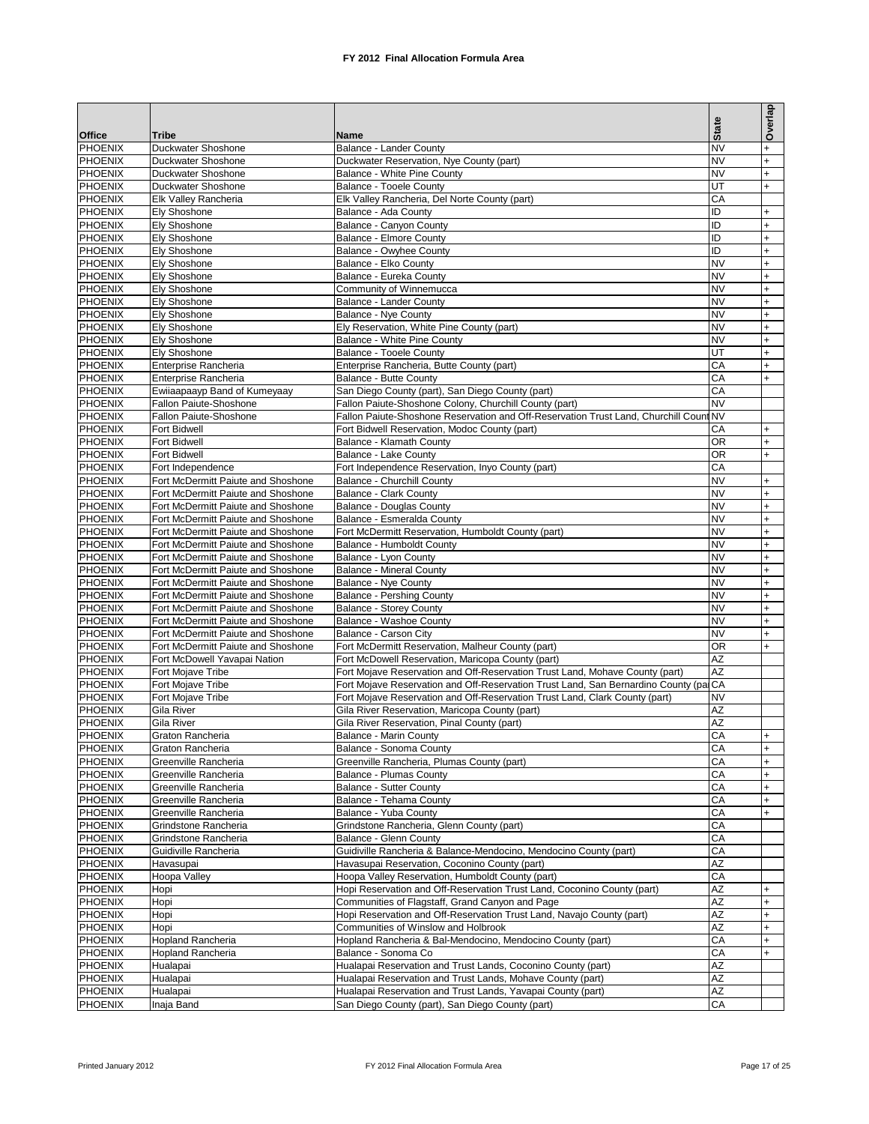|                                  |                                                                          |                                                                                                                                        | <b>State</b>           | Overlap    |
|----------------------------------|--------------------------------------------------------------------------|----------------------------------------------------------------------------------------------------------------------------------------|------------------------|------------|
| <b>Office</b>                    | <b>Tribe</b>                                                             | Name                                                                                                                                   |                        |            |
| PHOENIX                          | Duckwater Shoshone                                                       | Balance - Lander County                                                                                                                | <b>NV</b>              | $+$        |
| <b>PHOENIX</b><br>PHOENIX        | Duckwater Shoshone<br>Duckwater Shoshone                                 | Duckwater Reservation, Nye County (part)<br>Balance - White Pine County                                                                | <b>NV</b><br><b>NV</b> | $+$<br>$+$ |
| <b>PHOENIX</b>                   | Duckwater Shoshone                                                       | <b>Balance - Tooele County</b>                                                                                                         | UT                     | $+$        |
| <b>PHOENIX</b>                   | Elk Valley Rancheria                                                     | Elk Valley Rancheria, Del Norte County (part)                                                                                          | CA                     |            |
| <b>PHOENIX</b>                   | <b>Ely Shoshone</b>                                                      | Balance - Ada County                                                                                                                   | ID                     | $+$        |
| <b>PHOENIX</b>                   | Ely Shoshone                                                             | Balance - Canyon County                                                                                                                | ID                     | $+$        |
| <b>PHOENIX</b>                   | Ely Shoshone                                                             | Balance - Elmore County                                                                                                                | ID                     | $+$        |
| <b>PHOENIX</b>                   | Ely Shoshone                                                             | Balance - Owyhee County                                                                                                                | ID                     | $+$        |
| <b>PHOENIX</b>                   | <b>Ely Shoshone</b>                                                      | Balance - Elko County                                                                                                                  | <b>NV</b>              | $+$        |
| <b>PHOENIX</b>                   | Ely Shoshone                                                             | Balance - Eureka County                                                                                                                | <b>NV</b>              | $+$        |
| <b>PHOENIX</b><br>PHOENIX        | Ely Shoshone<br><b>Ely Shoshone</b>                                      | Community of Winnemucca<br>Balance - Lander County                                                                                     | <b>NV</b><br><b>NV</b> | $+$<br>$+$ |
| PHOENIX                          | <b>Ely Shoshone</b>                                                      | Balance - Nye County                                                                                                                   | <b>NV</b>              | $+$        |
| PHOENIX                          | <b>Ely Shoshone</b>                                                      | Ely Reservation, White Pine County (part)                                                                                              | <b>NV</b>              | $+$        |
| PHOENIX                          | <b>Ely Shoshone</b>                                                      | Balance - White Pine County                                                                                                            | <b>NV</b>              | $+$        |
| PHOENIX                          | <b>Ely Shoshone</b>                                                      | <b>Balance - Tooele County</b>                                                                                                         | UT                     | $+$        |
| PHOENIX                          | Enterprise Rancheria                                                     | Enterprise Rancheria, Butte County (part)                                                                                              | CA                     | $+$        |
| <b>PHOENIX</b>                   | Enterprise Rancheria                                                     | Balance - Butte County                                                                                                                 | CA                     | $+$        |
| PHOENIX                          | Ewiiaapaayp Band of Kumeyaay                                             | San Diego County (part), San Diego County (part)                                                                                       | CA                     |            |
| <b>PHOENIX</b>                   | Fallon Paiute-Shoshone                                                   | Fallon Paiute-Shoshone Colony, Churchill County (part)                                                                                 | <b>NV</b>              |            |
| <b>PHOENIX</b><br><b>PHOENIX</b> | Fallon Paiute-Shoshone<br>Fort Bidwell                                   | Fallon Paiute-Shoshone Reservation and Off-Reservation Trust Land, Churchill Count NV<br>Fort Bidwell Reservation, Modoc County (part) | CА                     | $+$        |
| <b>PHOENIX</b>                   | Fort Bidwell                                                             | Balance - Klamath County                                                                                                               | OR                     | $+$        |
| <b>PHOENIX</b>                   | Fort Bidwell                                                             | Balance - Lake County                                                                                                                  | OR                     | $+$        |
| <b>PHOENIX</b>                   | Fort Independence                                                        | Fort Independence Reservation, Inyo County (part)                                                                                      | CA                     |            |
| <b>PHOENIX</b>                   | Fort McDermitt Paiute and Shoshone                                       | Balance - Churchill County                                                                                                             | <b>NV</b>              | $+$        |
| <b>PHOENIX</b>                   | Fort McDermitt Paiute and Shoshone                                       | <b>Balance - Clark County</b>                                                                                                          | <b>NV</b>              | $+$        |
| PHOENIX                          | Fort McDermitt Paiute and Shoshone                                       | <b>Balance - Douglas County</b>                                                                                                        | <b>NV</b>              | $+$        |
| PHOENIX                          | Fort McDermitt Paiute and Shoshone                                       | Balance - Esmeralda County                                                                                                             | <b>NV</b>              | $+$        |
| PHOENIX<br>PHOENIX               | Fort McDermitt Paiute and Shoshone                                       | Fort McDermitt Reservation, Humboldt County (part)<br>Balance - Humboldt County                                                        | <b>NV</b><br><b>NV</b> | $+$        |
| PHOENIX                          | Fort McDermitt Paiute and Shoshone<br>Fort McDermitt Paiute and Shoshone | Balance - Lyon County                                                                                                                  | <b>NV</b>              | $+$<br>$+$ |
| <b>PHOENIX</b>                   | Fort McDermitt Paiute and Shoshone                                       | <b>Balance - Mineral County</b>                                                                                                        | <b>NV</b>              | $+$        |
| <b>PHOENIX</b>                   | Fort McDermitt Paiute and Shoshone                                       | Balance - Nye County                                                                                                                   | <b>NV</b>              | $+$        |
| PHOENIX                          | Fort McDermitt Paiute and Shoshone                                       | <b>Balance - Pershing County</b>                                                                                                       | <b>NV</b>              | $+$        |
| <b>PHOENIX</b>                   | Fort McDermitt Paiute and Shoshone                                       | Balance - Storey County                                                                                                                | <b>NV</b>              | $+$        |
| <b>PHOENIX</b>                   | Fort McDermitt Paiute and Shoshone                                       | Balance - Washoe County                                                                                                                | <b>NV</b>              | $+$        |
| <b>PHOENIX</b>                   | Fort McDermitt Paiute and Shoshone                                       | Balance - Carson City                                                                                                                  | <b>NV</b>              | $+$        |
| <b>PHOENIX</b><br><b>PHOENIX</b> | Fort McDermitt Paiute and Shoshone<br>Fort McDowell Yavapai Nation       | Fort McDermitt Reservation, Malheur County (part)                                                                                      | OR<br>AZ               | $+$        |
| <b>PHOENIX</b>                   | Fort Mojave Tribe                                                        | Fort McDowell Reservation, Maricopa County (part)<br>Fort Mojave Reservation and Off-Reservation Trust Land, Mohave County (part)      | AZ                     |            |
| <b>PHOENIX</b>                   | Fort Moiave Tribe                                                        | Fort Mojave Reservation and Off-Reservation Trust Land, San Bernardino County (parCA                                                   |                        |            |
| <b>PHOENIX</b>                   | Fort Mojave Tribe                                                        | Fort Mojave Reservation and Off-Reservation Trust Land, Clark County (part)                                                            | <b>NV</b>              |            |
| PHOENIX                          | Gila River                                                               | Gila River Reservation, Maricopa County (part)                                                                                         | AZ                     |            |
| <b>PHOENIX</b>                   | Gila River                                                               | Gila River Reservation, Pinal County (part)                                                                                            | ΑZ                     |            |
| <b>PHOENIX</b>                   | Graton Rancheria                                                         | Balance - Marin County                                                                                                                 | CA                     | $+$        |
| <b>PHOENIX</b>                   | Graton Rancheria                                                         | Balance - Sonoma County                                                                                                                | CA                     | $+$        |
| PHOENIX                          | Greenville Rancheria<br>Greenville Rancheria                             | Greenville Rancheria, Plumas County (part)                                                                                             | CA                     | $+$        |
| <b>PHOENIX</b><br><b>PHOENIX</b> | Greenville Rancheria                                                     | <b>Balance - Plumas County</b><br><b>Balance - Sutter County</b>                                                                       | CA<br>CA               | $+$<br>$+$ |
| <b>PHOENIX</b>                   | Greenville Rancheria                                                     | Balance - Tehama County                                                                                                                | CA                     | $+$        |
| <b>PHOENIX</b>                   | Greenville Rancheria                                                     | Balance - Yuba County                                                                                                                  | CA                     | $+$        |
| <b>PHOENIX</b>                   | Grindstone Rancheria                                                     | Grindstone Rancheria, Glenn County (part)                                                                                              | CA                     |            |
| <b>PHOENIX</b>                   | Grindstone Rancheria                                                     | Balance - Glenn County                                                                                                                 | CA                     |            |
| <b>PHOENIX</b>                   | Guidiville Rancheria                                                     | Guidiville Rancheria & Balance-Mendocino, Mendocino County (part)                                                                      | CA                     |            |
| <b>PHOENIX</b>                   | Havasupai                                                                | Havasupai Reservation, Coconino County (part)                                                                                          | AZ                     |            |
| <b>PHOENIX</b>                   | Hoopa Valley                                                             | Hoopa Valley Reservation, Humboldt County (part)                                                                                       | CA                     |            |
| <b>PHOENIX</b><br><b>PHOENIX</b> | Hopi                                                                     | Hopi Reservation and Off-Reservation Trust Land, Coconino County (part)<br>Communities of Flagstaff, Grand Canyon and Page             | AZ<br>AZ               | $+$        |
| <b>PHOENIX</b>                   | Hopi<br>Hopi                                                             | Hopi Reservation and Off-Reservation Trust Land, Navajo County (part)                                                                  | AZ                     | $+$<br>$+$ |
| <b>PHOENIX</b>                   | Hopi                                                                     | Communities of Winslow and Holbrook                                                                                                    | AZ                     | $+$        |
| <b>PHOENIX</b>                   | Hopland Rancheria                                                        | Hopland Rancheria & Bal-Mendocino, Mendocino County (part)                                                                             | CA                     | $+$        |
| <b>PHOENIX</b>                   | Hopland Rancheria                                                        | Balance - Sonoma Co                                                                                                                    | CA                     | $+$        |
| <b>PHOENIX</b>                   | Hualapai                                                                 | Hualapai Reservation and Trust Lands, Coconino County (part)                                                                           | AZ                     |            |
| <b>PHOENIX</b>                   | Hualapai                                                                 | Hualapai Reservation and Trust Lands, Mohave County (part)                                                                             | AZ                     |            |
| <b>PHOENIX</b>                   | Hualapai                                                                 | Hualapai Reservation and Trust Lands, Yavapai County (part)                                                                            | AZ                     |            |
| <b>PHOENIX</b>                   | Inaja Band                                                               | San Diego County (part), San Diego County (part)                                                                                       | CА                     |            |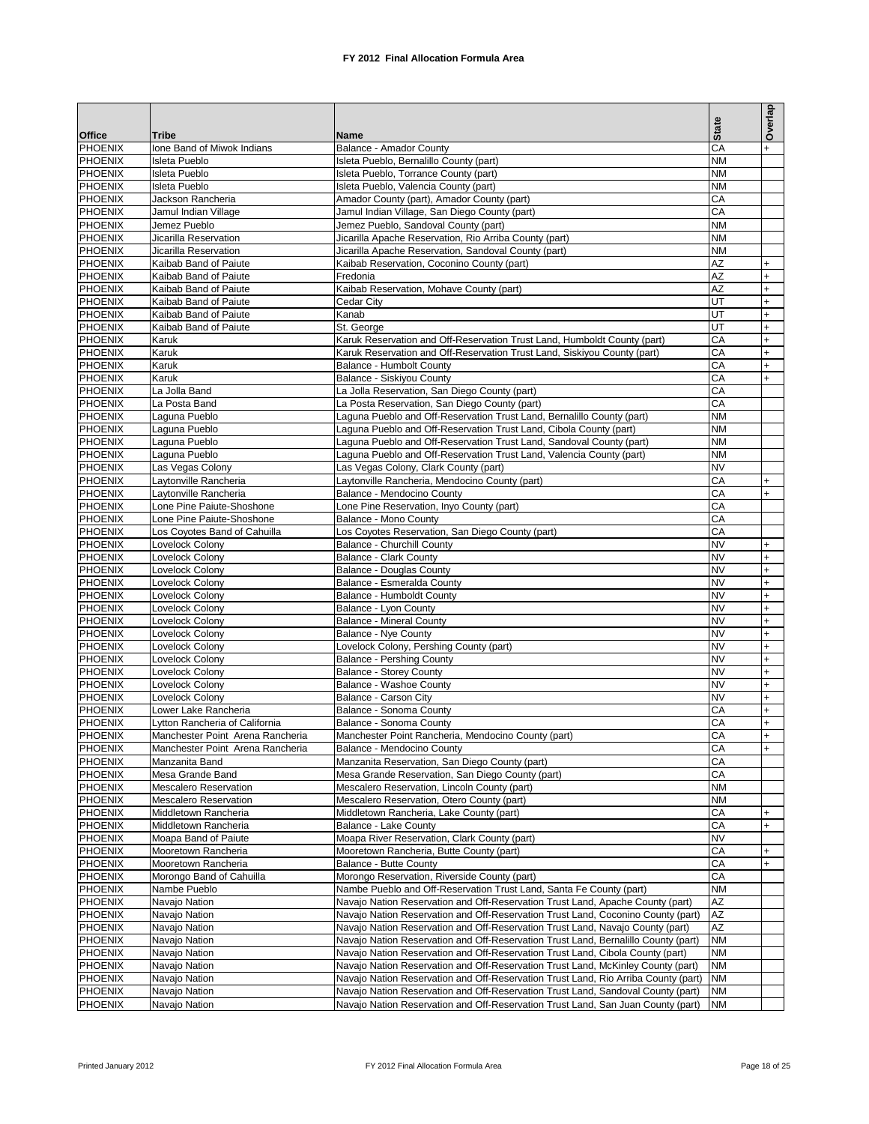|                                  |                                                |                                                                                                                                                                      | <b>State</b>           | Overlap                |
|----------------------------------|------------------------------------------------|----------------------------------------------------------------------------------------------------------------------------------------------------------------------|------------------------|------------------------|
| <b>Office</b>                    | Tribe                                          | Name                                                                                                                                                                 |                        |                        |
| <b>PHOENIX</b><br><b>PHOENIX</b> | Ione Band of Miwok Indians<br>Isleta Pueblo    | Balance - Amador County<br>Isleta Pueblo, Bernalillo County (part)                                                                                                   | CA<br><b>NM</b>        |                        |
| PHOENIX                          | <b>Isleta Pueblo</b>                           | Isleta Pueblo, Torrance County (part)                                                                                                                                | <b>NM</b>              |                        |
| <b>PHOENIX</b>                   | <b>Isleta Pueblo</b>                           | Isleta Pueblo. Valencia County (part)                                                                                                                                | <b>NM</b>              |                        |
| <b>PHOENIX</b>                   | Jackson Rancheria                              | Amador County (part), Amador County (part)                                                                                                                           | CA                     |                        |
| <b>PHOENIX</b>                   | Jamul Indian Village                           | Jamul Indian Village, San Diego County (part)                                                                                                                        | CA                     |                        |
| <b>PHOENIX</b>                   | Jemez Pueblo                                   | Jemez Pueblo, Sandoval County (part)                                                                                                                                 | <b>NM</b>              |                        |
| <b>PHOENIX</b>                   | Jicarilla Reservation                          | Jicarilla Apache Reservation, Rio Arriba County (part)                                                                                                               | <b>NM</b>              |                        |
| <b>PHOENIX</b><br><b>PHOENIX</b> | Jicarilla Reservation<br>Kaibab Band of Paiute | Jicarilla Apache Reservation, Sandoval County (part)                                                                                                                 | <b>NM</b><br>AZ        |                        |
| <b>PHOENIX</b>                   | Kaibab Band of Paiute                          | Kaibab Reservation, Coconino County (part)<br>Fredonia                                                                                                               | AZ                     | $+$                    |
| <b>PHOENIX</b>                   | Kaibab Band of Paiute                          | Kaibab Reservation, Mohave County (part)                                                                                                                             | AZ                     | $+$                    |
| <b>PHOENIX</b>                   | Kaibab Band of Paiute                          | Cedar City                                                                                                                                                           | UT                     | $+$                    |
| <b>PHOENIX</b>                   | Kaibab Band of Paiute                          | Kanab                                                                                                                                                                | UT                     | $+$                    |
| PHOENIX                          | Kaibab Band of Paiute                          | St. George                                                                                                                                                           | UT                     | $+$                    |
| <b>PHOENIX</b>                   | Karuk                                          | Karuk Reservation and Off-Reservation Trust Land, Humboldt County (part)                                                                                             | CA                     | $+$                    |
| <b>PHOENIX</b><br><b>PHOENIX</b> | Karuk                                          | Karuk Reservation and Off-Reservation Trust Land, Siskiyou County (part)                                                                                             | СA                     | $+$                    |
| <b>PHOENIX</b>                   | Karuk<br>Karuk                                 | Balance - Humbolt County<br>Balance - Siskiyou County                                                                                                                | CA<br>CA               | $+$                    |
| <b>PHOENIX</b>                   | La Jolla Band                                  | La Jolla Reservation, San Diego County (part)                                                                                                                        | CA                     |                        |
| <b>PHOENIX</b>                   | La Posta Band                                  | La Posta Reservation, San Diego County (part)                                                                                                                        | CA                     |                        |
| <b>PHOENIX</b>                   | Laguna Pueblo                                  | Laguna Pueblo and Off-Reservation Trust Land, Bernalillo County (part)                                                                                               | <b>NM</b>              |                        |
| <b>PHOENIX</b>                   | Laguna Pueblo                                  | Laguna Pueblo and Off-Reservation Trust Land, Cibola County (part)                                                                                                   | <b>NM</b>              |                        |
| <b>PHOENIX</b>                   | Laguna Pueblo                                  | Laguna Pueblo and Off-Reservation Trust Land, Sandoval County (part)                                                                                                 | <b>NM</b>              |                        |
| <b>PHOENIX</b>                   | Laguna Pueblo                                  | Laguna Pueblo and Off-Reservation Trust Land, Valencia County (part)                                                                                                 | <b>NM</b>              |                        |
| <b>PHOENIX</b>                   | Las Vegas Colony                               | Las Vegas Colony, Clark County (part)                                                                                                                                | <b>NV</b>              |                        |
| <b>PHOENIX</b><br><b>PHOENIX</b> | Laytonville Rancheria<br>Lavtonville Rancheria | Laytonville Rancheria, Mendocino County (part)<br>Balance - Mendocino County                                                                                         | CA<br>CA               | $+$<br>$+$             |
| <b>PHOENIX</b>                   | Lone Pine Paiute-Shoshone                      | Lone Pine Reservation, Inyo County (part)                                                                                                                            | CA                     |                        |
| PHOENIX                          | Lone Pine Paiute-Shoshone                      | Balance - Mono County                                                                                                                                                | CA                     |                        |
| <b>PHOENIX</b>                   | Los Coyotes Band of Cahuilla                   | Los Coyotes Reservation, San Diego County (part)                                                                                                                     | CA                     |                        |
| <b>PHOENIX</b>                   | Lovelock Colony                                | Balance - Churchill County                                                                                                                                           | <b>NV</b>              | $+$                    |
| <b>PHOENIX</b>                   | Lovelock Colony                                | Balance - Clark County                                                                                                                                               | <b>NV</b>              | $\ddot{}$              |
| <b>PHOENIX</b>                   | Lovelock Colony                                | <b>Balance - Douglas County</b>                                                                                                                                      | <b>NV</b>              | $+$                    |
| <b>PHOENIX</b>                   | Lovelock Colony                                | Balance - Esmeralda County                                                                                                                                           | <b>NV</b>              | $\ddot{}$              |
| <b>PHOENIX</b><br><b>PHOENIX</b> | Lovelock Colony<br>Lovelock Colony             | Balance - Humboldt County<br>Balance - Lyon County                                                                                                                   | <b>NV</b><br><b>NV</b> | $+$<br>$\ddot{}$       |
| <b>PHOENIX</b>                   | Lovelock Colony                                | <b>Balance - Mineral County</b>                                                                                                                                      | <b>NV</b>              | $+$                    |
| <b>PHOENIX</b>                   | Lovelock Colony                                | Balance - Nye County                                                                                                                                                 | <b>NV</b>              | $+$                    |
| <b>PHOENIX</b>                   | Lovelock Colony                                | Lovelock Colony, Pershing County (part)                                                                                                                              | <b>NV</b>              | $\ddot{}$              |
| <b>PHOENIX</b>                   | Lovelock Colony                                | <b>Balance - Pershing County</b>                                                                                                                                     | <b>NV</b>              | $+$                    |
| <b>PHOENIX</b>                   | Lovelock Colony                                | <b>Balance - Storey County</b>                                                                                                                                       | <b>NV</b>              | $\ddot{}$              |
| <b>PHOENIX</b>                   | Lovelock Colony                                | Balance - Washoe County                                                                                                                                              | <b>NV</b>              | $\ddot{}$              |
| <b>PHOENIX</b><br><b>PHOENIX</b> | Lovelock Colony<br>Lower Lake Rancheria        | Balance - Carson City                                                                                                                                                | <b>NV</b><br>CА        | $\ddot{}$<br>$\ddot{}$ |
| <b>PHOENIX</b>                   | Lytton Rancheria of California                 | Balance - Sonoma County<br>Balance - Sonoma County                                                                                                                   | CA                     | $+$                    |
| <b>PHOENIX</b>                   | Manchester Point Arena Rancheria               | Manchester Point Rancheria, Mendocino County (part)                                                                                                                  | CA                     |                        |
| <b>PHOENIX</b>                   | Manchester Point Arena Rancheria               | Balance - Mendocino County                                                                                                                                           | CA                     |                        |
| <b>PHOENIX</b>                   | Manzanita Band                                 | Manzanita Reservation, San Diego County (part)                                                                                                                       | CA                     |                        |
| <b>PHOENIX</b>                   | Mesa Grande Band                               | Mesa Grande Reservation, San Diego County (part)                                                                                                                     | CA                     |                        |
| <b>PHOENIX</b>                   | <b>Mescalero Reservation</b>                   | Mescalero Reservation, Lincoln County (part)                                                                                                                         | <b>NM</b>              |                        |
| <b>PHOENIX</b>                   | <b>Mescalero Reservation</b>                   | Mescalero Reservation, Otero County (part)                                                                                                                           | <b>NM</b>              |                        |
| <b>PHOENIX</b><br><b>PHOENIX</b> | Middletown Rancheria<br>Middletown Rancheria   | Middletown Rancheria, Lake County (part)<br>Balance - Lake County                                                                                                    | CA<br>CA               | $\ddot{}$<br>$\ddot{}$ |
| <b>PHOENIX</b>                   | Moapa Band of Paiute                           | Moapa River Reservation, Clark County (part)                                                                                                                         | <b>NV</b>              |                        |
| <b>PHOENIX</b>                   | Mooretown Rancheria                            | Mooretown Rancheria, Butte County (part)                                                                                                                             | CA                     |                        |
| <b>PHOENIX</b>                   | Mooretown Rancheria                            | Balance - Butte County                                                                                                                                               | CA                     |                        |
| <b>PHOENIX</b>                   | Morongo Band of Cahuilla                       | Morongo Reservation, Riverside County (part)                                                                                                                         | CA                     |                        |
| <b>PHOENIX</b>                   | Nambe Pueblo                                   | Nambe Pueblo and Off-Reservation Trust Land, Santa Fe County (part)                                                                                                  | <b>NM</b>              |                        |
| <b>PHOENIX</b>                   | Navaio Nation                                  | Navajo Nation Reservation and Off-Reservation Trust Land, Apache County (part)                                                                                       | AZ                     |                        |
| <b>PHOENIX</b>                   | Navajo Nation                                  | Navajo Nation Reservation and Off-Reservation Trust Land, Coconino County (part)                                                                                     | AZ                     |                        |
| <b>PHOENIX</b><br><b>PHOENIX</b> | Navajo Nation<br>Navajo Nation                 | Navajo Nation Reservation and Off-Reservation Trust Land, Navajo County (part)<br>Navajo Nation Reservation and Off-Reservation Trust Land, Bernalillo County (part) | AZ<br><b>NM</b>        |                        |
| <b>PHOENIX</b>                   | Navajo Nation                                  | Navajo Nation Reservation and Off-Reservation Trust Land, Cibola County (part)                                                                                       | <b>NM</b>              |                        |
| <b>PHOENIX</b>                   | Navajo Nation                                  | Navajo Nation Reservation and Off-Reservation Trust Land, McKinley County (part)                                                                                     | <b>NM</b>              |                        |
| <b>PHOENIX</b>                   | Navajo Nation                                  | Navajo Nation Reservation and Off-Reservation Trust Land, Rio Arriba County (part)                                                                                   | <b>NM</b>              |                        |
| <b>PHOENIX</b>                   | Navajo Nation                                  | Navajo Nation Reservation and Off-Reservation Trust Land, Sandoval County (part)                                                                                     | <b>NM</b>              |                        |
| <b>PHOENIX</b>                   | Navajo Nation                                  | Navajo Nation Reservation and Off-Reservation Trust Land, San Juan County (part)                                                                                     | <b>NM</b>              |                        |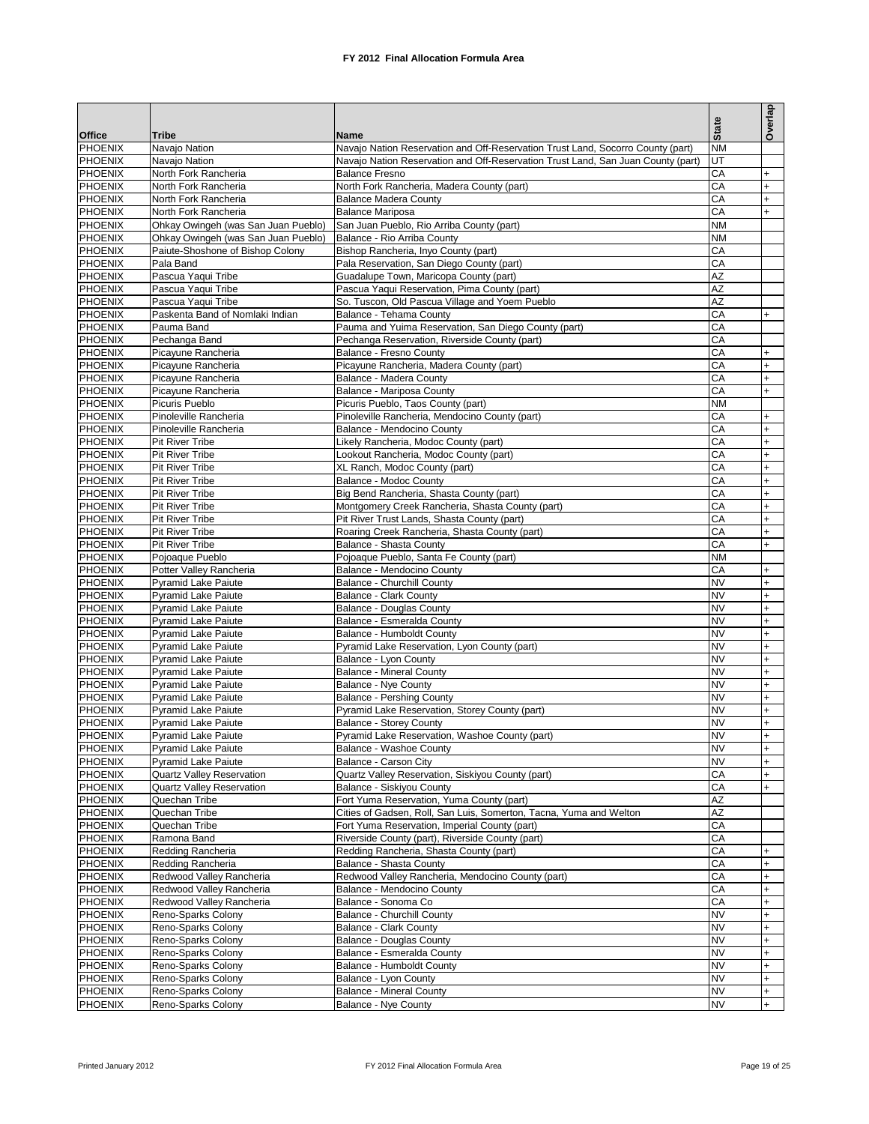|                                  |                                                       |                                                                                                           |                        | Overlap          |
|----------------------------------|-------------------------------------------------------|-----------------------------------------------------------------------------------------------------------|------------------------|------------------|
|                                  |                                                       |                                                                                                           | <b>State</b>           |                  |
| <b>Office</b>                    | Tribe                                                 | Name                                                                                                      |                        |                  |
| PHOENIX                          | Navajo Nation                                         | Navajo Nation Reservation and Off-Reservation Trust Land, Socorro County (part)                           | <b>NM</b>              |                  |
| <b>PHOENIX</b><br><b>PHOENIX</b> | Navajo Nation<br>North Fork Rancheria                 | Navajo Nation Reservation and Off-Reservation Trust Land, San Juan County (part)<br><b>Balance Fresno</b> | UT<br>CA               | $+$              |
| <b>PHOENIX</b>                   | North Fork Rancheria                                  | North Fork Rancheria, Madera County (part)                                                                | CA                     | $+$              |
| PHOENIX                          | North Fork Rancheria                                  | Balance Madera County                                                                                     | CA                     | $+$              |
| <b>PHOENIX</b>                   | North Fork Rancheria                                  | <b>Balance Mariposa</b>                                                                                   | CA                     | $+$              |
| <b>PHOENIX</b>                   | Ohkay Owingeh (was San Juan Pueblo)                   | San Juan Pueblo, Rio Arriba County (part)                                                                 | <b>NM</b>              |                  |
| <b>PHOENIX</b>                   | Ohkay Owingeh (was San Juan Pueblo)                   | Balance - Rio Arriba County                                                                               | <b>NM</b>              |                  |
| PHOENIX                          | Paiute-Shoshone of Bishop Colony                      | Bishop Rancheria, Inyo County (part)                                                                      | CA                     |                  |
| <b>PHOENIX</b>                   | Pala Band                                             | Pala Reservation, San Diego County (part)                                                                 | CA                     |                  |
| PHOENIX                          | Pascua Yaqui Tribe                                    | Guadalupe Town, Maricopa County (part)                                                                    | AZ                     |                  |
| <b>PHOENIX</b><br>PHOENIX        | Pascua Yaqui Tribe                                    | Pascua Yaqui Reservation, Pima County (part)                                                              | AZ<br><b>AZ</b>        |                  |
| <b>PHOENIX</b>                   | Pascua Yaqui Tribe<br>Paskenta Band of Nomlaki Indian | So. Tuscon, Old Pascua Village and Yoem Pueblo<br>Balance - Tehama County                                 | CA                     | $+$              |
| <b>PHOENIX</b>                   | Pauma Band                                            | Pauma and Yuima Reservation, San Diego County (part)                                                      | CA                     |                  |
| <b>PHOENIX</b>                   | Pechanga Band                                         | Pechanga Reservation, Riverside County (part)                                                             | CA                     |                  |
| <b>PHOENIX</b>                   | Picayune Rancheria                                    | Balance - Fresno County                                                                                   | CA                     | $+$              |
| <b>PHOENIX</b>                   | Picayune Rancheria                                    | Picayune Rancheria, Madera County (part)                                                                  | CA                     | $+$              |
| <b>PHOENIX</b>                   | Picayune Rancheria                                    | Balance - Madera County                                                                                   | CA                     | $+$              |
| <b>PHOENIX</b>                   | Picayune Rancheria                                    | Balance - Mariposa County                                                                                 | CA                     | $+$              |
| <b>PHOENIX</b>                   | Picuris Pueblo                                        | Picuris Pueblo, Taos County (part)                                                                        | <b>NM</b>              |                  |
| <b>PHOENIX</b>                   | Pinoleville Rancheria                                 | Pinoleville Rancheria, Mendocino County (part)                                                            | CA                     | $+$              |
| <b>PHOENIX</b>                   | Pinoleville Rancheria                                 | Balance - Mendocino County                                                                                | CA                     | $+$<br>$+$       |
| <b>PHOENIX</b><br><b>PHOENIX</b> | <b>Pit River Tribe</b><br><b>Pit River Tribe</b>      | Likely Rancheria, Modoc County (part)<br>Lookout Rancheria, Modoc County (part)                           | CA<br>CA               | $\ddot{}$        |
| <b>PHOENIX</b>                   | Pit River Tribe                                       | XL Ranch, Modoc County (part)                                                                             | CA                     | $\ddot{}$        |
| <b>PHOENIX</b>                   | <b>Pit River Tribe</b>                                | Balance - Modoc County                                                                                    | CA                     | $+$              |
| <b>PHOENIX</b>                   | Pit River Tribe                                       | Big Bend Rancheria, Shasta County (part)                                                                  | CA                     | $\ddot{}$        |
| PHOENIX                          | <b>Pit River Tribe</b>                                | Montgomery Creek Rancheria, Shasta County (part)                                                          | CA                     | $+$              |
| <b>PHOENIX</b>                   | <b>Pit River Tribe</b>                                | Pit River Trust Lands, Shasta County (part)                                                               | CA                     | $+$              |
| PHOENIX                          | <b>Pit River Tribe</b>                                | Roaring Creek Rancheria, Shasta County (part)                                                             | CA                     | $+$              |
| <b>PHOENIX</b>                   | <b>Pit River Tribe</b>                                | Balance - Shasta County                                                                                   | CA                     | $+$              |
| PHOENIX                          | Pojoaque Pueblo                                       | Pojoaque Pueblo, Santa Fe County (part)                                                                   | <b>NM</b>              |                  |
| <b>PHOENIX</b><br><b>PHOENIX</b> | Potter Valley Rancheria<br><b>Pyramid Lake Paiute</b> | Balance - Mendocino County<br>Balance - Churchill County                                                  | CA<br><b>NV</b>        | $+$              |
| <b>PHOENIX</b>                   | <b>Pyramid Lake Paiute</b>                            | <b>Balance - Clark County</b>                                                                             | <b>NV</b>              | $+$<br>$+$       |
| PHOENIX                          | <b>Pyramid Lake Paiute</b>                            | <b>Balance - Douglas County</b>                                                                           | <b>NV</b>              | $+$              |
| <b>PHOENIX</b>                   | Pyramid Lake Paiute                                   | Balance - Esmeralda County                                                                                | <b>NV</b>              | $\ddot{}$        |
| <b>PHOENIX</b>                   | <b>Pyramid Lake Paiute</b>                            | Balance - Humboldt County                                                                                 | <b>NV</b>              | $+$              |
| <b>PHOENIX</b>                   | <b>Pyramid Lake Paiute</b>                            | Pyramid Lake Reservation, Lyon County (part)                                                              | <b>NV</b>              | $+$              |
| <b>PHOENIX</b>                   | <b>Pyramid Lake Paiute</b>                            | Balance - Lyon County                                                                                     | <b>NV</b>              | $+$              |
| <b>PHOENIX</b>                   | Pyramid Lake Paiute                                   | <b>Balance - Mineral County</b>                                                                           | <b>NV</b>              | $+$              |
| <b>PHOENIX</b>                   | <b>Pyramid Lake Paiute</b>                            | Balance - Nye County                                                                                      | <b>NV</b>              | $+$              |
| <b>PHOENIX</b><br><b>PHOENIX</b> | Pyramid Lake Paiute                                   | <b>Balance - Pershing County</b>                                                                          | <b>NV</b><br><b>NV</b> | $+$              |
| <b>PHOENIX</b>                   | Pyramid Lake Paiute<br><b>Pyramid Lake Paiute</b>     | Pyramid Lake Reservation, Storey County (part)<br><b>Balance - Storey County</b>                          | <b>NV</b>              | $+$<br>$\ddot{}$ |
| <b>PHOENIX</b>                   | Pyramid Lake Paiute                                   | Pyramid Lake Reservation, Washoe County (part)                                                            | <b>NV</b>              | $+$              |
| PHOENIX                          | Pyramid Lake Paiute                                   | Balance - Washoe County                                                                                   | <b>NV</b>              | $+$              |
| <b>PHOENIX</b>                   | <b>Pyramid Lake Paiute</b>                            | Balance - Carson City                                                                                     | <b>NV</b>              | $+$              |
| <b>PHOENIX</b>                   | Quartz Valley Reservation                             | Quartz Valley Reservation, Siskiyou County (part)                                                         | CA                     | $+$              |
| <b>PHOENIX</b>                   | Quartz Valley Reservation                             | Balance - Siskiyou County                                                                                 | CA                     | $+$              |
| <b>PHOENIX</b>                   | Quechan Tribe                                         | Fort Yuma Reservation, Yuma County (part)                                                                 | AZ                     |                  |
| <b>PHOENIX</b>                   | Quechan Tribe                                         | Cities of Gadsen, Roll, San Luis, Somerton, Tacna, Yuma and Welton                                        | AZ                     |                  |
| <b>PHOENIX</b><br><b>PHOENIX</b> | Quechan Tribe<br>Ramona Band                          | Fort Yuma Reservation, Imperial County (part)<br>Riverside County (part), Riverside County (part)         | CA<br>CA               |                  |
| PHOENIX                          | Redding Rancheria                                     | Redding Rancheria, Shasta County (part)                                                                   | CA                     | $+$              |
| <b>PHOENIX</b>                   | Redding Rancheria                                     | Balance - Shasta County                                                                                   | CA                     | $+$              |
| <b>PHOENIX</b>                   | Redwood Valley Rancheria                              | Redwood Valley Rancheria, Mendocino County (part)                                                         | CA                     | $+$              |
| <b>PHOENIX</b>                   | Redwood Valley Rancheria                              | Balance - Mendocino County                                                                                | CA                     | $+$              |
| <b>PHOENIX</b>                   | Redwood Valley Rancheria                              | Balance - Sonoma Co                                                                                       | CA                     | $+$              |
| <b>PHOENIX</b>                   | Reno-Sparks Colony                                    | Balance - Churchill County                                                                                | <b>NV</b>              | $+$              |
| <b>PHOENIX</b>                   | Reno-Sparks Colony                                    | <b>Balance - Clark County</b>                                                                             | <b>NV</b>              | $+$              |
| <b>PHOENIX</b>                   | Reno-Sparks Colony                                    | Balance - Douglas County                                                                                  | <b>NV</b>              | $+$              |
| <b>PHOENIX</b><br><b>PHOENIX</b> | Reno-Sparks Colony<br>Reno-Sparks Colony              | Balance - Esmeralda County<br>Balance - Humboldt County                                                   | <b>NV</b><br><b>NV</b> | $\ddot{}$<br>$+$ |
| <b>PHOENIX</b>                   | Reno-Sparks Colony                                    | Balance - Lyon County                                                                                     | <b>NV</b>              | $\ddot{}$        |
| <b>PHOENIX</b>                   | Reno-Sparks Colony                                    | <b>Balance - Mineral County</b>                                                                           | <b>NV</b>              | $+$              |
| PHOENIX                          | Reno-Sparks Colony                                    | <b>Balance - Nye County</b>                                                                               | <b>NV</b>              | $+$              |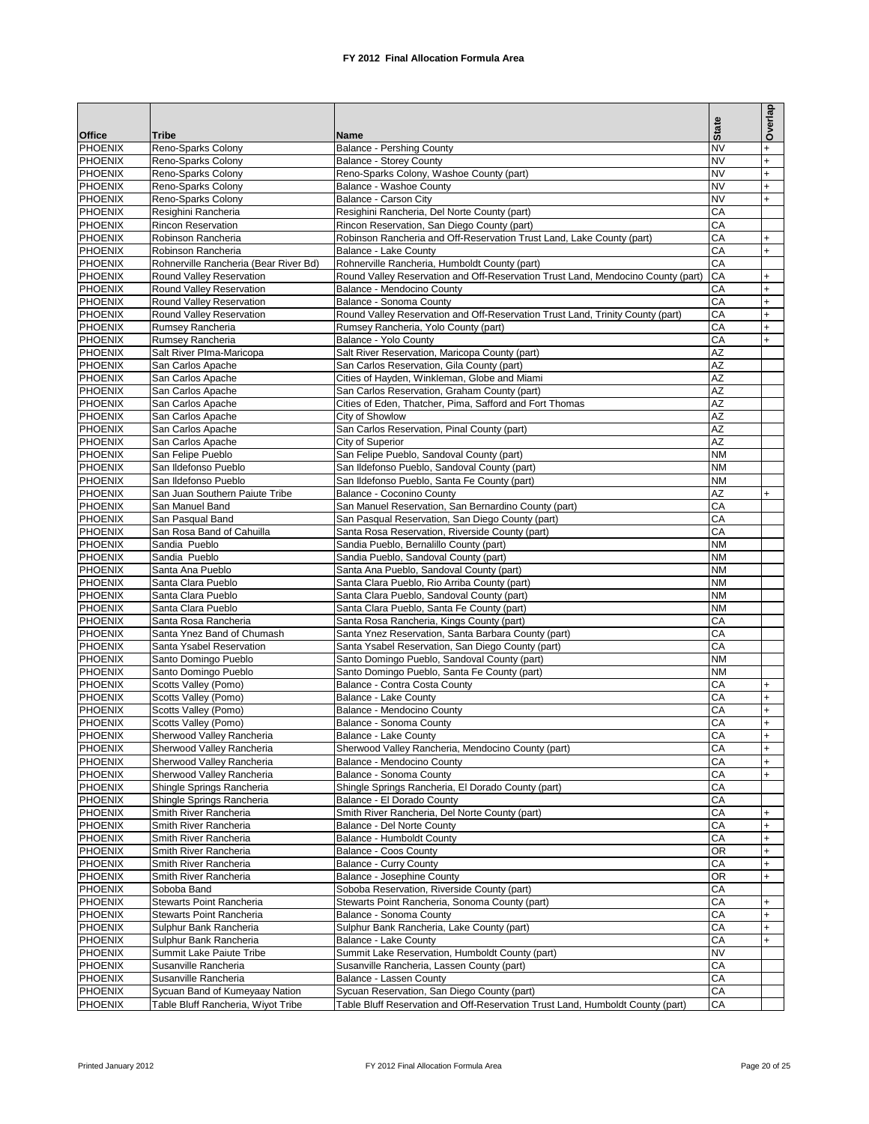|                           |                                                        |                                                                                                                      |              | Overlap          |
|---------------------------|--------------------------------------------------------|----------------------------------------------------------------------------------------------------------------------|--------------|------------------|
| <b>Office</b>             | Tribe                                                  | Name                                                                                                                 | <b>State</b> |                  |
| <b>PHOENIX</b>            | Reno-Sparks Colony                                     | <b>Balance - Pershing County</b>                                                                                     | <b>NV</b>    | $+$              |
| <b>PHOENIX</b>            | Reno-Sparks Colony                                     | <b>Balance - Storey County</b>                                                                                       | <b>NV</b>    | $\ddot{}$        |
| <b>PHOENIX</b>            | Reno-Sparks Colony                                     | Reno-Sparks Colony, Washoe County (part)                                                                             | <b>NV</b>    | $+$              |
| <b>PHOENIX</b>            | Reno-Sparks Colony                                     | Balance - Washoe County                                                                                              | <b>NV</b>    | $\ddot{}$        |
| <b>PHOENIX</b>            | Reno-Sparks Colony                                     | Balance - Carson City                                                                                                | <b>NV</b>    | $+$              |
| <b>PHOENIX</b>            | Resighini Rancheria                                    | Resighini Rancheria, Del Norte County (part)                                                                         | CA           |                  |
| <b>PHOENIX</b><br>PHOENIX | <b>Rincon Reservation</b><br>Robinson Rancheria        | Rincon Reservation, San Diego County (part)<br>Robinson Rancheria and Off-Reservation Trust Land, Lake County (part) | CA<br>CA     | $\ddot{}$        |
| <b>PHOENIX</b>            | Robinson Rancheria                                     | Balance - Lake County                                                                                                | CA           | $\ddot{}$        |
| PHOENIX                   | Rohnerville Rancheria (Bear River Bd)                  | Rohnerville Rancheria, Humboldt County (part)                                                                        | CA           |                  |
| <b>PHOENIX</b>            | Round Valley Reservation                               | Round Valley Reservation and Off-Reservation Trust Land, Mendocino County (part)                                     | CA           | $\ddot{}$        |
| PHOENIX                   | Round Valley Reservation                               | Balance - Mendocino County                                                                                           | CA           | $+$              |
| <b>PHOENIX</b>            | Round Valley Reservation                               | Balance - Sonoma County                                                                                              | CA           | $+$              |
| PHOENIX                   | Round Valley Reservation                               | Round Valley Reservation and Off-Reservation Trust Land, Trinity County (part)                                       | CA           | $\ddot{}$        |
| <b>PHOENIX</b>            | Rumsey Rancheria                                       | Rumsey Rancheria, Yolo County (part)                                                                                 | CA           | $+$              |
| PHOENIX                   | Rumsey Rancheria                                       | Balance - Yolo County                                                                                                | CA           | $+$              |
| <b>PHOENIX</b>            | Salt River Plma-Maricopa                               | Salt River Reservation, Maricopa County (part)                                                                       | AZ           |                  |
| <b>PHOENIX</b>            | San Carlos Apache                                      | San Carlos Reservation, Gila County (part)                                                                           | AZ           |                  |
| <b>PHOENIX</b>            | San Carlos Apache                                      | Cities of Hayden, Winkleman, Globe and Miami                                                                         | AZ           |                  |
| <b>PHOENIX</b>            | San Carlos Apache                                      | San Carlos Reservation, Graham County (part)                                                                         | AZ           |                  |
| <b>PHOENIX</b>            | San Carlos Apache                                      | Cities of Eden, Thatcher, Pima, Safford and Fort Thomas                                                              | AZ           |                  |
| PHOENIX                   | San Carlos Apache                                      | City of Showlow                                                                                                      | AZ           |                  |
| <b>PHOENIX</b>            | San Carlos Apache                                      | San Carlos Reservation, Pinal County (part)                                                                          | AZ<br>AZ     |                  |
| PHOENIX<br><b>PHOENIX</b> | San Carlos Apache<br>San Felipe Pueblo                 | City of Superior<br>San Felipe Pueblo, Sandoval County (part)                                                        | <b>NM</b>    |                  |
| PHOENIX                   | San Ildefonso Pueblo                                   | San Ildefonso Pueblo, Sandoval County (part)                                                                         | <b>NM</b>    |                  |
| <b>PHOENIX</b>            | San Ildefonso Pueblo                                   | San Ildefonso Pueblo, Santa Fe County (part)                                                                         | <b>NM</b>    |                  |
| PHOENIX                   | San Juan Southern Paiute Tribe                         | Balance - Coconino County                                                                                            | AZ           | $+$              |
| <b>PHOENIX</b>            | San Manuel Band                                        | San Manuel Reservation, San Bernardino County (part)                                                                 | CA           |                  |
| PHOENIX                   | San Pasqual Band                                       | San Pasqual Reservation, San Diego County (part)                                                                     | CA           |                  |
| PHOENIX                   | San Rosa Band of Cahuilla                              | Santa Rosa Reservation, Riverside County (part)                                                                      | CA           |                  |
| <b>PHOENIX</b>            | Sandia Pueblo                                          | Sandia Pueblo, Bernalillo County (part)                                                                              | <b>NM</b>    |                  |
| <b>PHOENIX</b>            | Sandia Pueblo                                          | Sandia Pueblo, Sandoval County (part)                                                                                | <b>NM</b>    |                  |
| PHOENIX                   | Santa Ana Pueblo                                       | Santa Ana Pueblo, Sandoval County (part)                                                                             | <b>NM</b>    |                  |
| <b>PHOENIX</b>            | Santa Clara Pueblo                                     | Santa Clara Pueblo, Rio Arriba County (part)                                                                         | <b>NM</b>    |                  |
| PHOENIX                   | Santa Clara Pueblo                                     | Santa Clara Pueblo, Sandoval County (part)                                                                           | <b>NM</b>    |                  |
| <b>PHOENIX</b>            | Santa Clara Pueblo                                     | Santa Clara Pueblo, Santa Fe County (part)                                                                           | <b>NM</b>    |                  |
| PHOENIX                   | Santa Rosa Rancheria                                   | Santa Rosa Rancheria, Kings County (part)                                                                            | CA<br>CA     |                  |
| <b>PHOENIX</b><br>PHOENIX | Santa Ynez Band of Chumash<br>Santa Ysabel Reservation | Santa Ynez Reservation, Santa Barbara County (part)<br>Santa Ysabel Reservation, San Diego County (part)             | CA           |                  |
| <b>PHOENIX</b>            | Santo Domingo Pueblo                                   | Santo Domingo Pueblo, Sandoval County (part)                                                                         | <b>NM</b>    |                  |
| <b>PHOENIX</b>            | Santo Domingo Pueblo                                   | Santo Domingo Pueblo, Santa Fe County (part)                                                                         | <b>NM</b>    |                  |
| <b>PHOENIX</b>            | Scotts Valley (Pomo)                                   | Balance - Contra Costa County                                                                                        | CA           | $+$              |
| <b>PHOENIX</b>            | Scotts Valley (Pomo)                                   | Balance - Lake County                                                                                                | CA           | $+$              |
| <b>PHOENIX</b>            | Scotts Valley (Pomo)                                   | Balance - Mendocino County                                                                                           | CA           | $\ddot{}$        |
| <b>PHOENIX</b>            | Scotts Valley (Pomo)                                   | Balance - Sonoma County                                                                                              | CA           | $\ddot{}$        |
| <b>PHOENIX</b>            | Sherwood Valley Rancheria                              | Balance - Lake County                                                                                                | CA           | $+$              |
| <b>PHOENIX</b>            | Sherwood Valley Rancheria                              | Sherwood Valley Rancheria, Mendocino County (part)                                                                   | CA           | $+$              |
| <b>PHOENIX</b>            | Sherwood Valley Rancheria                              | Balance - Mendocino County                                                                                           | CA           | $+$              |
| PHOENIX                   | Sherwood Valley Rancheria                              | Balance - Sonoma County                                                                                              | СA           | $+$              |
| <b>PHOENIX</b>            | Shingle Springs Rancheria                              | Shingle Springs Rancheria, El Dorado County (part)                                                                   | CA           |                  |
| PHOENIX                   | Shingle Springs Rancheria                              | Balance - El Dorado County                                                                                           | CA           |                  |
| <b>PHOENIX</b><br>PHOENIX | Smith River Rancheria                                  | Smith River Rancheria, Del Norte County (part)                                                                       | CA<br>CA     | $+$              |
| <b>PHOENIX</b>            | Smith River Rancheria<br>Smith River Rancheria         | Balance - Del Norte County<br>Balance - Humboldt County                                                              | CA           | $\ddot{}$<br>$+$ |
| PHOENIX                   | Smith River Rancheria                                  | Balance - Coos County                                                                                                | OR           | $\ddot{}$        |
| <b>PHOENIX</b>            | Smith River Rancheria                                  | <b>Balance - Curry County</b>                                                                                        | CA           | $+$              |
| <b>PHOENIX</b>            | Smith River Rancheria                                  | Balance - Josephine County                                                                                           | OR           | $\ddot{}$        |
| <b>PHOENIX</b>            | Soboba Band                                            | Soboba Reservation, Riverside County (part)                                                                          | CA           |                  |
| <b>PHOENIX</b>            | Stewarts Point Rancheria                               | Stewarts Point Rancheria, Sonoma County (part)                                                                       | CA           | $+$              |
| <b>PHOENIX</b>            | Stewarts Point Rancheria                               | Balance - Sonoma County                                                                                              | CA           | $+$              |
| <b>PHOENIX</b>            | Sulphur Bank Rancheria                                 | Sulphur Bank Rancheria, Lake County (part)                                                                           | CA           | $+$              |
| <b>PHOENIX</b>            | Sulphur Bank Rancheria                                 | Balance - Lake County                                                                                                | CA           | $+$              |
| <b>PHOENIX</b>            | Summit Lake Paiute Tribe                               | Summit Lake Reservation, Humboldt County (part)                                                                      | <b>NV</b>    |                  |
| <b>PHOENIX</b>            | Susanville Rancheria                                   | Susanville Rancheria, Lassen County (part)                                                                           | CA           |                  |
| <b>PHOENIX</b>            | Susanville Rancheria                                   | Balance - Lassen County                                                                                              | CA           |                  |
| <b>PHOENIX</b>            | Sycuan Band of Kumeyaay Nation                         | Sycuan Reservation, San Diego County (part)                                                                          | CA           |                  |
| <b>PHOENIX</b>            | Table Bluff Rancheria, Wiyot Tribe                     | Table Bluff Reservation and Off-Reservation Trust Land, Humboldt County (part)                                       | СA           |                  |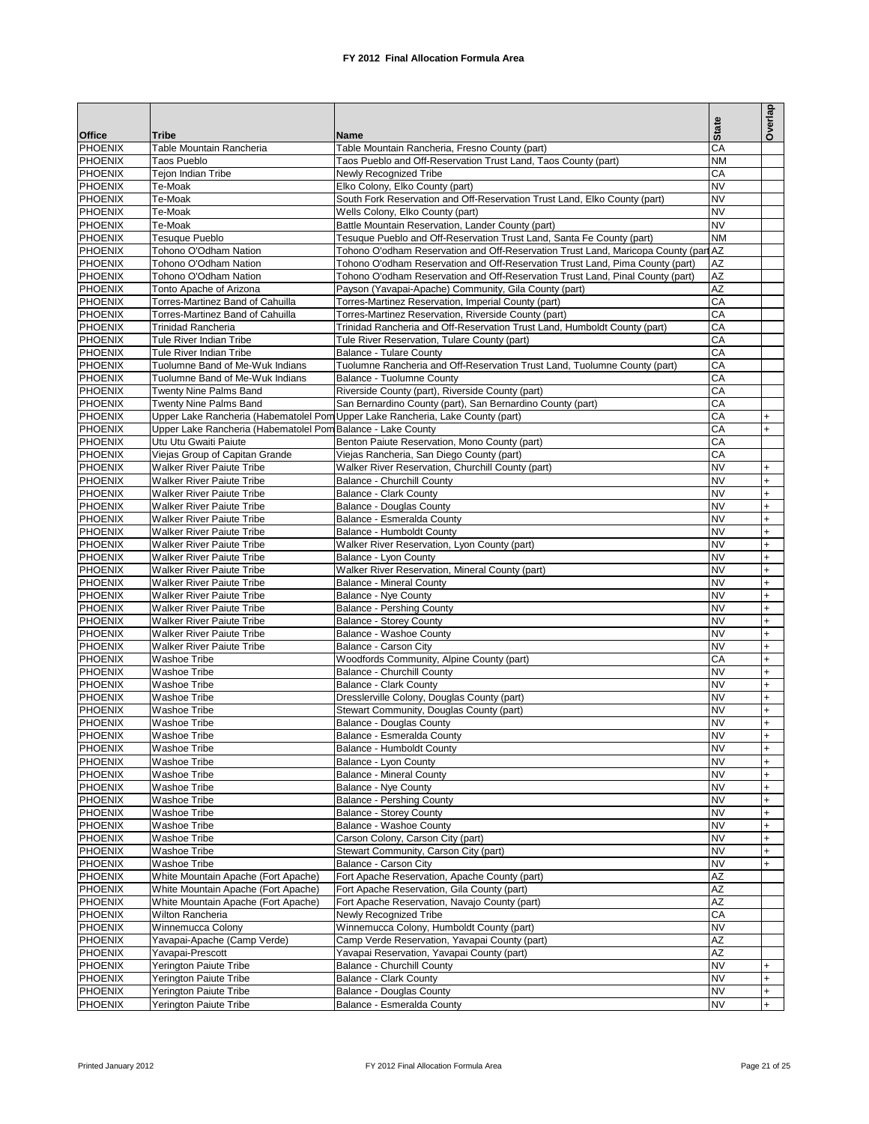|                                  |                                                                            |                                                                                                                                                              |                              | Overlap                          |
|----------------------------------|----------------------------------------------------------------------------|--------------------------------------------------------------------------------------------------------------------------------------------------------------|------------------------------|----------------------------------|
| Office                           | <b>Tribe</b>                                                               | Name                                                                                                                                                         | <b>State</b>                 |                                  |
| <b>PHOENIX</b>                   | Table Mountain Rancheria                                                   | Table Mountain Rancheria, Fresno County (part)                                                                                                               | CA                           |                                  |
| <b>PHOENIX</b>                   | <b>Taos Pueblo</b>                                                         | Taos Pueblo and Off-Reservation Trust Land, Taos County (part)                                                                                               | <b>NM</b>                    |                                  |
| <b>PHOENIX</b><br><b>PHOENIX</b> | Tejon Indian Tribe<br>Te-Moak                                              | <b>Newly Recognized Tribe</b><br>Elko Colony, Elko County (part)                                                                                             | CA<br><b>NV</b>              |                                  |
| <b>PHOENIX</b>                   | Te-Moak                                                                    | South Fork Reservation and Off-Reservation Trust Land, Elko County (part)                                                                                    | <b>NV</b>                    |                                  |
| <b>PHOENIX</b>                   | Te-Moak                                                                    | Wells Colony, Elko County (part)                                                                                                                             | <b>NV</b>                    |                                  |
| <b>PHOENIX</b>                   | Te-Moak                                                                    | Battle Mountain Reservation, Lander County (part)                                                                                                            | <b>NV</b>                    |                                  |
| <b>PHOENIX</b><br><b>PHOENIX</b> | <b>Tesuque Pueblo</b><br>Tohono O'Odham Nation                             | Tesuque Pueblo and Off-Reservation Trust Land, Santa Fe County (part)<br>Tohono O'odham Reservation and Off-Reservation Trust Land, Maricopa County (part AZ | <b>NM</b>                    |                                  |
| <b>PHOENIX</b>                   | Tohono O'Odham Nation                                                      | Tohono O'odham Reservation and Off-Reservation Trust Land, Pima County (part)                                                                                | AZ                           |                                  |
| <b>PHOENIX</b>                   | Tohono O'Odham Nation                                                      | Tohono O'odham Reservation and Off-Reservation Trust Land, Pinal County (part)                                                                               | AZ                           |                                  |
| <b>PHOENIX</b>                   | Tonto Apache of Arizona<br>Torres-Martinez Band of Cahuilla                | Payson (Yavapai-Apache) Community, Gila County (part)                                                                                                        | <b>AZ</b>                    |                                  |
| <b>PHOENIX</b><br><b>PHOENIX</b> | Torres-Martinez Band of Cahuilla                                           | Torres-Martinez Reservation, Imperial County (part)<br>Torres-Martinez Reservation, Riverside County (part)                                                  | CA<br>CA                     |                                  |
| <b>PHOENIX</b>                   | <b>Trinidad Rancheria</b>                                                  | Trinidad Rancheria and Off-Reservation Trust Land, Humboldt County (part)                                                                                    | CA                           |                                  |
| <b>PHOENIX</b>                   | Tule River Indian Tribe                                                    | Tule River Reservation, Tulare County (part)                                                                                                                 | CA                           |                                  |
| <b>PHOENIX</b>                   | Tule River Indian Tribe                                                    | <b>Balance - Tulare County</b>                                                                                                                               | CA                           |                                  |
| <b>PHOENIX</b><br><b>PHOENIX</b> | Tuolumne Band of Me-Wuk Indians<br>Tuolumne Band of Me-Wuk Indians         | Tuolumne Rancheria and Off-Reservation Trust Land, Tuolumne County (part)<br>Balance - Tuolumne County                                                       | CA<br>CA                     |                                  |
| <b>PHOENIX</b>                   | Twenty Nine Palms Band                                                     | Riverside County (part), Riverside County (part)                                                                                                             | CA                           |                                  |
| PHOENIX                          | Twenty Nine Palms Band                                                     | San Bernardino County (part), San Bernardino County (part)                                                                                                   | CA                           |                                  |
| PHOENIX                          |                                                                            | Upper Lake Rancheria (Habematolel Pom Upper Lake Rancheria, Lake County (part)                                                                               | СA                           | $\ddot{}$                        |
| PHOENIX                          | Upper Lake Rancheria (Habematolel Pom Balance - Lake County                |                                                                                                                                                              | СA                           | $\ddot{}$                        |
| PHOENIX<br>PHOENIX               | Utu Utu Gwaiti Paiute<br>Viejas Group of Capitan Grande                    | Benton Paiute Reservation, Mono County (part)<br>Viejas Rancheria, San Diego County (part)                                                                   | СA<br>CA                     |                                  |
| PHOENIX                          | Walker River Paiute Tribe                                                  | Walker River Reservation, Churchill County (part)                                                                                                            | <b>NV</b>                    | $\ddot{}$                        |
| PHOENIX                          | <b>Walker River Paiute Tribe</b>                                           | Balance - Churchill County                                                                                                                                   | <b>NV</b>                    | $\ddot{}$                        |
| PHOENIX                          | <b>Walker River Paiute Tribe</b>                                           | Balance - Clark County                                                                                                                                       | <b>NV</b>                    | $\ddot{}$                        |
| <b>PHOENIX</b>                   | <b>Walker River Paiute Tribe</b>                                           | <b>Balance - Douglas County</b>                                                                                                                              | <b>NV</b>                    | $\ddot{}$                        |
| <b>PHOENIX</b><br>PHOENIX        | <b>Walker River Paiute Tribe</b><br><b>Walker River Paiute Tribe</b>       | Balance - Esmeralda County<br>Balance - Humboldt County                                                                                                      | <b>NV</b><br><b>NV</b>       | $\ddot{}$<br>$\ddot{}$           |
| <b>PHOENIX</b>                   | <b>Walker River Paiute Tribe</b>                                           | Walker River Reservation, Lyon County (part)                                                                                                                 | <b>NV</b>                    | $\ddot{}$                        |
| PHOENIX                          | <b>Walker River Paiute Tribe</b>                                           | Balance - Lyon County                                                                                                                                        | <b>NV</b>                    | $\ddot{}$                        |
| PHOENIX                          | Walker River Paiute Tribe                                                  | Walker River Reservation, Mineral County (part)                                                                                                              | <b>NV</b>                    | $\ddot{}$                        |
| <b>PHOENIX</b><br>PHOENIX        | <b>Walker River Paiute Tribe</b>                                           | <b>Balance - Mineral County</b>                                                                                                                              | <b>NV</b><br><b>NV</b>       | $\ddot{}$                        |
| PHOENIX                          | <b>Walker River Paiute Tribe</b><br><b>Walker River Paiute Tribe</b>       | Balance - Nye County<br><b>Balance - Pershing County</b>                                                                                                     | <b>NV</b>                    | $\ddot{}$<br>$\ddot{}$           |
| PHOENIX                          | <b>Walker River Paiute Tribe</b>                                           | <b>Balance - Storey County</b>                                                                                                                               | <b>NV</b>                    | $\ddot{}$                        |
| <b>PHOENIX</b>                   | <b>Walker River Paiute Tribe</b>                                           | Balance - Washoe County                                                                                                                                      | <b>NV</b>                    | $\ddot{}$                        |
| PHOENIX                          | <b>Walker River Paiute Tribe</b>                                           | Balance - Carson City                                                                                                                                        | <b>NV</b>                    | $\ddot{}$                        |
| <b>PHOENIX</b><br>PHOENIX        | Washoe Tribe<br>Washoe Tribe                                               | Woodfords Community, Alpine County (part)<br>Balance - Churchill County                                                                                      | CA<br><b>NV</b>              | $\ddot{}$<br>$\ddot{}$           |
| <b>PHOENIX</b>                   | Washoe Tribe                                                               | <b>Balance - Clark County</b>                                                                                                                                | <b>NV</b>                    | $\ddot{}$                        |
| <b>PHOENIX</b>                   | Washoe Tribe                                                               | Dresslerville Colony, Douglas County (part)                                                                                                                  | <b>NV</b>                    | $\ddot{}$                        |
| <b>PHOENIX</b>                   | Washoe Tribe                                                               | Stewart Community, Douglas County (part)                                                                                                                     | <b>NV</b>                    | $\ddot{}$                        |
| PHOENIX<br><b>PHOENIX</b>        | Washoe Tribe                                                               | Balance - Douglas County                                                                                                                                     | <b>NV</b><br><b>NV</b>       | $\ddot{}$<br>$\overline{+}$      |
| PHOENIX                          | Washoe Tribe<br>Washoe Tribe                                               | Balance - Esmeralda County<br>Balance - Humboldt County                                                                                                      | <b>NV</b>                    | $+$                              |
| <b>PHOENIX</b>                   | Washoe Tribe                                                               | Balance - Lyon County                                                                                                                                        | <b>NV</b>                    | $\ddot{}$                        |
| PHOENIX                          | Washoe Tribe                                                               | <b>Balance - Mineral County</b>                                                                                                                              | <b>NV</b>                    | $\ddot{}$                        |
| PHOENIX                          | Washoe Tribe                                                               | <b>Balance - Nye County</b>                                                                                                                                  | <b>NV</b>                    | $\ddot{}$                        |
| <b>PHOENIX</b><br>PHOENIX        | Washoe Tribe<br>Washoe Tribe                                               | <b>Balance - Pershing County</b><br><b>Balance - Storey County</b>                                                                                           | <b>NV</b><br><b>NV</b>       | $+$<br>$\ddot{}$                 |
| PHOENIX                          | Washoe Tribe                                                               | Balance - Washoe County                                                                                                                                      | <b>NV</b>                    | $\ddot{}$                        |
| PHOENIX                          | Washoe Tribe                                                               | Carson Colony, Carson City (part)                                                                                                                            | <b>NV</b>                    | $\ddot{}$                        |
| PHOENIX                          | Washoe Tribe                                                               | Stewart Community, Carson City (part)                                                                                                                        | <b>NV</b>                    | $\ddot{}$                        |
| PHOENIX                          | Washoe Tribe                                                               | Balance - Carson City                                                                                                                                        | <b>NV</b>                    | $\ddot{}$                        |
| PHOENIX<br>PHOENIX               | White Mountain Apache (Fort Apache)<br>White Mountain Apache (Fort Apache) | Fort Apache Reservation, Apache County (part)<br>Fort Apache Reservation, Gila County (part)                                                                 | $\overline{AZ}$<br><b>AZ</b> |                                  |
| PHOENIX                          | White Mountain Apache (Fort Apache)                                        | Fort Apache Reservation, Navajo County (part)                                                                                                                | $\overline{AZ}$              |                                  |
| PHOENIX                          | Wilton Rancheria                                                           | Newly Recognized Tribe                                                                                                                                       | CA                           |                                  |
| PHOENIX                          | Winnemucca Colony                                                          | Winnemucca Colony, Humboldt County (part)                                                                                                                    | <b>NV</b>                    |                                  |
| <b>PHOENIX</b><br>PHOENIX        | Yavapai-Apache (Camp Verde)                                                | Camp Verde Reservation, Yavapai County (part)                                                                                                                | $\overline{AZ}$<br><b>AZ</b> |                                  |
| <b>PHOENIX</b>                   | Yavapai-Prescott<br>Yerington Paiute Tribe                                 | Yavapai Reservation, Yavapai County (part)<br>Balance - Churchill County                                                                                     | $\overline{\text{NV}}$       | $\ddot{}$                        |
| PHOENIX                          | Yerington Paiute Tribe                                                     | <b>Balance - Clark County</b>                                                                                                                                | <b>NV</b>                    | $+$                              |
| PHOENIX                          | Yerington Paiute Tribe                                                     | <b>Balance - Douglas County</b>                                                                                                                              | <b>NV</b>                    | $\begin{array}{c} + \end{array}$ |
| PHOENIX                          | Yerington Paiute Tribe                                                     | Balance - Esmeralda County                                                                                                                                   | <b>NV</b>                    | $+$                              |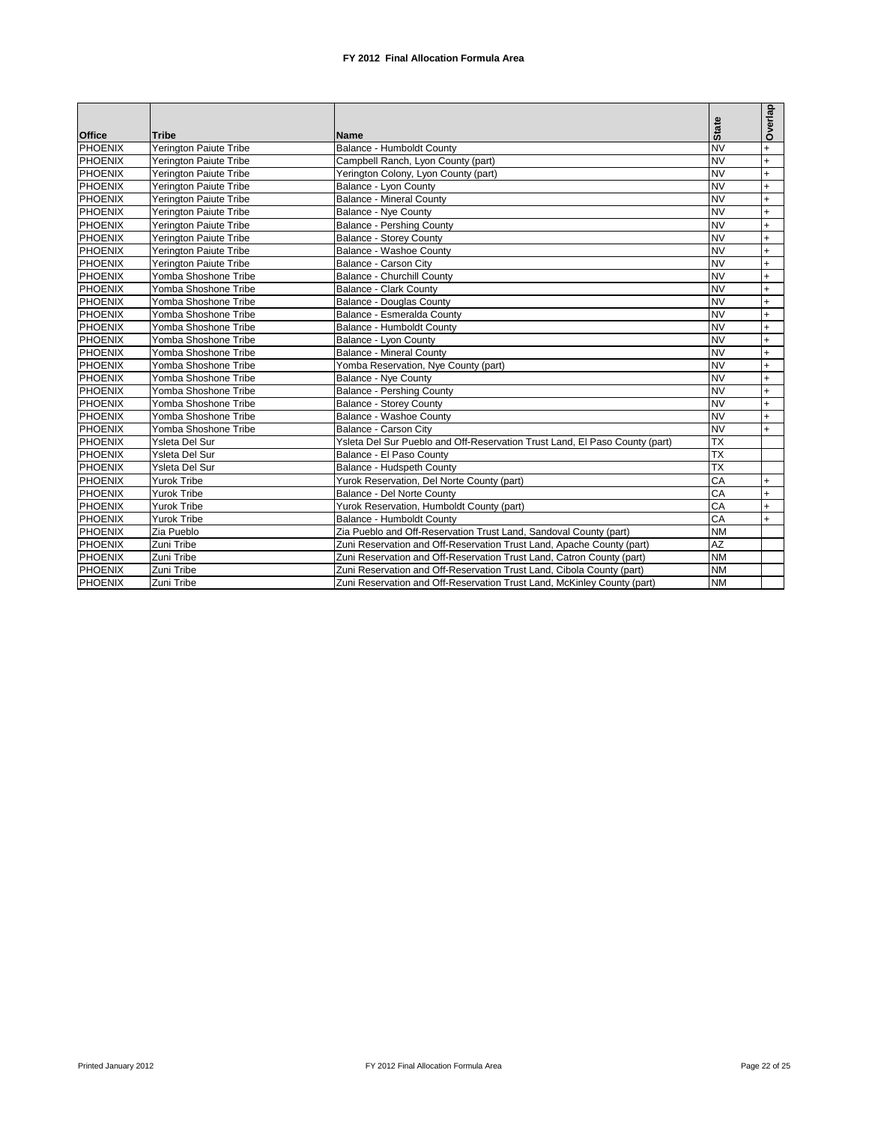|                |                        |                                                                             |                 | Overlap   |
|----------------|------------------------|-----------------------------------------------------------------------------|-----------------|-----------|
| <b>Office</b>  | <b>Tribe</b>           | Name                                                                        | <b>State</b>    |           |
| <b>PHOENIX</b> | Yerington Paiute Tribe | Balance - Humboldt County                                                   | ΝV              | $+$       |
| <b>PHOENIX</b> | Yerington Paiute Tribe | Campbell Ranch, Lyon County (part)                                          | <b>NV</b>       | $+$       |
| <b>PHOENIX</b> | Yerington Paiute Tribe | Yerington Colony, Lyon County (part)                                        | ΝV              | $+$       |
| <b>PHOENIX</b> | Yerington Paiute Tribe | Balance - Lyon County                                                       | <b>NV</b>       | $+$       |
| <b>PHOENIX</b> | Yerington Paiute Tribe | <b>Balance - Mineral County</b>                                             | ΝV              | $+$       |
| <b>PHOENIX</b> | Yerington Paiute Tribe | <b>Balance - Nye County</b>                                                 | <b>NV</b>       | $+$       |
| <b>PHOENIX</b> | Yerington Paiute Tribe | <b>Balance - Pershing County</b>                                            | <b>NV</b>       | $+$       |
| <b>PHOENIX</b> | Yerington Paiute Tribe | <b>Balance - Storey County</b>                                              | <b>NV</b>       | $+$       |
| <b>PHOENIX</b> | Yerington Paiute Tribe | Balance - Washoe County                                                     | <b>NV</b>       | $+$       |
| <b>PHOENIX</b> | Yerington Paiute Tribe | Balance - Carson City                                                       | <b>NV</b>       | $+$       |
| <b>PHOENIX</b> | Yomba Shoshone Tribe   | Balance - Churchill County                                                  | <b>NV</b>       | $+$       |
| <b>PHOENIX</b> | Yomba Shoshone Tribe   | Balance - Clark County                                                      | <b>NV</b>       | $+$       |
| <b>PHOENIX</b> | Yomba Shoshone Tribe   | <b>Balance - Douglas County</b>                                             | <b>NV</b>       | $+$       |
| <b>PHOENIX</b> | Yomba Shoshone Tribe   | Balance - Esmeralda County                                                  | <b>NV</b>       | $+$       |
| <b>PHOENIX</b> | Yomba Shoshone Tribe   | Balance - Humboldt County                                                   | <b>NV</b>       | $+$       |
| <b>PHOENIX</b> | Yomba Shoshone Tribe   | Balance - Lyon County                                                       | <b>NV</b>       | $+$       |
| <b>PHOENIX</b> | Yomba Shoshone Tribe   | <b>Balance - Mineral County</b>                                             | <b>NV</b>       | $+$       |
| <b>PHOENIX</b> | Yomba Shoshone Tribe   | Yomba Reservation, Nye County (part)                                        | <b>NV</b>       | $+$       |
| <b>PHOENIX</b> | Yomba Shoshone Tribe   | <b>Balance - Nye County</b>                                                 | <b>NV</b>       | $+$       |
| <b>PHOENIX</b> | Yomba Shoshone Tribe   | <b>Balance - Pershing County</b>                                            | <b>NV</b>       | $+$       |
| <b>PHOENIX</b> | Yomba Shoshone Tribe   | <b>Balance - Storey County</b>                                              | <b>NV</b>       | $+$       |
| <b>PHOENIX</b> | Yomba Shoshone Tribe   | Balance - Washoe County                                                     | <b>NV</b>       | $\ddot{}$ |
| <b>PHOENIX</b> | Yomba Shoshone Tribe   | Balance - Carson City                                                       | <b>NV</b>       | $\ddot{}$ |
| <b>PHOENIX</b> | Ysleta Del Sur         | Ysleta Del Sur Pueblo and Off-Reservation Trust Land, El Paso County (part) | <b>TX</b>       |           |
| <b>PHOENIX</b> | Ysleta Del Sur         | Balance - El Paso County                                                    | <b>TX</b>       |           |
| <b>PHOENIX</b> | Ysleta Del Sur         | Balance - Hudspeth County                                                   | $\overline{TX}$ |           |
| <b>PHOENIX</b> | <b>Yurok Tribe</b>     | Yurok Reservation, Del Norte County (part)                                  | CA              | $+$       |
| <b>PHOENIX</b> | Yurok Tribe            | Balance - Del Norte County                                                  | CA              | $+$       |
| <b>PHOENIX</b> | <b>Yurok Tribe</b>     | Yurok Reservation, Humboldt County (part)                                   | CA              | $+$       |
| <b>PHOENIX</b> | Yurok Tribe            | Balance - Humboldt County                                                   | CA              | $+$       |
| <b>PHOENIX</b> | Zia Pueblo             | Zia Pueblo and Off-Reservation Trust Land, Sandoval County (part)           | <b>NM</b>       |           |
| <b>PHOENIX</b> | Zuni Tribe             | Zuni Reservation and Off-Reservation Trust Land, Apache County (part)       | AZ              |           |
| <b>PHOENIX</b> | Zuni Tribe             | Zuni Reservation and Off-Reservation Trust Land, Catron County (part)       | <b>NM</b>       |           |
| <b>PHOENIX</b> | Zuni Tribe             | Zuni Reservation and Off-Reservation Trust Land, Cibola County (part)       | <b>NM</b>       |           |
| <b>PHOENIX</b> | Zuni Tribe             | Zuni Reservation and Off-Reservation Trust Land, McKinley County (part)     | <b>NM</b>       |           |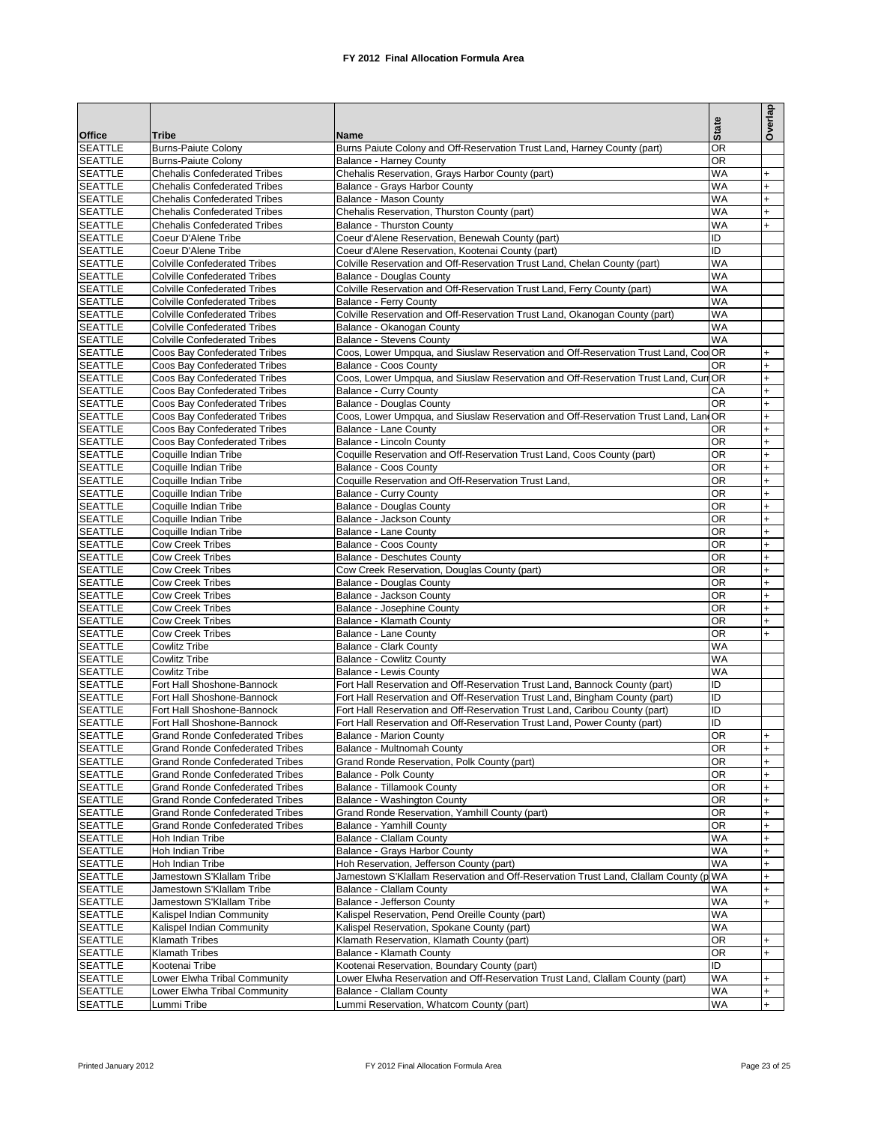| <b>Office</b>                    | Tribe                                                                            | Name                                                                                                        | <b>State</b>           | Overlap          |
|----------------------------------|----------------------------------------------------------------------------------|-------------------------------------------------------------------------------------------------------------|------------------------|------------------|
| <b>SEATTLE</b>                   | <b>Burns-Paiute Colony</b>                                                       | Burns Paiute Colony and Off-Reservation Trust Land, Harney County (part)                                    | ΟR                     |                  |
| <b>SEATTLE</b>                   | <b>Burns-Paiute Colony</b>                                                       | <b>Balance - Harney County</b>                                                                              | <b>OR</b>              |                  |
| <b>SEATTLE</b>                   | <b>Chehalis Confederated Tribes</b>                                              | Chehalis Reservation, Grays Harbor County (part)                                                            | <b>WA</b>              | $\ddot{}$        |
| <b>SEATTLE</b><br><b>SEATTLE</b> | <b>Chehalis Confederated Tribes</b><br><b>Chehalis Confederated Tribes</b>       | Balance - Grays Harbor County<br>Balance - Mason County                                                     | <b>WA</b><br><b>WA</b> | $+$<br>$+$       |
| <b>SEATTLE</b>                   | <b>Chehalis Confederated Tribes</b>                                              | Chehalis Reservation, Thurston County (part)                                                                | <b>WA</b>              | $+$              |
| <b>SEATTLE</b>                   | <b>Chehalis Confederated Tribes</b>                                              | <b>Balance - Thurston County</b>                                                                            | <b>WA</b>              | $+$              |
| <b>SEATTLE</b>                   | Coeur D'Alene Tribe                                                              | Coeur d'Alene Reservation, Benewah County (part)                                                            | ID                     |                  |
| <b>SEATTLE</b>                   | Coeur D'Alene Tribe                                                              | Coeur d'Alene Reservation, Kootenai County (part)                                                           | ID                     |                  |
| <b>SEATTLE</b>                   | <b>Colville Confederated Tribes</b>                                              | Colville Reservation and Off-Reservation Trust Land, Chelan County (part)                                   | WA                     |                  |
| <b>SEATTLE</b><br><b>SEATTLE</b> | <b>Colville Confederated Tribes</b><br><b>Colville Confederated Tribes</b>       | Balance - Douglas County<br>Colville Reservation and Off-Reservation Trust Land, Ferry County (part)        | <b>WA</b><br><b>WA</b> |                  |
| <b>SEATTLE</b>                   | <b>Colville Confederated Tribes</b>                                              | <b>Balance - Ferry County</b>                                                                               | <b>WA</b>              |                  |
| <b>SEATTLE</b>                   | <b>Colville Confederated Tribes</b>                                              | Colville Reservation and Off-Reservation Trust Land, Okanogan County (part)                                 | <b>WA</b>              |                  |
| <b>SEATTLE</b>                   | <b>Colville Confederated Tribes</b>                                              | Balance - Okanogan County                                                                                   | WA                     |                  |
| <b>SEATTLE</b>                   | <b>Colville Confederated Tribes</b>                                              | <b>Balance - Stevens County</b>                                                                             | <b>WA</b>              |                  |
| <b>SEATTLE</b>                   | Coos Bay Confederated Tribes                                                     | Coos, Lower Umpqua, and Siuslaw Reservation and Off-Reservation Trust Land, Coo OR                          | <b>OR</b>              | $+$              |
| <b>SEATTLE</b><br><b>SEATTLE</b> | Coos Bay Confederated Tribes<br>Coos Bay Confederated Tribes                     | Balance - Coos County<br>Coos, Lower Umpqua, and Siuslaw Reservation and Off-Reservation Trust Land, CurrOR |                        | $+$<br>$+$       |
| <b>SEATTLE</b>                   | Coos Bay Confederated Tribes                                                     | <b>Balance - Curry County</b>                                                                               | CА                     | $\ddot{}$        |
| <b>SEATTLE</b>                   | Coos Bay Confederated Tribes                                                     | <b>Balance - Douglas County</b>                                                                             | <b>OR</b>              | $+$              |
| <b>SEATTLE</b>                   | Coos Bay Confederated Tribes                                                     | Coos, Lower Umpqua, and Siuslaw Reservation and Off-Reservation Trust Land, LandOR                          |                        | $+$              |
| <b>SEATTLE</b>                   | Coos Bay Confederated Tribes                                                     | Balance - Lane County                                                                                       | <b>OR</b>              | $+$              |
| <b>SEATTLE</b>                   | Coos Bay Confederated Tribes                                                     | Balance - Lincoln County                                                                                    | ΟR                     | $\ddot{}$        |
| <b>SEATTLE</b><br><b>SEATTLE</b> | Coquille Indian Tribe                                                            | Coquille Reservation and Off-Reservation Trust Land, Coos County (part)                                     | OR<br>ΟR               | $+$<br>$\ddot{}$ |
| <b>SEATTLE</b>                   | Coquille Indian Tribe<br>Coquille Indian Tribe                                   | Balance - Coos County<br>Coquille Reservation and Off-Reservation Trust Land,                               | OR                     | $+$              |
| <b>SEATTLE</b>                   | Coquille Indian Tribe                                                            | <b>Balance - Curry County</b>                                                                               | ΟR                     | $\ddot{}$        |
| <b>SEATTLE</b>                   | Coquille Indian Tribe                                                            | Balance - Douglas County                                                                                    | OR                     | $+$              |
| <b>SEATTLE</b>                   | Coquille Indian Tribe                                                            | Balance - Jackson County                                                                                    | ΟR                     | $+$              |
| <b>SEATTLE</b>                   | Coquille Indian Tribe                                                            | Balance - Lane County                                                                                       | OR                     | $+$              |
| <b>SEATTLE</b>                   | <b>Cow Creek Tribes</b>                                                          | Balance - Coos County                                                                                       | ΟR                     | $+$              |
| <b>SEATTLE</b><br><b>SEATTLE</b> | <b>Cow Creek Tribes</b><br><b>Cow Creek Tribes</b>                               | <b>Balance - Deschutes County</b><br>Cow Creek Reservation, Douglas County (part)                           | OR<br>ΟR               | $+$<br>$+$       |
| <b>SEATTLE</b>                   | <b>Cow Creek Tribes</b>                                                          | Balance - Douglas County                                                                                    | OR                     | $+$              |
| <b>SEATTLE</b>                   | <b>Cow Creek Tribes</b>                                                          | Balance - Jackson County                                                                                    | ΟR                     | $\ddot{}$        |
| <b>SEATTLE</b>                   | <b>Cow Creek Tribes</b>                                                          | Balance - Josephine County                                                                                  | OR                     | $+$              |
| <b>SEATTLE</b>                   | <b>Cow Creek Tribes</b>                                                          | Balance - Klamath County                                                                                    | ΟR                     | $\ddot{}$        |
| <b>SEATTLE</b>                   | <b>Cow Creek Tribes</b>                                                          | Balance - Lane County                                                                                       | ΟR                     | $+$              |
| <b>SEATTLE</b>                   | <b>Cowlitz Tribe</b>                                                             | <b>Balance - Clark County</b>                                                                               | WA<br><b>WA</b>        |                  |
| <b>SEATTLE</b><br><b>SEATTLE</b> | <b>Cowlitz Tribe</b><br><b>Cowlitz Tribe</b>                                     | <b>Balance - Cowlitz County</b><br>Balance - Lewis County                                                   | WA                     |                  |
| <b>SEATTLE</b>                   | Fort Hall Shoshone-Bannock                                                       | Fort Hall Reservation and Off-Reservation Trust Land, Bannock County (part)                                 | ID                     |                  |
| <b>SEATTLE</b>                   | Fort Hall Shoshone-Bannock                                                       | Fort Hall Reservation and Off-Reservation Trust Land, Bingham County (part)                                 | ID                     |                  |
| <b>SEATTLE</b>                   | Fort Hall Shoshone-Bannock                                                       | Fort Hall Reservation and Off-Reservation Trust Land, Caribou County (part)                                 | ID                     |                  |
| <b>SEATTLE</b>                   | Fort Hall Shoshone-Bannock                                                       | Fort Hall Reservation and Off-Reservation Trust Land, Power County (part)                                   | ID                     |                  |
| <b>SEATTLE</b>                   | <b>Grand Ronde Confederated Tribes</b>                                           | Balance - Marion County                                                                                     | <b>OR</b>              | $+$              |
| <b>SEATTLE</b><br><b>SEATTLE</b> | <b>Grand Ronde Confederated Tribes</b><br><b>Grand Ronde Confederated Tribes</b> | Balance - Multnomah County<br>Grand Ronde Reservation, Polk County (part)                                   | <b>OR</b><br><b>OR</b> | $+$<br>$+$       |
| <b>SEATTLE</b>                   | <b>Grand Ronde Confederated Tribes</b>                                           | Balance - Polk County                                                                                       | ОR                     | $+$              |
| <b>SEATTLE</b>                   | <b>Grand Ronde Confederated Tribes</b>                                           | Balance - Tillamook County                                                                                  | ΟR                     | $+$              |
| <b>SEATTLE</b>                   | <b>Grand Ronde Confederated Tribes</b>                                           | Balance - Washington County                                                                                 | ΟR                     | $+$              |
| <b>SEATTLE</b>                   | <b>Grand Ronde Confederated Tribes</b>                                           | Grand Ronde Reservation, Yamhill County (part)                                                              | OR                     | $+$              |
| <b>SEATTLE</b>                   | <b>Grand Ronde Confederated Tribes</b>                                           | Balance - Yamhill County                                                                                    | ΟR                     | $+$              |
| <b>SEATTLE</b><br><b>SEATTLE</b> | Hoh Indian Tribe<br>Hoh Indian Tribe                                             | Balance - Clallam County                                                                                    | <b>WA</b><br>WA        | $+$<br>$+$       |
| <b>SEATTLE</b>                   | Hoh Indian Tribe                                                                 | Balance - Grays Harbor County<br>Hoh Reservation, Jefferson County (part)                                   | WA                     | $+$              |
| <b>SEATTLE</b>                   | Jamestown S'Klallam Tribe                                                        | Jamestown S'Klallam Reservation and Off-Reservation Trust Land, Clallam County (p WA                        |                        | $\ddot{}$        |
| <b>SEATTLE</b>                   | Jamestown S'Klallam Tribe                                                        | Balance - Clallam County                                                                                    | <b>WA</b>              | $\ddot{}$        |
| <b>SEATTLE</b>                   | Jamestown S'Klallam Tribe                                                        | Balance - Jefferson County                                                                                  | WA                     | $+$              |
| <b>SEATTLE</b>                   | Kalispel Indian Community                                                        | Kalispel Reservation, Pend Oreille County (part)                                                            | <b>WA</b>              |                  |
| <b>SEATTLE</b>                   | Kalispel Indian Community                                                        | Kalispel Reservation, Spokane County (part)                                                                 | WA                     |                  |
| <b>SEATTLE</b><br><b>SEATTLE</b> | Klamath Tribes<br><b>Klamath Tribes</b>                                          | Klamath Reservation, Klamath County (part)<br>Balance - Klamath County                                      | <b>OR</b><br>OR        | $+$<br>$+$       |
| <b>SEATTLE</b>                   | Kootenai Tribe                                                                   | Kootenai Reservation, Boundary County (part)                                                                | ID                     |                  |
| <b>SEATTLE</b>                   | Lower Elwha Tribal Community                                                     | Lower Elwha Reservation and Off-Reservation Trust Land, Clallam County (part)                               | WA                     | $+$              |
| <b>SEATTLE</b>                   | Lower Elwha Tribal Community                                                     | Balance - Clallam County                                                                                    | <b>WA</b>              | $+$              |
| <b>SEATTLE</b>                   | Lummi Tribe                                                                      | Lummi Reservation, Whatcom County (part)                                                                    | WA                     | $+$              |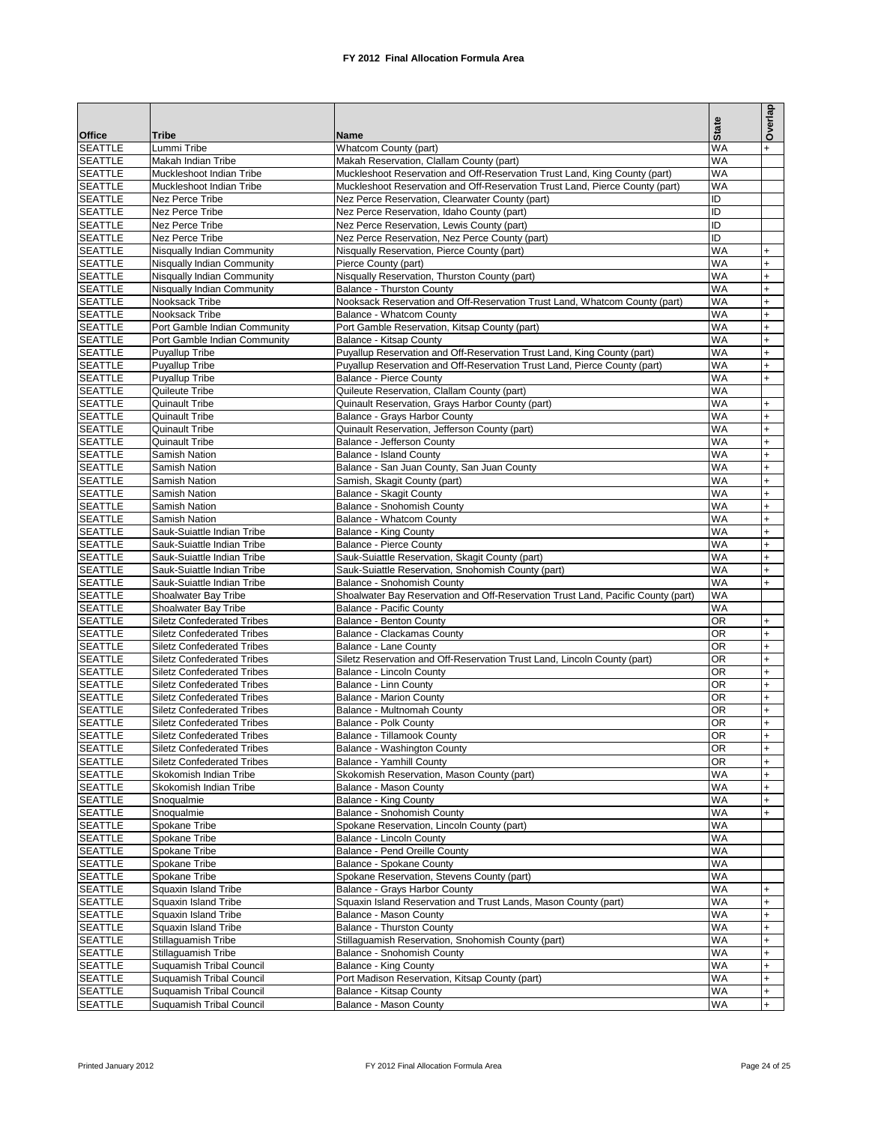|                                  |                                                                        |                                                                                                                                                            |                        | Overlap                |
|----------------------------------|------------------------------------------------------------------------|------------------------------------------------------------------------------------------------------------------------------------------------------------|------------------------|------------------------|
| <b>Office</b>                    | Tribe                                                                  | Name                                                                                                                                                       | <b>State</b>           |                        |
| <b>SEATTLE</b>                   | Lummi Tribe                                                            | Whatcom County (part)                                                                                                                                      | <b>WA</b>              |                        |
| <b>SEATTLE</b>                   | Makah Indian Tribe                                                     | Makah Reservation, Clallam County (part)                                                                                                                   | <b>WA</b>              |                        |
| <b>SEATTLE</b><br><b>SEATTLE</b> | Muckleshoot Indian Tribe<br>Muckleshoot Indian Tribe                   | Muckleshoot Reservation and Off-Reservation Trust Land, King County (part)<br>Muckleshoot Reservation and Off-Reservation Trust Land, Pierce County (part) | <b>WA</b><br><b>WA</b> |                        |
| <b>SEATTLE</b>                   | Nez Perce Tribe                                                        | Nez Perce Reservation, Clearwater County (part)                                                                                                            | ID                     |                        |
| <b>SEATTLE</b>                   | Nez Perce Tribe                                                        | Nez Perce Reservation, Idaho County (part)                                                                                                                 | ID                     |                        |
| <b>SEATTLE</b>                   | Nez Perce Tribe                                                        | Nez Perce Reservation, Lewis County (part)                                                                                                                 | ID                     |                        |
| <b>SEATTLE</b>                   | Nez Perce Tribe                                                        | Nez Perce Reservation, Nez Perce County (part)                                                                                                             | ID                     |                        |
| <b>SEATTLE</b>                   | Nisqually Indian Community                                             | Nisqually Reservation, Pierce County (part)                                                                                                                | <b>WA</b>              | $+$                    |
| <b>SEATTLE</b>                   | Nisqually Indian Community                                             | Pierce County (part)                                                                                                                                       | <b>WA</b>              | $\ddot{}$              |
| <b>SEATTLE</b>                   | Nisqually Indian Community                                             | Nisqually Reservation, Thurston County (part)                                                                                                              | <b>WA</b>              | $\ddot{}$              |
| <b>SEATTLE</b>                   | Nisqually Indian Community                                             | Balance - Thurston County                                                                                                                                  | <b>WA</b>              | $\ddot{}$              |
| <b>SEATTLE</b><br><b>SEATTLE</b> | Nooksack Tribe<br>Nooksack Tribe                                       | Nooksack Reservation and Off-Reservation Trust Land, Whatcom County (part)<br>Balance - Whatcom County                                                     | <b>WA</b><br><b>WA</b> | $\ddot{}$<br>$\ddot{}$ |
| <b>SEATTLE</b>                   | Port Gamble Indian Community                                           | Port Gamble Reservation, Kitsap County (part)                                                                                                              | <b>WA</b>              | $\ddot{}$              |
| <b>SEATTLE</b>                   | Port Gamble Indian Community                                           | Balance - Kitsap County                                                                                                                                    | <b>WA</b>              | $\ddot{}$              |
| <b>SEATTLE</b>                   | <b>Puyallup Tribe</b>                                                  | Puyallup Reservation and Off-Reservation Trust Land, King County (part)                                                                                    | <b>WA</b>              | $\ddot{}$              |
| <b>SEATTLE</b>                   | <b>Puyallup Tribe</b>                                                  | Puyallup Reservation and Off-Reservation Trust Land, Pierce County (part)                                                                                  | <b>WA</b>              | $\ddot{}$              |
| <b>SEATTLE</b>                   | Puyallup Tribe                                                         | <b>Balance - Pierce County</b>                                                                                                                             | <b>WA</b>              | $\ddot{}$              |
| <b>SEATTLE</b>                   | Quileute Tribe                                                         | Quileute Reservation, Clallam County (part)                                                                                                                | <b>WA</b>              |                        |
| <b>SEATTLE</b>                   | Quinault Tribe                                                         | Quinault Reservation, Grays Harbor County (part)                                                                                                           | <b>WA</b>              | $\ddot{}$              |
| <b>SEATTLE</b>                   | Quinault Tribe                                                         | Balance - Grays Harbor County                                                                                                                              | <b>WA</b>              | $\ddot{}$              |
| <b>SEATTLE</b>                   | Quinault Tribe                                                         | Quinault Reservation, Jefferson County (part)                                                                                                              | <b>WA</b>              | $\ddot{}$              |
| <b>SEATTLE</b>                   | Quinault Tribe                                                         | Balance - Jefferson County                                                                                                                                 | <b>WA</b>              | $\ddot{}$              |
| <b>SEATTLE</b>                   | Samish Nation<br>Samish Nation                                         | Balance - Island County                                                                                                                                    | <b>WA</b><br><b>WA</b> | $\ddot{}$<br>$+$       |
| <b>SEATTLE</b><br><b>SEATTLE</b> | Samish Nation                                                          | Balance - San Juan County, San Juan County<br>Samish, Skagit County (part)                                                                                 | <b>WA</b>              | $\ddot{}$              |
| <b>SEATTLE</b>                   | Samish Nation                                                          | Balance - Skagit County                                                                                                                                    | <b>WA</b>              | $\ddot{}$              |
| <b>SEATTLE</b>                   | Samish Nation                                                          | Balance - Snohomish County                                                                                                                                 | <b>WA</b>              | $\ddot{}$              |
| <b>SEATTLE</b>                   | Samish Nation                                                          | Balance - Whatcom County                                                                                                                                   | <b>WA</b>              | $\ddot{}$              |
| <b>SEATTLE</b>                   | Sauk-Suiattle Indian Tribe                                             | <b>Balance - King County</b>                                                                                                                               | <b>WA</b>              | $+$                    |
| <b>SEATTLE</b>                   | Sauk-Suiattle Indian Tribe                                             | <b>Balance - Pierce County</b>                                                                                                                             | <b>WA</b>              | $\ddot{}$              |
| <b>SEATTLE</b>                   | Sauk-Suiattle Indian Tribe                                             | Sauk-Suiattle Reservation, Skagit County (part)                                                                                                            | <b>WA</b>              | $+$                    |
| <b>SEATTLE</b>                   | Sauk-Suiattle Indian Tribe                                             | Sauk-Suiattle Reservation, Snohomish County (part)                                                                                                         | <b>WA</b>              | $\ddot{}$              |
| <b>SEATTLE</b>                   | Sauk-Suiattle Indian Tribe                                             | Balance - Snohomish County                                                                                                                                 | <b>WA</b>              | $+$                    |
| <b>SEATTLE</b><br><b>SEATTLE</b> | Shoalwater Bay Tribe<br>Shoalwater Bay Tribe                           | Shoalwater Bay Reservation and Off-Reservation Trust Land, Pacific County (part)<br><b>Balance - Pacific County</b>                                        | <b>WA</b><br><b>WA</b> |                        |
| <b>SEATTLE</b>                   | <b>Siletz Confederated Tribes</b>                                      | Balance - Benton County                                                                                                                                    | <b>OR</b>              | $+$                    |
| <b>SEATTLE</b>                   | <b>Siletz Confederated Tribes</b>                                      | Balance - Clackamas County                                                                                                                                 | <b>OR</b>              | $\ddot{}$              |
| <b>SEATTLE</b>                   | <b>Siletz Confederated Tribes</b>                                      | Balance - Lane County                                                                                                                                      | <b>OR</b>              | $\ddot{}$              |
| <b>SEATTLE</b>                   | <b>Siletz Confederated Tribes</b>                                      | Siletz Reservation and Off-Reservation Trust Land, Lincoln County (part)                                                                                   | OR                     | $\ddot{}$              |
| <b>SEATTLE</b>                   | <b>Siletz Confederated Tribes</b>                                      | Balance - Lincoln County                                                                                                                                   | <b>OR</b>              | $\ddot{}$              |
| <b>SEATTLE</b>                   | <b>Siletz Confederated Tribes</b>                                      | <b>Balance - Linn County</b>                                                                                                                               | <b>OR</b>              | $+$                    |
| <b>SEATTLE</b>                   | <b>Siletz Confederated Tribes</b>                                      | <b>Balance - Marion County</b>                                                                                                                             | <b>OR</b>              | $\ddot{}$              |
| <b>SEATTLE</b>                   | <b>Siletz Confederated Tribes</b>                                      | Balance - Multnomah County                                                                                                                                 | OR                     | $\ddot{}$              |
| <b>SEATTLE</b><br><b>SEATTLE</b> | <b>Siletz Confederated Tribes</b>                                      | Balance - Polk County                                                                                                                                      | <b>OR</b><br>OR        | $\ddot{}$              |
| <b>SEATTLE</b>                   | <b>Siletz Confederated Tribes</b><br><b>Siletz Confederated Tribes</b> | Balance - Tillamook County<br>Balance - Washington County                                                                                                  | <b>OR</b>              | $+$                    |
| <b>SEATTLE</b>                   | <b>Siletz Confederated Tribes</b>                                      | Balance - Yamhill County                                                                                                                                   | <b>OR</b>              | $\ddot{}$              |
| <b>SEATTLE</b>                   | Skokomish Indian Tribe                                                 | Skokomish Reservation, Mason County (part)                                                                                                                 | WA                     | $+$                    |
| <b>SEATTLE</b>                   | Skokomish Indian Tribe                                                 | Balance - Mason County                                                                                                                                     | <b>WA</b>              | $+$                    |
| <b>SEATTLE</b>                   | Snoqualmie                                                             | Balance - King County                                                                                                                                      | WA                     | $+$                    |
| <b>SEATTLE</b>                   | Snoqualmie                                                             | Balance - Snohomish County                                                                                                                                 | <b>WA</b>              | $+$                    |
| <b>SEATTLE</b>                   | Spokane Tribe                                                          | Spokane Reservation, Lincoln County (part)                                                                                                                 | WA                     |                        |
| <b>SEATTLE</b>                   | Spokane Tribe                                                          | Balance - Lincoln County                                                                                                                                   | <b>WA</b>              |                        |
| <b>SEATTLE</b>                   | Spokane Tribe                                                          | Balance - Pend Oreille County                                                                                                                              | WA                     |                        |
| <b>SEATTLE</b><br><b>SEATTLE</b> | Spokane Tribe<br>Spokane Tribe                                         | Balance - Spokane County<br>Spokane Reservation, Stevens County (part)                                                                                     | WA<br><b>WA</b>        |                        |
| <b>SEATTLE</b>                   | Squaxin Island Tribe                                                   | Balance - Grays Harbor County                                                                                                                              | <b>WA</b>              | $+$                    |
| <b>SEATTLE</b>                   | Squaxin Island Tribe                                                   | Squaxin Island Reservation and Trust Lands, Mason County (part)                                                                                            | <b>WA</b>              | $\ddot{}$              |
| <b>SEATTLE</b>                   | Squaxin Island Tribe                                                   | Balance - Mason County                                                                                                                                     | <b>WA</b>              | $\ddot{}$              |
| <b>SEATTLE</b>                   | Squaxin Island Tribe                                                   | Balance - Thurston County                                                                                                                                  | <b>WA</b>              | $+$                    |
| <b>SEATTLE</b>                   | Stillaguamish Tribe                                                    | Stillaguamish Reservation, Snohomish County (part)                                                                                                         | <b>WA</b>              | $\ddot{}$              |
| <b>SEATTLE</b>                   | Stillaguamish Tribe                                                    | Balance - Snohomish County                                                                                                                                 | WA                     | $+$                    |
| <b>SEATTLE</b>                   | <b>Suquamish Tribal Council</b>                                        | Balance - King County                                                                                                                                      | <b>WA</b>              | $\ddot{}$              |
| <b>SEATTLE</b>                   | Suquamish Tribal Council                                               | Port Madison Reservation, Kitsap County (part)                                                                                                             | WA                     | $\ddot{}$              |
| <b>SEATTLE</b>                   | <b>Suquamish Tribal Council</b>                                        | Balance - Kitsap County                                                                                                                                    | <b>WA</b>              | $\ddot{}$              |
| <b>SEATTLE</b>                   | <b>Suquamish Tribal Council</b>                                        | Balance - Mason County                                                                                                                                     | WA                     | $\ddot{}$              |